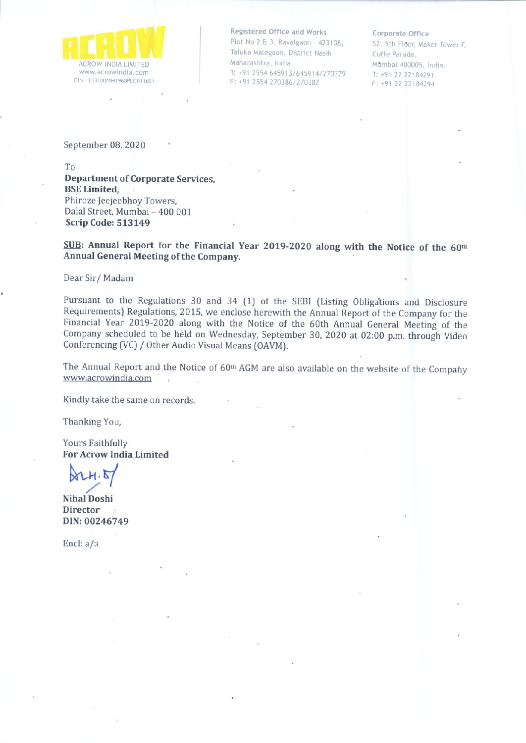

Registered Office and Works Plot No 2 & 3, Ravalgaon - 423108, Taluka Malegaon, District Nasik Maharashtra, India. T: +91 2554 645913/645914/270379 F: +91 2554 270386/270382

#### Corporate Office

52, 5th floor, Maker Tower F Cuffe Parade Mumbai 400005, India. T: +91 22 22184291 F: •912222184294

September 08, 2020

To

Department of Corporate Services, BSE Limited, Phiroze Ieejeebhoy Towers, Dalal Street, Mumbai - 400 001 Scrip Code: 513149

SUB: Annual Report for the Financial Year 2019-2020 along with the Notice of the 60th Annual General Meeting of the Company.

Dear Sir/ Madam

Pursuant to the Regulations <sup>30</sup> and <sup>34</sup> (1) of the SEBI (Listing Obligations and Disclosure Requirements) Regulations, 2015, we enclose herewith the Annual Report of the Company for the Financial Year 2019-2020 along with the Notice of the 60th Annual General Meeting of the Company scheduled to be held on Wednesday, September 30, <sup>2020</sup> at 02:00 p.m. through Video Conferencing (VC)/ Other Audio Visual Means (OAVM).

The Annual Report and the Notice of 60<sup>th</sup> AGM are also available on the website of the Company www.acrowindia.com

Kindly take the same on records.

Thanking You,

Yours Faithfully For Acrow India Limited

 $\lambda$ 24.5/ /

Nihal Doshi **Director** DIN:00246749

Encl: a/a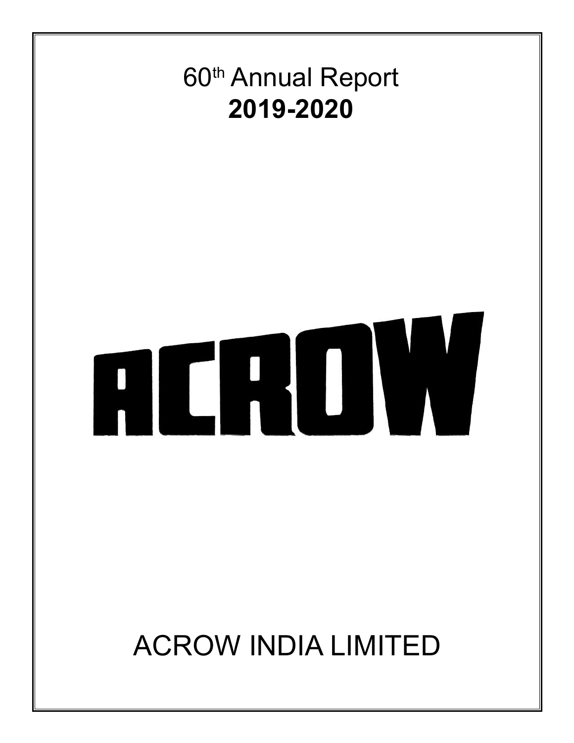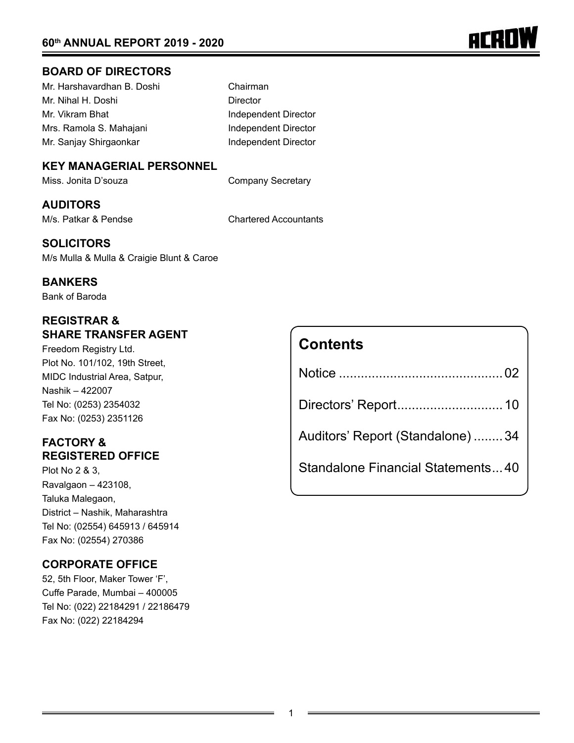

# **BOARD OF DIRECTORS**

| Mr. Harshavardhan B. Doshi |
|----------------------------|
| Mr. Nihal H. Doshi         |
| Mr. Vikram Bhat            |
| Mrs. Ramola S. Mahajani    |
| Mr. Sanjay Shirgaonkar     |

Chairman Director Independent Director Independent Director Independent Director

# **KEY MANAGERIAL PERSONNEL**

Miss. Jonita D'souza **Company Secretary** 

# **AUDITORS**

M/s. Patkar & Pendse Chartered Accountants

# **SOLICITORS**

M/s Mulla & Mulla & Craigie Blunt & Caroe

## **BANKERS**

Bank of Baroda

# **REGISTRAR & SHARE TRANSFER AGENT**

Freedom Registry Ltd. Plot No. 101/102, 19th Street, MIDC Industrial Area, Satpur, Nashik – 422007 Tel No: (0253) 2354032 Fax No: (0253) 2351126

# **FACTORY & REGISTERED OFFICE**

Plot No 2 & 3, Ravalgaon – 423108, Taluka Malegaon, District – Nashik, Maharashtra Tel No: (02554) 645913 / 645914 Fax No: (02554) 270386

# **CORPORATE OFFICE**

52, 5th Floor, Maker Tower 'F', Cuffe Parade, Mumbai – 400005 Tel No: (022) 22184291 / 22186479 Fax No: (022) 22184294

| <b>Contents</b>                   |
|-----------------------------------|
|                                   |
|                                   |
| Auditors' Report (Standalone) 34  |
| Standalone Financial Statements40 |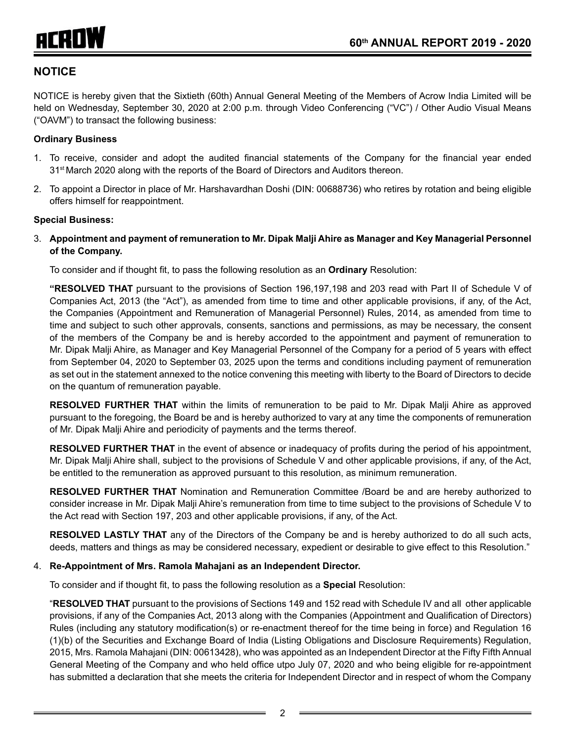# **NOTICE**

NOTICE is hereby given that the Sixtieth (60th) Annual General Meeting of the Members of Acrow India Limited will be held on Wednesday, September 30, 2020 at 2:00 p.m. through Video Conferencing ("VC") / Other Audio Visual Means ("OAVM") to transact the following business:

#### **Ordinary Business**

- 1. To receive, consider and adopt the audited financial statements of the Company for the financial year ended 31<sup>st</sup> March 2020 along with the reports of the Board of Directors and Auditors thereon.
- 2. To appoint a Director in place of Mr. Harshavardhan Doshi (DIN: 00688736) who retires by rotation and being eligible offers himself for reappointment.

#### **Special Business:**

3. **Appointment and payment of remuneration to Mr. Dipak Malji Ahire as Manager and Key Managerial Personnel of the Company.**

To consider and if thought fit, to pass the following resolution as an **Ordinary** Resolution:

**"RESOLVED THAT** pursuant to the provisions of Section 196,197,198 and 203 read with Part II of Schedule V of Companies Act, 2013 (the "Act"), as amended from time to time and other applicable provisions, if any, of the Act, the Companies (Appointment and Remuneration of Managerial Personnel) Rules, 2014, as amended from time to time and subject to such other approvals, consents, sanctions and permissions, as may be necessary, the consent of the members of the Company be and is hereby accorded to the appointment and payment of remuneration to Mr. Dipak Malji Ahire, as Manager and Key Managerial Personnel of the Company for a period of 5 years with effect from September 04, 2020 to September 03, 2025 upon the terms and conditions including payment of remuneration as set out in the statement annexed to the notice convening this meeting with liberty to the Board of Directors to decide on the quantum of remuneration payable.

**RESOLVED FURTHER THAT** within the limits of remuneration to be paid to Mr. Dipak Malji Ahire as approved pursuant to the foregoing, the Board be and is hereby authorized to vary at any time the components of remuneration of Mr. Dipak Malji Ahire and periodicity of payments and the terms thereof.

**RESOLVED FURTHER THAT** in the event of absence or inadequacy of profits during the period of his appointment, Mr. Dipak Malji Ahire shall, subject to the provisions of Schedule V and other applicable provisions, if any, of the Act, be entitled to the remuneration as approved pursuant to this resolution, as minimum remuneration.

**RESOLVED FURTHER THAT** Nomination and Remuneration Committee /Board be and are hereby authorized to consider increase in Mr. Dipak Malji Ahire's remuneration from time to time subject to the provisions of Schedule V to the Act read with Section 197, 203 and other applicable provisions, if any, of the Act.

**RESOLVED LASTLY THAT** any of the Directors of the Company be and is hereby authorized to do all such acts, deeds, matters and things as may be considered necessary, expedient or desirable to give effect to this Resolution."

#### 4. **Re-Appointment of Mrs. Ramola Mahajani as an Independent Director.**

To consider and if thought fit, to pass the following resolution as a **Special** Resolution:

"**RESOLVED THAT** pursuant to the provisions of Sections 149 and 152 read with Schedule IV and all other applicable provisions, if any of the Companies Act, 2013 along with the Companies (Appointment and Qualification of Directors) Rules (including any statutory modification(s) or re-enactment thereof for the time being in force) and Regulation 16 (1)(b) of the Securities and Exchange Board of India (Listing Obligations and Disclosure Requirements) Regulation, 2015, Mrs. Ramola Mahajani (DIN: 00613428), who was appointed as an Independent Director at the Fifty Fifth Annual General Meeting of the Company and who held office utpo July 07, 2020 and who being eligible for re-appointment has submitted a declaration that she meets the criteria for Independent Director and in respect of whom the Company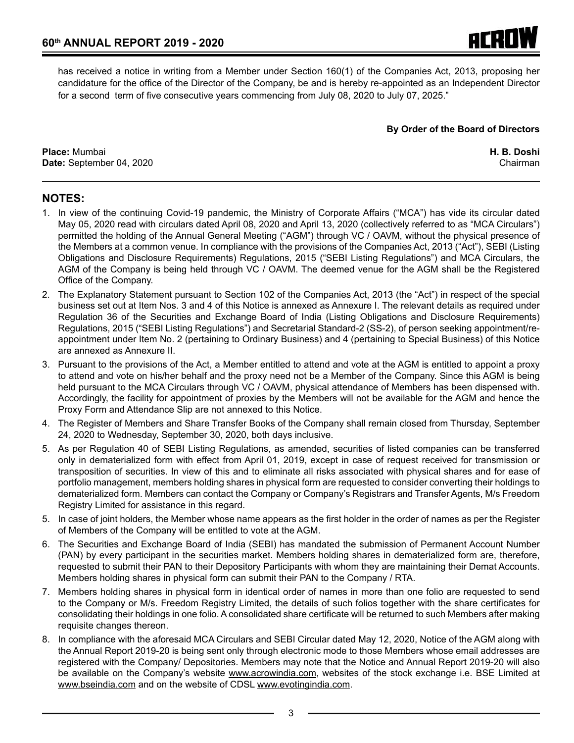has received a notice in writing from a Member under Section 160(1) of the Companies Act, 2013, proposing her candidature for the office of the Director of the Company, be and is hereby re-appointed as an Independent Director for a second term of five consecutive years commencing from July 08, 2020 to July 07, 2025."

**By Order of the Board of Directors**

**Place:** Mumbai **H. B. Doshi Date:** September 04, 2020 Chairman Chairman Chairman Chairman Chairman Chairman Chairman Chairman Chairman Chairman

# **NOTES:**

- 1. In view of the continuing Covid-19 pandemic, the Ministry of Corporate Affairs ("MCA") has vide its circular dated May 05, 2020 read with circulars dated April 08, 2020 and April 13, 2020 (collectively referred to as "MCA Circulars") permitted the holding of the Annual General Meeting ("AGM") through VC / OAVM, without the physical presence of the Members at a common venue. In compliance with the provisions of the Companies Act, 2013 ("Act"), SEBI (Listing Obligations and Disclosure Requirements) Regulations, 2015 ("SEBI Listing Regulations") and MCA Circulars, the AGM of the Company is being held through VC / OAVM. The deemed venue for the AGM shall be the Registered Office of the Company.
- 2. The Explanatory Statement pursuant to Section 102 of the Companies Act, 2013 (the "Act") in respect of the special business set out at Item Nos. 3 and 4 of this Notice is annexed as Annexure I. The relevant details as required under Regulation 36 of the Securities and Exchange Board of India (Listing Obligations and Disclosure Requirements) Regulations, 2015 ("SEBI Listing Regulations") and Secretarial Standard-2 (SS-2), of person seeking appointment/reappointment under Item No. 2 (pertaining to Ordinary Business) and 4 (pertaining to Special Business) of this Notice are annexed as Annexure II.
- 3. Pursuant to the provisions of the Act, a Member entitled to attend and vote at the AGM is entitled to appoint a proxy to attend and vote on his/her behalf and the proxy need not be a Member of the Company. Since this AGM is being held pursuant to the MCA Circulars through VC / OAVM, physical attendance of Members has been dispensed with. Accordingly, the facility for appointment of proxies by the Members will not be available for the AGM and hence the Proxy Form and Attendance Slip are not annexed to this Notice.
- 4. The Register of Members and Share Transfer Books of the Company shall remain closed from Thursday, September 24, 2020 to Wednesday, September 30, 2020, both days inclusive.
- 5. As per Regulation 40 of SEBI Listing Regulations, as amended, securities of listed companies can be transferred only in dematerialized form with effect from April 01, 2019, except in case of request received for transmission or transposition of securities. In view of this and to eliminate all risks associated with physical shares and for ease of portfolio management, members holding shares in physical form are requested to consider converting their holdings to dematerialized form. Members can contact the Company or Company's Registrars and Transfer Agents, M/s Freedom Registry Limited for assistance in this regard.
- 5. In case of joint holders, the Member whose name appears as the first holder in the order of names as per the Register of Members of the Company will be entitled to vote at the AGM.
- 6. The Securities and Exchange Board of India (SEBI) has mandated the submission of Permanent Account Number (PAN) by every participant in the securities market. Members holding shares in dematerialized form are, therefore, requested to submit their PAN to their Depository Participants with whom they are maintaining their Demat Accounts. Members holding shares in physical form can submit their PAN to the Company / RTA.
- 7. Members holding shares in physical form in identical order of names in more than one folio are requested to send to the Company or M/s. Freedom Registry Limited, the details of such folios together with the share certificates for consolidating their holdings in one folio. A consolidated share certificate will be returned to such Members after making requisite changes thereon.
- 8. In compliance with the aforesaid MCA Circulars and SEBI Circular dated May 12, 2020, Notice of the AGM along with the Annual Report 2019-20 is being sent only through electronic mode to those Members whose email addresses are registered with the Company/ Depositories. Members may note that the Notice and Annual Report 2019-20 will also be available on the Company's website www.acrowindia.com, websites of the stock exchange i.e. BSE Limited at www.bseindia.com and on the website of CDSL www.evotingindia.com.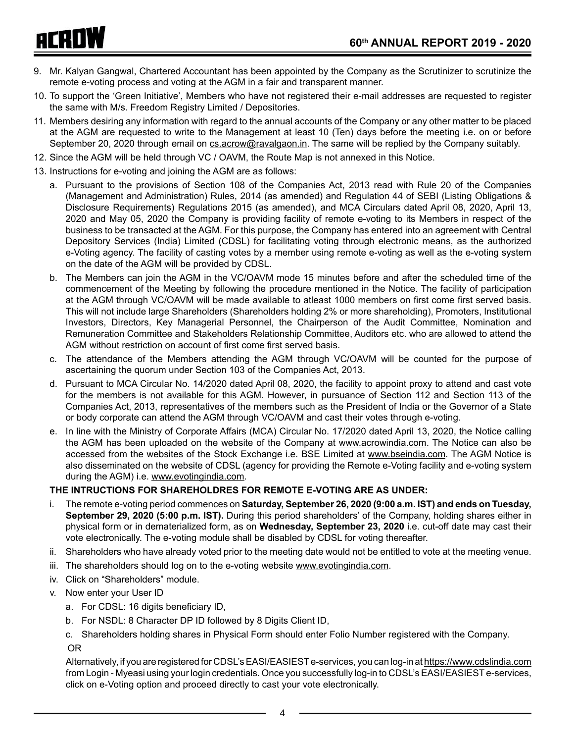## **60th ANNUAL REPORT 2019 - 2020**

# **ACROW**

- 9. Mr. Kalyan Gangwal, Chartered Accountant has been appointed by the Company as the Scrutinizer to scrutinize the remote e-voting process and voting at the AGM in a fair and transparent manner.
- 10. To support the 'Green Initiative', Members who have not registered their e-mail addresses are requested to register the same with M/s. Freedom Registry Limited / Depositories.
- 11. Members desiring any information with regard to the annual accounts of the Company or any other matter to be placed at the AGM are requested to write to the Management at least 10 (Ten) days before the meeting i.e. on or before September 20, 2020 through email on cs.acrow@ravalgaon.in. The same will be replied by the Company suitably.
- 12. Since the AGM will be held through VC / OAVM, the Route Map is not annexed in this Notice.
- 13. Instructions for e-voting and joining the AGM are as follows:
	- a. Pursuant to the provisions of Section 108 of the Companies Act, 2013 read with Rule 20 of the Companies (Management and Administration) Rules, 2014 (as amended) and Regulation 44 of SEBI (Listing Obligations & Disclosure Requirements) Regulations 2015 (as amended), and MCA Circulars dated April 08, 2020, April 13, 2020 and May 05, 2020 the Company is providing facility of remote e-voting to its Members in respect of the business to be transacted at the AGM. For this purpose, the Company has entered into an agreement with Central Depository Services (India) Limited (CDSL) for facilitating voting through electronic means, as the authorized e-Voting agency. The facility of casting votes by a member using remote e-voting as well as the e-voting system on the date of the AGM will be provided by CDSL.
	- b. The Members can join the AGM in the VC/OAVM mode 15 minutes before and after the scheduled time of the commencement of the Meeting by following the procedure mentioned in the Notice. The facility of participation at the AGM through VC/OAVM will be made available to atleast 1000 members on first come first served basis. This will not include large Shareholders (Shareholders holding 2% or more shareholding), Promoters, Institutional Investors, Directors, Key Managerial Personnel, the Chairperson of the Audit Committee, Nomination and Remuneration Committee and Stakeholders Relationship Committee, Auditors etc. who are allowed to attend the AGM without restriction on account of first come first served basis.
	- c. The attendance of the Members attending the AGM through VC/OAVM will be counted for the purpose of ascertaining the quorum under Section 103 of the Companies Act, 2013.
	- d. Pursuant to MCA Circular No. 14/2020 dated April 08, 2020, the facility to appoint proxy to attend and cast vote for the members is not available for this AGM. However, in pursuance of Section 112 and Section 113 of the Companies Act, 2013, representatives of the members such as the President of India or the Governor of a State or body corporate can attend the AGM through VC/OAVM and cast their votes through e-voting.
	- e. In line with the Ministry of Corporate Affairs (MCA) Circular No. 17/2020 dated April 13, 2020, the Notice calling the AGM has been uploaded on the website of the Company at www.acrowindia.com. The Notice can also be accessed from the websites of the Stock Exchange i.e. BSE Limited at www.bseindia.com. The AGM Notice is also disseminated on the website of CDSL (agency for providing the Remote e-Voting facility and e-voting system during the AGM) i.e. www.evotingindia.com.

# **THE INTRUCTIONS FOR SHAREHOLDRES FOR REMOTE E-VOTING ARE AS UNDER:**

- i. The remote e-voting period commences on **Saturday, September 26, 2020 (9:00 a.m. IST) and ends on Tuesday, September 29, 2020 (5:00 p.m. IST).** During this period shareholders' of the Company, holding shares either in physical form or in dematerialized form, as on **Wednesday, September 23, 2020** i.e. cut-off date may cast their vote electronically. The e-voting module shall be disabled by CDSL for voting thereafter.
- ii. Shareholders who have already voted prior to the meeting date would not be entitled to vote at the meeting venue.
- iii. The shareholders should log on to the e-voting website www.evotingindia.com.
- iv. Click on "Shareholders" module.
- v. Now enter your User ID
	- a. For CDSL: 16 digits beneficiary ID,
	- b. For NSDL: 8 Character DP ID followed by 8 Digits Client ID,
	- c. Shareholders holding shares in Physical Form should enter Folio Number registered with the Company. OR

Alternatively, if you are registered for CDSL's EASI/EASIESTe-services, you can log-in at https://www.cdslindia.com from Login - Myeasi using your login credentials. Once you successfully log-in to CDSL's EASI/EASIEST e-services, click on e-Voting option and proceed directly to cast your vote electronically.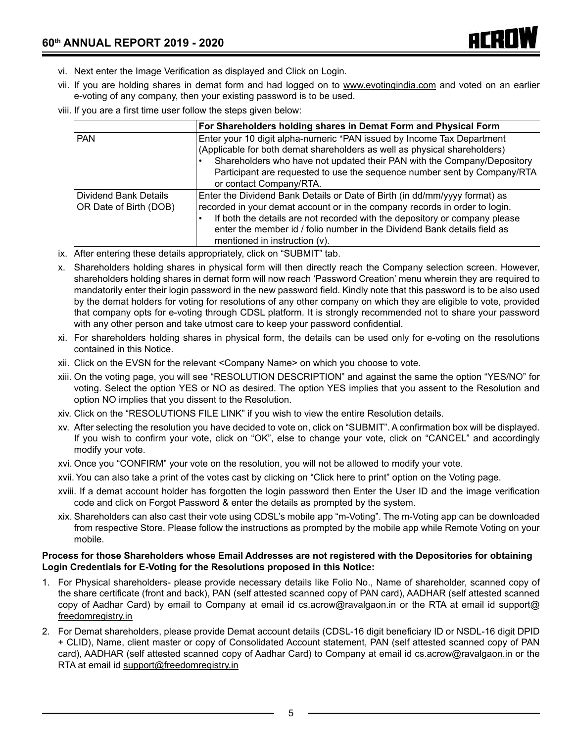- vi. Next enter the Image Verification as displayed and Click on Login.
- vii. If you are holding shares in demat form and had logged on to www.evotingindia.com and voted on an earlier e-voting of any company, then your existing password is to be used.
- viii. If you are a first time user follow the steps given below:

|                                                 | For Shareholders holding shares in Demat Form and Physical Form                                                                                                                                                                                                                                                                                      |
|-------------------------------------------------|------------------------------------------------------------------------------------------------------------------------------------------------------------------------------------------------------------------------------------------------------------------------------------------------------------------------------------------------------|
| <b>PAN</b>                                      | Enter your 10 digit alpha-numeric *PAN issued by Income Tax Department<br>(Applicable for both demat shareholders as well as physical shareholders)<br>Shareholders who have not updated their PAN with the Company/Depository<br>Participant are requested to use the sequence number sent by Company/RTA<br>or contact Company/RTA.                |
| Dividend Bank Details<br>OR Date of Birth (DOB) | Enter the Dividend Bank Details or Date of Birth (in dd/mm/yyyy format) as<br>recorded in your demat account or in the company records in order to login.<br>If both the details are not recorded with the depository or company please<br>enter the member id / folio number in the Dividend Bank details field as<br>mentioned in instruction (v). |

- ix. After entering these details appropriately, click on "SUBMIT" tab.
- x. Shareholders holding shares in physical form will then directly reach the Company selection screen. However, shareholders holding shares in demat form will now reach 'Password Creation' menu wherein they are required to mandatorily enter their login password in the new password field. Kindly note that this password is to be also used by the demat holders for voting for resolutions of any other company on which they are eligible to vote, provided that company opts for e-voting through CDSL platform. It is strongly recommended not to share your password with any other person and take utmost care to keep your password confidential.
- xi. For shareholders holding shares in physical form, the details can be used only for e-voting on the resolutions contained in this Notice.
- xii. Click on the EVSN for the relevant <Company Name> on which you choose to vote.
- xiii. On the voting page, you will see "RESOLUTION DESCRIPTION" and against the same the option "YES/NO" for voting. Select the option YES or NO as desired. The option YES implies that you assent to the Resolution and option NO implies that you dissent to the Resolution.
- xiv. Click on the "RESOLUTIONS FILE LINK" if you wish to view the entire Resolution details.
- xv. After selecting the resolution you have decided to vote on, click on "SUBMIT". A confirmation box will be displayed. If you wish to confirm your vote, click on "OK", else to change your vote, click on "CANCEL" and accordingly modify your vote.
- xvi. Once you "CONFIRM" your vote on the resolution, you will not be allowed to modify your vote.
- xvii. You can also take a print of the votes cast by clicking on "Click here to print" option on the Voting page.
- xviii. If a demat account holder has forgotten the login password then Enter the User ID and the image verification code and click on Forgot Password & enter the details as prompted by the system.
- xix. Shareholders can also cast their vote using CDSL's mobile app "m-Voting". The m-Voting app can be downloaded from respective Store. Please follow the instructions as prompted by the mobile app while Remote Voting on your mobile.

#### **Process for those Shareholders whose Email Addresses are not registered with the Depositories for obtaining Login Credentials for E-Voting for the Resolutions proposed in this Notice:**

- 1. For Physical shareholders- please provide necessary details like Folio No., Name of shareholder, scanned copy of the share certificate (front and back), PAN (self attested scanned copy of PAN card), AADHAR (self attested scanned copy of Aadhar Card) by email to Company at email id cs.acrow@ravalgaon.in or the RTA at email id support@ freedomregistry.in
- 2. For Demat shareholders, please provide Demat account details (CDSL-16 digit beneficiary ID or NSDL-16 digit DPID + CLID), Name, client master or copy of Consolidated Account statement, PAN (self attested scanned copy of PAN card), AADHAR (self attested scanned copy of Aadhar Card) to Company at email id cs.acrow@ravalgaon.in or the RTA at email id support@freedomregistry.in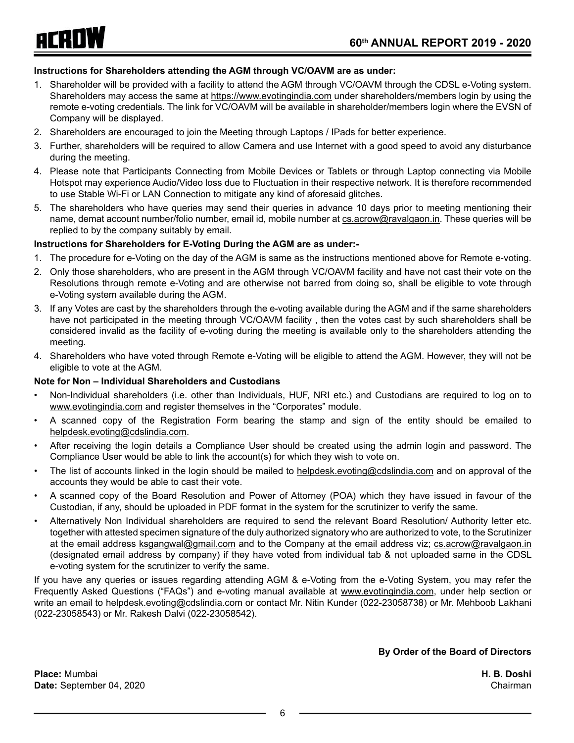

#### **Instructions for Shareholders attending the AGM through VC/OAVM are as under:**

- 1. Shareholder will be provided with a facility to attend the AGM through VC/OAVM through the CDSL e-Voting system. Shareholders may access the same at https://www.evotingindia.com under shareholders/members login by using the remote e-voting credentials. The link for VC/OAVM will be available in shareholder/members login where the EVSN of Company will be displayed.
- 2. Shareholders are encouraged to join the Meeting through Laptops / IPads for better experience.
- 3. Further, shareholders will be required to allow Camera and use Internet with a good speed to avoid any disturbance during the meeting.
- 4. Please note that Participants Connecting from Mobile Devices or Tablets or through Laptop connecting via Mobile Hotspot may experience Audio/Video loss due to Fluctuation in their respective network. It is therefore recommended to use Stable Wi-Fi or LAN Connection to mitigate any kind of aforesaid glitches.
- 5. The shareholders who have queries may send their queries in advance 10 days prior to meeting mentioning their name, demat account number/folio number, email id, mobile number at cs.acrow@ravalgaon.in. These queries will be replied to by the company suitably by email.

#### **Instructions for Shareholders for E-Voting During the AGM are as under:-**

- 1. The procedure for e-Voting on the day of the AGM is same as the instructions mentioned above for Remote e-voting.
- 2. Only those shareholders, who are present in the AGM through VC/OAVM facility and have not cast their vote on the Resolutions through remote e-Voting and are otherwise not barred from doing so, shall be eligible to vote through e-Voting system available during the AGM.
- 3. If any Votes are cast by the shareholders through the e-voting available during the AGM and if the same shareholders have not participated in the meeting through VC/OAVM facility , then the votes cast by such shareholders shall be considered invalid as the facility of e-voting during the meeting is available only to the shareholders attending the meeting.
- 4. Shareholders who have voted through Remote e-Voting will be eligible to attend the AGM. However, they will not be eligible to vote at the AGM.

#### **Note for Non – Individual Shareholders and Custodians**

- Non-Individual shareholders (i.e. other than Individuals, HUF, NRI etc.) and Custodians are required to log on to www.evotingindia.com and register themselves in the "Corporates" module.
- A scanned copy of the Registration Form bearing the stamp and sign of the entity should be emailed to helpdesk.evoting@cdslindia.com.
- After receiving the login details a Compliance User should be created using the admin login and password. The Compliance User would be able to link the account(s) for which they wish to vote on.
- The list of accounts linked in the login should be mailed to helpdesk.evoting@cdslindia.com and on approval of the accounts they would be able to cast their vote.
- A scanned copy of the Board Resolution and Power of Attorney (POA) which they have issued in favour of the Custodian, if any, should be uploaded in PDF format in the system for the scrutinizer to verify the same.
- Alternatively Non Individual shareholders are required to send the relevant Board Resolution/ Authority letter etc. together with attested specimen signature of the duly authorized signatory who are authorized to vote, to the Scrutinizer at the email address ksgangwal@gmail.com and to the Company at the email address viz; cs.acrow@ravalgaon.in (designated email address by company) if they have voted from individual tab & not uploaded same in the CDSL e-voting system for the scrutinizer to verify the same.

If you have any queries or issues regarding attending AGM & e-Voting from the e-Voting System, you may refer the Frequently Asked Questions ("FAQs") and e-voting manual available at www.evotingindia.com, under help section or write an email to helpdesk.evoting@cdslindia.com or contact Mr. Nitin Kunder (022-23058738) or Mr. Mehboob Lakhani (022-23058543) or Mr. Rakesh Dalvi (022-23058542).

**By Order of the Board of Directors**

**Place:** Mumbai **H. B. Doshi Date:** September 04, 2020 Chairman Chairman Chairman Chairman Chairman Chairman Chairman Chairman Chairman Chairman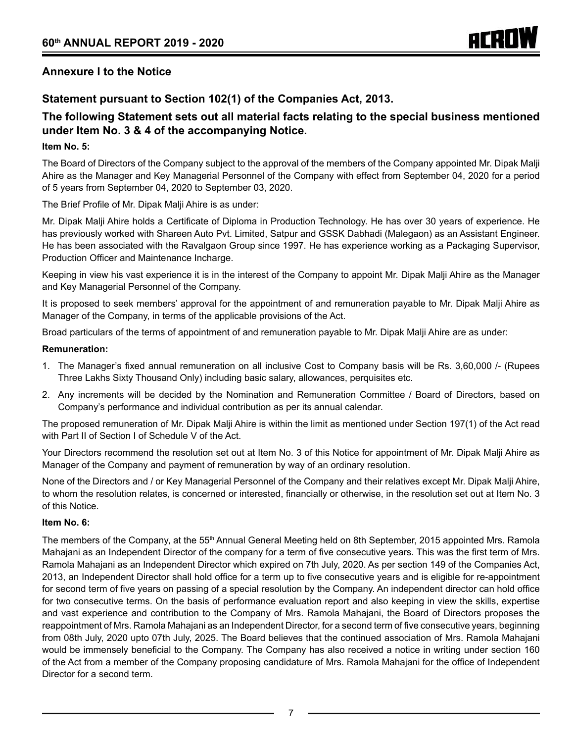## **Annexure I to the Notice**

# **Statement pursuant to Section 102(1) of the Companies Act, 2013.**

# **The following Statement sets out all material facts relating to the special business mentioned under Item No. 3 & 4 of the accompanying Notice.**

#### **Item No. 5:**

The Board of Directors of the Company subject to the approval of the members of the Company appointed Mr. Dipak Malji Ahire as the Manager and Key Managerial Personnel of the Company with effect from September 04, 2020 for a period of 5 years from September 04, 2020 to September 03, 2020.

The Brief Profile of Mr. Dipak Malji Ahire is as under:

Mr. Dipak Malji Ahire holds a Certificate of Diploma in Production Technology. He has over 30 years of experience. He has previously worked with Shareen Auto Pvt. Limited, Satpur and GSSK Dabhadi (Malegaon) as an Assistant Engineer. He has been associated with the Ravalgaon Group since 1997. He has experience working as a Packaging Supervisor, Production Officer and Maintenance Incharge.

Keeping in view his vast experience it is in the interest of the Company to appoint Mr. Dipak Malji Ahire as the Manager and Key Managerial Personnel of the Company.

It is proposed to seek members' approval for the appointment of and remuneration payable to Mr. Dipak Malji Ahire as Manager of the Company, in terms of the applicable provisions of the Act.

Broad particulars of the terms of appointment of and remuneration payable to Mr. Dipak Malji Ahire are as under:

#### **Remuneration:**

- 1. The Manager's fixed annual remuneration on all inclusive Cost to Company basis will be Rs. 3,60,000 /- (Rupees Three Lakhs Sixty Thousand Only) including basic salary, allowances, perquisites etc.
- 2. Any increments will be decided by the Nomination and Remuneration Committee / Board of Directors, based on Company's performance and individual contribution as per its annual calendar.

The proposed remuneration of Mr. Dipak Malji Ahire is within the limit as mentioned under Section 197(1) of the Act read with Part II of Section I of Schedule V of the Act.

Your Directors recommend the resolution set out at Item No. 3 of this Notice for appointment of Mr. Dipak Malji Ahire as Manager of the Company and payment of remuneration by way of an ordinary resolution.

None of the Directors and / or Key Managerial Personnel of the Company and their relatives except Mr. Dipak Malji Ahire, to whom the resolution relates, is concerned or interested, financially or otherwise, in the resolution set out at Item No. 3 of this Notice.

#### **Item No. 6:**

The members of the Company, at the 55<sup>th</sup> Annual General Meeting held on 8th September, 2015 appointed Mrs. Ramola Mahajani as an Independent Director of the company for a term of five consecutive years. This was the first term of Mrs. Ramola Mahajani as an Independent Director which expired on 7th July, 2020. As per section 149 of the Companies Act, 2013, an Independent Director shall hold office for a term up to five consecutive years and is eligible for re-appointment for second term of five years on passing of a special resolution by the Company. An independent director can hold office for two consecutive terms. On the basis of performance evaluation report and also keeping in view the skills, expertise and vast experience and contribution to the Company of Mrs. Ramola Mahajani, the Board of Directors proposes the reappointment of Mrs. Ramola Mahajani as an Independent Director, for a second term of five consecutive years, beginning from 08th July, 2020 upto 07th July, 2025. The Board believes that the continued association of Mrs. Ramola Mahajani would be immensely beneficial to the Company. The Company has also received a notice in writing under section 160 of the Act from a member of the Company proposing candidature of Mrs. Ramola Mahajani for the office of Independent Director for a second term.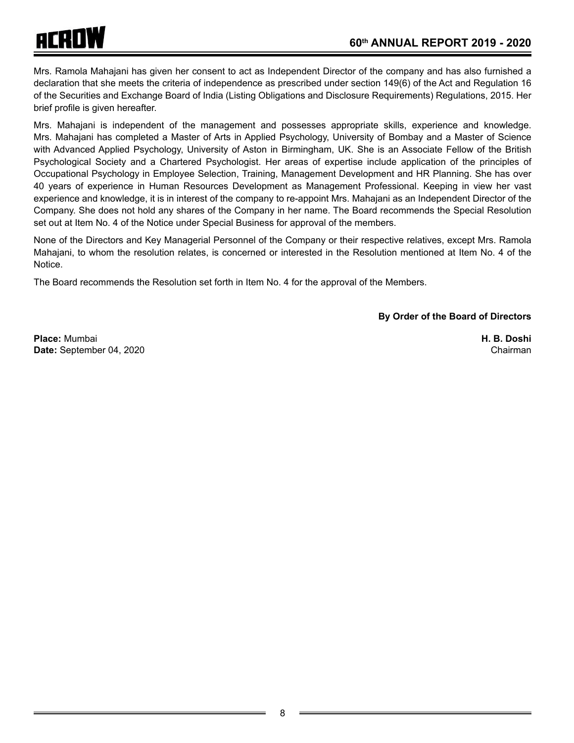

Mrs. Ramola Mahajani has given her consent to act as Independent Director of the company and has also furnished a declaration that she meets the criteria of independence as prescribed under section 149(6) of the Act and Regulation 16 of the Securities and Exchange Board of India (Listing Obligations and Disclosure Requirements) Regulations, 2015. Her brief profile is given hereafter.

Mrs. Mahajani is independent of the management and possesses appropriate skills, experience and knowledge. Mrs. Mahajani has completed a Master of Arts in Applied Psychology, University of Bombay and a Master of Science with Advanced Applied Psychology, University of Aston in Birmingham, UK. She is an Associate Fellow of the British Psychological Society and a Chartered Psychologist. Her areas of expertise include application of the principles of Occupational Psychology in Employee Selection, Training, Management Development and HR Planning. She has over 40 years of experience in Human Resources Development as Management Professional. Keeping in view her vast experience and knowledge, it is in interest of the company to re-appoint Mrs. Mahajani as an Independent Director of the Company. She does not hold any shares of the Company in her name. The Board recommends the Special Resolution set out at Item No. 4 of the Notice under Special Business for approval of the members.

None of the Directors and Key Managerial Personnel of the Company or their respective relatives, except Mrs. Ramola Mahajani, to whom the resolution relates, is concerned or interested in the Resolution mentioned at Item No. 4 of the Notice.

The Board recommends the Resolution set forth in Item No. 4 for the approval of the Members.

#### **By Order of the Board of Directors**

**Place:** Mumbai **H. B. Doshi Date:** September 04, 2020 Chairman Chairman Chairman Chairman Chairman Chairman Chairman Chairman Chairman Chairman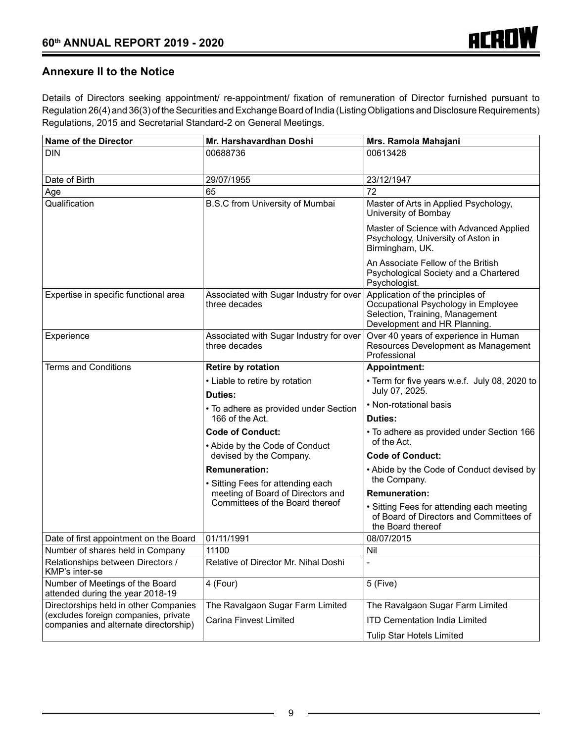# **Annexure II to the Notice**

Details of Directors seeking appointment/ re-appointment/ fixation of remuneration of Director furnished pursuant to Regulation 26(4) and 36(3) of the Securities and Exchange Board of India (Listing Obligations and Disclosure Requirements) Regulations, 2015 and Secretarial Standard-2 on General Meetings.

| <b>Name of the Director</b>                                                   | Mr. Harshavardhan Doshi                                   | Mrs. Ramola Mahajani                                                                                                                       |
|-------------------------------------------------------------------------------|-----------------------------------------------------------|--------------------------------------------------------------------------------------------------------------------------------------------|
| <b>DIN</b>                                                                    | 00688736                                                  | 00613428                                                                                                                                   |
| Date of Birth                                                                 | 29/07/1955                                                | 23/12/1947                                                                                                                                 |
| Age                                                                           | 65                                                        | 72                                                                                                                                         |
| Qualification                                                                 | B.S.C from University of Mumbai                           | Master of Arts in Applied Psychology,<br>University of Bombay                                                                              |
|                                                                               |                                                           | Master of Science with Advanced Applied<br>Psychology, University of Aston in<br>Birmingham, UK.                                           |
|                                                                               |                                                           | An Associate Fellow of the British<br>Psychological Society and a Chartered<br>Psychologist.                                               |
| Expertise in specific functional area                                         | Associated with Sugar Industry for over<br>three decades  | Application of the principles of<br>Occupational Psychology in Employee<br>Selection, Training, Management<br>Development and HR Planning. |
| Experience                                                                    | Associated with Sugar Industry for over<br>three decades  | Over 40 years of experience in Human<br>Resources Development as Management<br>Professional                                                |
| Terms and Conditions                                                          | Retire by rotation                                        | <b>Appointment:</b>                                                                                                                        |
|                                                                               | • Liable to retire by rotation                            | • Term for five years w.e.f. July 08, 2020 to                                                                                              |
|                                                                               | <b>Duties:</b>                                            | July 07, 2025.                                                                                                                             |
|                                                                               | • To adhere as provided under Section                     | • Non-rotational basis                                                                                                                     |
|                                                                               | 166 of the Act.                                           | Duties:                                                                                                                                    |
|                                                                               | <b>Code of Conduct:</b><br>• Abide by the Code of Conduct | • To adhere as provided under Section 166<br>of the Act.                                                                                   |
|                                                                               | devised by the Company.                                   | <b>Code of Conduct:</b>                                                                                                                    |
|                                                                               | <b>Remuneration:</b><br>• Sitting Fees for attending each | • Abide by the Code of Conduct devised by<br>the Company.                                                                                  |
|                                                                               | meeting of Board of Directors and                         | <b>Remuneration:</b>                                                                                                                       |
|                                                                               | Committees of the Board thereof                           | • Sitting Fees for attending each meeting<br>of Board of Directors and Committees of<br>the Board thereof                                  |
| Date of first appointment on the Board                                        | 01/11/1991                                                | 08/07/2015                                                                                                                                 |
| Number of shares held in Company                                              | 11100                                                     | Nil                                                                                                                                        |
| Relationships between Directors /<br>KMP's inter-se                           | Relative of Director Mr. Nihal Doshi                      |                                                                                                                                            |
| Number of Meetings of the Board<br>attended during the year 2018-19           | 4 (Four)                                                  | 5 (Five)                                                                                                                                   |
| Directorships held in other Companies                                         | The Ravalgaon Sugar Farm Limited                          | The Ravalgaon Sugar Farm Limited                                                                                                           |
| (excludes foreign companies, private<br>companies and alternate directorship) | <b>Carina Finvest Limited</b>                             | <b>ITD Cementation India Limited</b>                                                                                                       |
|                                                                               |                                                           | Tulip Star Hotels Limited                                                                                                                  |
|                                                                               |                                                           |                                                                                                                                            |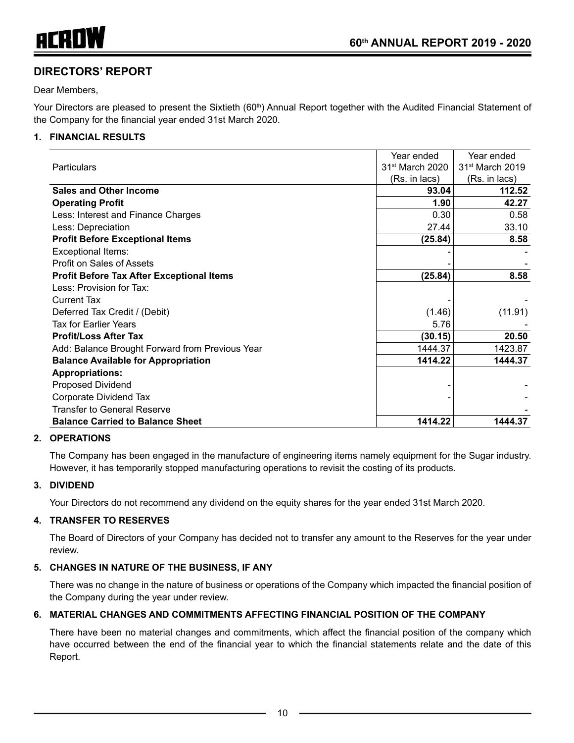

# **DIRECTORS' REPORT**

Dear Members,

Your Directors are pleased to present the Sixtieth (60<sup>th</sup>) Annual Report together with the Audited Financial Statement of the Company for the financial year ended 31st March 2020.

#### **1. FINANCIAL RESULTS**

|                                                  | Year ended                  | Year ended                  |
|--------------------------------------------------|-----------------------------|-----------------------------|
| Particulars                                      | 31 <sup>st</sup> March 2020 | 31 <sup>st</sup> March 2019 |
|                                                  | (Rs. in lacs)               | (Rs. in lacs)               |
| <b>Sales and Other Income</b>                    | 93.04                       | 112.52                      |
| <b>Operating Profit</b>                          | 1.90                        | 42.27                       |
| Less: Interest and Finance Charges               | 0.30                        | 0.58                        |
| Less: Depreciation                               | 27.44                       | 33.10                       |
| <b>Profit Before Exceptional Items</b>           | (25.84)                     | 8.58                        |
| Exceptional Items:                               |                             |                             |
| Profit on Sales of Assets                        |                             |                             |
| <b>Profit Before Tax After Exceptional Items</b> | (25.84)                     | 8.58                        |
| Less: Provision for Tax:                         |                             |                             |
| <b>Current Tax</b>                               |                             |                             |
| Deferred Tax Credit / (Debit)                    | (1.46)                      | (11.91)                     |
| <b>Tax for Earlier Years</b>                     | 5.76                        |                             |
| <b>Profit/Loss After Tax</b>                     | (30.15)                     | 20.50                       |
| Add: Balance Brought Forward from Previous Year  | 1444.37                     | 1423.87                     |
| <b>Balance Available for Appropriation</b>       | 1414.22                     | 1444.37                     |
| <b>Appropriations:</b>                           |                             |                             |
| <b>Proposed Dividend</b>                         |                             |                             |
| Corporate Dividend Tax                           |                             |                             |
| <b>Transfer to General Reserve</b>               |                             |                             |
| <b>Balance Carried to Balance Sheet</b>          | 1414.22                     | 1444.37                     |

#### **2. OPERATIONS**

The Company has been engaged in the manufacture of engineering items namely equipment for the Sugar industry. However, it has temporarily stopped manufacturing operations to revisit the costing of its products.

#### **3. DIVIDEND**

Your Directors do not recommend any dividend on the equity shares for the year ended 31st March 2020.

#### **4. TRANSFER TO RESERVES**

The Board of Directors of your Company has decided not to transfer any amount to the Reserves for the year under review.

#### **5. CHANGES IN NATURE OF THE BUSINESS, IF ANY**

There was no change in the nature of business or operations of the Company which impacted the financial position of the Company during the year under review.

#### **6. MATERIAL CHANGES AND COMMITMENTS AFFECTING FINANCIAL POSITION OF THE COMPANY**

There have been no material changes and commitments, which affect the financial position of the company which have occurred between the end of the financial year to which the financial statements relate and the date of this Report.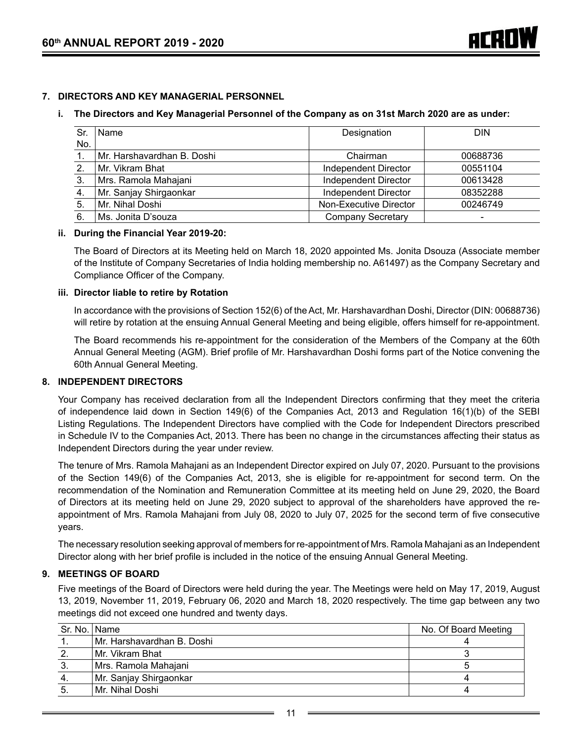#### **7. DIRECTORS AND KEY MANAGERIAL PERSONNEL**

#### **i. The Directors and Key Managerial Personnel of the Company as on 31st March 2020 are as under:**

| Sr  | Name                       | Designation                 | <b>DIN</b>               |
|-----|----------------------------|-----------------------------|--------------------------|
| No. |                            |                             |                          |
|     | Mr. Harshavardhan B. Doshi | Chairman                    | 00688736                 |
| 2.  | l Mr. Vikram Bhat          | Independent Director        | 00551104                 |
| 3.  | Mrs. Ramola Mahajani       | <b>Independent Director</b> | 00613428                 |
| 4.  | Mr. Sanjay Shirgaonkar     | <b>Independent Director</b> | 08352288                 |
| 5.  | Mr. Nihal Doshi            | Non-Executive Director      | 00246749                 |
| 6.  | l Ms. Jonita D'souzal      | <b>Company Secretary</b>    | $\overline{\phantom{a}}$ |

#### **ii. During the Financial Year 2019-20:**

The Board of Directors at its Meeting held on March 18, 2020 appointed Ms. Jonita Dsouza (Associate member of the Institute of Company Secretaries of India holding membership no. A61497) as the Company Secretary and Compliance Officer of the Company.

#### **iii. Director liable to retire by Rotation**

In accordance with the provisions of Section 152(6) of the Act, Mr. Harshavardhan Doshi, Director (DIN: 00688736) will retire by rotation at the ensuing Annual General Meeting and being eligible, offers himself for re-appointment.

 The Board recommends his re-appointment for the consideration of the Members of the Company at the 60th Annual General Meeting (AGM). Brief profile of Mr. Harshavardhan Doshi forms part of the Notice convening the 60th Annual General Meeting.

#### **8. INDEPENDENT DIRECTORS**

Your Company has received declaration from all the Independent Directors confirming that they meet the criteria of independence laid down in Section 149(6) of the Companies Act, 2013 and Regulation 16(1)(b) of the SEBI Listing Regulations. The Independent Directors have complied with the Code for Independent Directors prescribed in Schedule IV to the Companies Act, 2013. There has been no change in the circumstances affecting their status as Independent Directors during the year under review.

The tenure of Mrs. Ramola Mahajani as an Independent Director expired on July 07, 2020. Pursuant to the provisions of the Section 149(6) of the Companies Act, 2013, she is eligible for re-appointment for second term. On the recommendation of the Nomination and Remuneration Committee at its meeting held on June 29, 2020, the Board of Directors at its meeting held on June 29, 2020 subject to approval of the shareholders have approved the reappointment of Mrs. Ramola Mahajani from July 08, 2020 to July 07, 2025 for the second term of five consecutive years.

The necessary resolution seeking approval of members for re-appointment of Mrs. Ramola Mahajani as an Independent Director along with her brief profile is included in the notice of the ensuing Annual General Meeting.

#### **9. MEETINGS OF BOARD**

Five meetings of the Board of Directors were held during the year. The Meetings were held on May 17, 2019, August 13, 2019, November 11, 2019, February 06, 2020 and March 18, 2020 respectively. The time gap between any two meetings did not exceed one hundred and twenty days.

| Sr. No.   Name |                            | No. Of Board Meeting |
|----------------|----------------------------|----------------------|
|                | Mr. Harshavardhan B. Doshi |                      |
|                | Mr. Vikram Bhat            |                      |
| 3.             | Mrs. Ramola Mahajani       |                      |
| 4.             | Mr. Sanjay Shirgaonkar     |                      |
|                | l Mr. Nihal Doshi          |                      |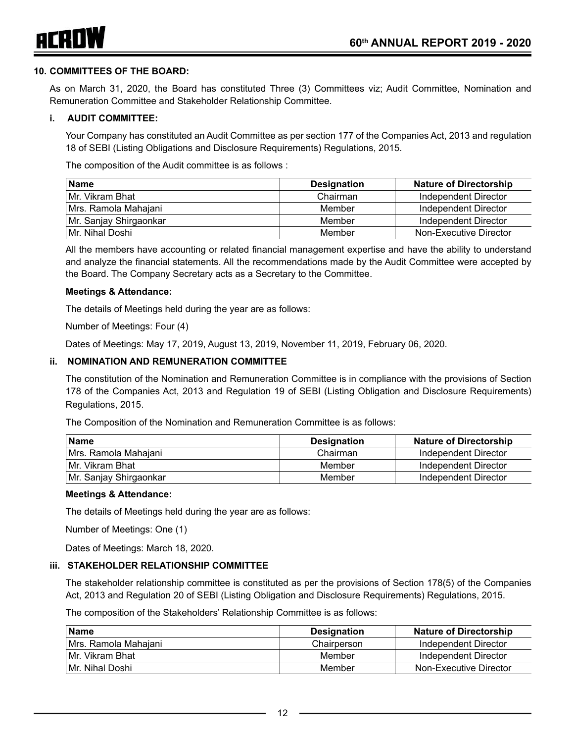

#### **10. COMMITTEES OF THE BOARD:**

As on March 31, 2020, the Board has constituted Three (3) Committees viz; Audit Committee, Nomination and Remuneration Committee and Stakeholder Relationship Committee.

#### **i. AUDIT COMMITTEE:**

Your Company has constituted an Audit Committee as per section 177 of the Companies Act, 2013 and regulation 18 of SEBI (Listing Obligations and Disclosure Requirements) Regulations, 2015.

The composition of the Audit committee is as follows :

| <b>Name</b>            | <b>Designation</b> | <b>Nature of Directorship</b> |
|------------------------|--------------------|-------------------------------|
| Mr. Vikram Bhat        | Chairman           | Independent Director          |
| Mrs. Ramola Mahajani   | Member             | Independent Director          |
| Mr. Sanjay Shirgaonkar | Member             | Independent Director          |
| Mr. Nihal Doshi        | Member             | Non-Executive Director        |

All the members have accounting or related financial management expertise and have the ability to understand and analyze the financial statements. All the recommendations made by the Audit Committee were accepted by the Board. The Company Secretary acts as a Secretary to the Committee.

#### **Meetings & Attendance:**

The details of Meetings held during the year are as follows:

Number of Meetings: Four (4)

Dates of Meetings: May 17, 2019, August 13, 2019, November 11, 2019, February 06, 2020.

#### **ii. NOMINATION AND REMUNERATION COMMITTEE**

The constitution of the Nomination and Remuneration Committee is in compliance with the provisions of Section 178 of the Companies Act, 2013 and Regulation 19 of SEBI (Listing Obligation and Disclosure Requirements) Regulations, 2015.

The Composition of the Nomination and Remuneration Committee is as follows:

| Name                   | <b>Designation</b> | <b>Nature of Directorship</b> |
|------------------------|--------------------|-------------------------------|
| l Mrs. Ramola Mahaiani | Chairman           | Independent Director          |
| ⊺Mr. Vikram Bhat       | Member             | Independent Director          |
| Mr. Sanjay Shirgaonkar | Member             | Independent Director          |

#### **Meetings & Attendance:**

The details of Meetings held during the year are as follows:

Number of Meetings: One (1)

Dates of Meetings: March 18, 2020.

#### **iii. STAKEHOLDER RELATIONSHIP COMMITTEE**

The stakeholder relationship committee is constituted as per the provisions of Section 178(5) of the Companies Act, 2013 and Regulation 20 of SEBI (Listing Obligation and Disclosure Requirements) Regulations, 2015.

The composition of the Stakeholders' Relationship Committee is as follows:

| <b>Name</b>          | <b>Designation</b> | <b>Nature of Directorship</b> |
|----------------------|--------------------|-------------------------------|
| Mrs. Ramola Mahajani | Chairperson        | Independent Director          |
| l Mr. Vikram Bhat    | Member             | Independent Director          |
| l Mr. Nihal Doshi    | Member             | Non-Executive Director        |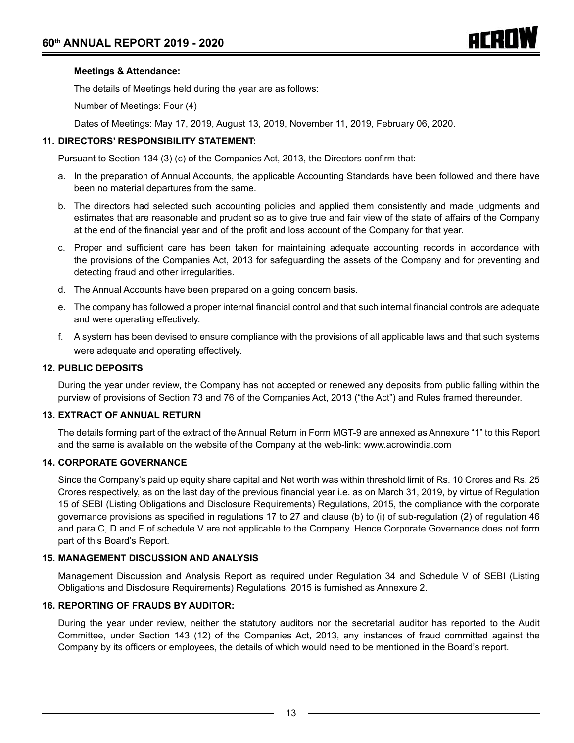#### **Meetings & Attendance:**

The details of Meetings held during the year are as follows:

Number of Meetings: Four (4)

Dates of Meetings: May 17, 2019, August 13, 2019, November 11, 2019, February 06, 2020.

#### **11. DIRECTORS' RESPONSIBILITY STATEMENT:**

 Pursuant to Section 134 (3) (c) of the Companies Act, 2013, the Directors confirm that:

- a. In the preparation of Annual Accounts, the applicable Accounting Standards have been followed and there have been no material departures from the same.
- b. The directors had selected such accounting policies and applied them consistently and made judgments and estimates that are reasonable and prudent so as to give true and fair view of the state of affairs of the Company at the end of the financial year and of the profit and loss account of the Company for that year.
- c. Proper and sufficient care has been taken for maintaining adequate accounting records in accordance with the provisions of the Companies Act, 2013 for safeguarding the assets of the Company and for preventing and detecting fraud and other irregularities.
- d. The Annual Accounts have been prepared on a going concern basis.
- e. The company has followed a proper internal financial control and that such internal financial controls are adequate and were operating effectively.
- f. A system has been devised to ensure compliance with the provisions of all applicable laws and that such systems were adequate and operating effectively.

#### **12. PUBLIC DEPOSITS**

During the year under review, the Company has not accepted or renewed any deposits from public falling within the purview of provisions of Section 73 and 76 of the Companies Act, 2013 ("the Act") and Rules framed thereunder.

#### **13. EXTRACT OF ANNUAL RETURN**

The details forming part of the extract of the Annual Return in Form MGT-9 are annexed as Annexure "1" to this Report and the same is available on the website of the Company at the web-link: www.acrowindia.com

#### **14. CORPORATE GOVERNANCE**

Since the Company's paid up equity share capital and Net worth was within threshold limit of Rs. 10 Crores and Rs. 25 Crores respectively, as on the last day of the previous financial year i.e. as on March 31, 2019, by virtue of Regulation 15 of SEBI (Listing Obligations and Disclosure Requirements) Regulations, 2015, the compliance with the corporate governance provisions as specified in regulations 17 to 27 and clause (b) to (i) of sub-regulation (2) of regulation 46 and para C, D and E of schedule V are not applicable to the Company. Hence Corporate Governance does not form part of this Board's Report.

#### **15. MANAGEMENT DISCUSSION AND ANALYSIS**

Management Discussion and Analysis Report as required under Regulation 34 and Schedule V of SEBI (Listing Obligations and Disclosure Requirements) Regulations, 2015 is furnished as Annexure 2.

#### **16. REPORTING OF FRAUDS BY AUDITOR:**

During the year under review, neither the statutory auditors nor the secretarial auditor has reported to the Audit Committee, under Section 143 (12) of the Companies Act, 2013, any instances of fraud committed against the Company by its officers or employees, the details of which would need to be mentioned in the Board's report.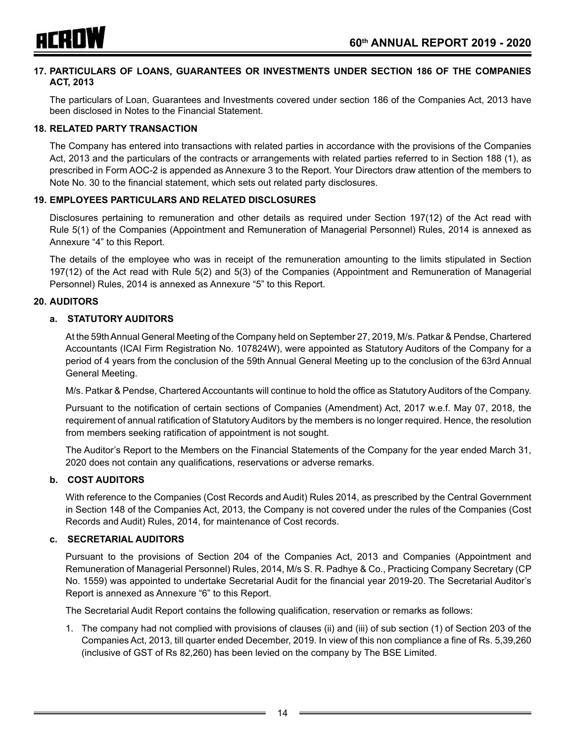

#### **17. PARTICULARS OF LOANS, GUARANTEES OR INVESTMENTS UNDER SECTION 186 OF THE COMPANIES ACT, 2013**

The particulars of Loan, Guarantees and Investments covered under section 186 of the Companies Act, 2013 have been disclosed in Notes to the Financial Statement.

#### **18. RELATED PARTY TRANSACTION**

The Company has entered into transactions with related parties in accordance with the provisions of the Companies Act, 2013 and the particulars of the contracts or arrangements with related parties referred to in Section 188 (1), as prescribed in Form AOC-2 is appended as Annexure 3 to the Report. Your Directors draw attention of the members to Note No. 30 to the financial statement, which sets out related party disclosures.

#### **19. EMPLOYEES PARTICULARS AND RELATED DISCLOSURES**

Disclosures pertaining to remuneration and other details as required under Section 197(12) of the Act read with Rule 5(1) of the Companies (Appointment and Remuneration of Managerial Personnel) Rules, 2014 is annexed as Annexure "4" to this Report.

The details of the employee who was in receipt of the remuneration amounting to the limits stipulated in Section 197(12) of the Act read with Rule 5(2) and 5(3) of the Companies (Appointment and Remuneration of Managerial Personnel) Rules, 2014 is annexed as Annexure "5" to this Report.

#### **20. AUDITORS**

#### **a. STATUTORY AUDITORS**

At the 59th Annual General Meeting of the Company held on September 27, 2019, M/s. Patkar & Pendse, Chartered Accountants (ICAI Firm Registration No. 107824W), were appointed as Statutory Auditors of the Company for a period of 4 years from the conclusion of the 59th Annual General Meeting up to the conclusion of the 63rd Annual General Meeting.

M/s. Patkar & Pendse, Chartered Accountants will continue to hold the office as Statutory Auditors of the Company.

Pursuant to the notification of certain sections of Companies (Amendment) Act, 2017 w.e.f. May 07, 2018, the requirement of annual ratification of Statutory Auditors by the members is no longer required. Hence, the resolution from members seeking ratification of appointment is not sought.

The Auditor's Report to the Members on the Financial Statements of the Company for the year ended March 31, 2020 does not contain any qualifications, reservations or adverse remarks.

#### **b. COST AUDITORS**

With reference to the Companies (Cost Records and Audit) Rules 2014, as prescribed by the Central Government in Section 148 of the Companies Act, 2013, the Company is not covered under the rules of the Companies (Cost Records and Audit) Rules, 2014, for maintenance of Cost records.

#### **c. SECRETARIAL AUDITORS**

Pursuant to the provisions of Section 204 of the Companies Act, 2013 and Companies (Appointment and Remuneration of Managerial Personnel) Rules, 2014, M/s S. R. Padhye & Co., Practicing Company Secretary (CP No. 1559) was appointed to undertake Secretarial Audit for the financial year 2019-20. The Secretarial Auditor's Report is annexed as Annexure "6" to this Report.

The Secretarial Audit Report contains the following qualification, reservation or remarks as follows:

1. The company had not complied with provisions of clauses (ii) and (iii) of sub section (1) of Section 203 of the Companies Act, 2013, till quarter ended December, 2019. In view of this non compliance a fine of Rs. 5,39,260 (inclusive of GST of Rs 82,260) has been levied on the company by The BSE Limited.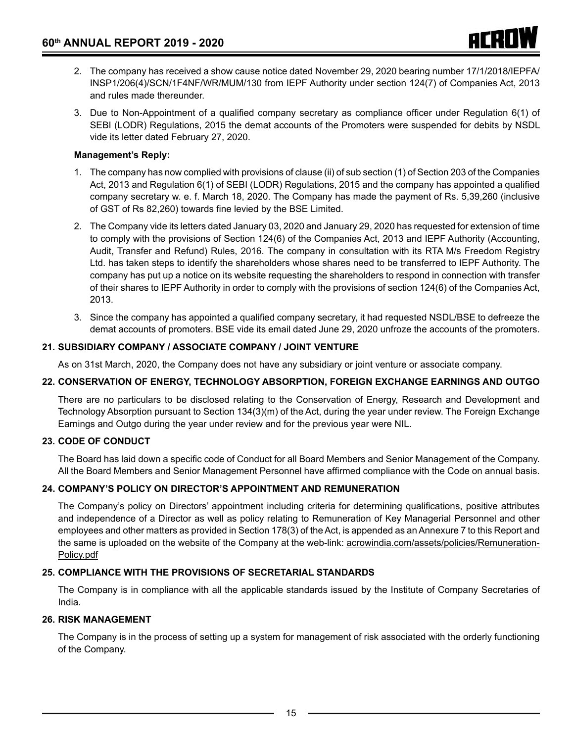- 2. The company has received a show cause notice dated November 29, 2020 bearing number 17/1/2018/IEPFA/ INSP1/206(4)/SCN/1F4NF/WR/MUM/130 from IEPF Authority under section 124(7) of Companies Act, 2013 and rules made thereunder.
- 3. Due to Non-Appointment of a qualified company secretary as compliance officer under Regulation 6(1) of SEBI (LODR) Regulations, 2015 the demat accounts of the Promoters were suspended for debits by NSDL vide its letter dated February 27, 2020.

## **Management's Reply:**

- 1. The company has now complied with provisions of clause (ii) of sub section (1) of Section 203 of the Companies Act, 2013 and Regulation 6(1) of SEBI (LODR) Regulations, 2015 and the company has appointed a qualified company secretary w. e. f. March 18, 2020. The Company has made the payment of Rs. 5,39,260 (inclusive of GST of Rs 82,260) towards fine levied by the BSE Limited.
- 2. The Company vide its letters dated January 03, 2020 and January 29, 2020 has requested for extension of time to comply with the provisions of Section 124(6) of the Companies Act, 2013 and IEPF Authority (Accounting, Audit, Transfer and Refund) Rules, 2016. The company in consultation with its RTA M/s Freedom Registry Ltd. has taken steps to identify the shareholders whose shares need to be transferred to IEPF Authority. The company has put up a notice on its website requesting the shareholders to respond in connection with transfer of their shares to IEPF Authority in order to comply with the provisions of section 124(6) of the Companies Act, 2013.
- 3. Since the company has appointed a qualified company secretary, it had requested NSDL/BSE to defreeze the demat accounts of promoters. BSE vide its email dated June 29, 2020 unfroze the accounts of the promoters.

## **21. SUBSIDIARY COMPANY / ASSOCIATE COMPANY / JOINT VENTURE**

As on 31st March, 2020, the Company does not have any subsidiary or joint venture or associate company.

## **22. CONSERVATION OF ENERGY, TECHNOLOGY ABSORPTION, FOREIGN EXCHANGE EARNINGS AND OUTGO**

There are no particulars to be disclosed relating to the Conservation of Energy, Research and Development and Technology Absorption pursuant to Section 134(3)(m) of the Act, during the year under review. The Foreign Exchange Earnings and Outgo during the year under review and for the previous year were NIL.

## **23. CODE OF CONDUCT**

The Board has laid down a specific code of Conduct for all Board Members and Senior Management of the Company. All the Board Members and Senior Management Personnel have affirmed compliance with the Code on annual basis.

## **24. COMPANY'S POLICY ON DIRECTOR'S APPOINTMENT AND REMUNERATION**

The Company's policy on Directors' appointment including criteria for determining qualifications, positive attributes and independence of a Director as well as policy relating to Remuneration of Key Managerial Personnel and other employees and other matters as provided in Section 178(3) of the Act, is appended as an Annexure 7 to this Report and the same is uploaded on the website of the Company at the web-link: acrowindia.com/assets/policies/Remuneration-Policy.pdf

## **25. COMPLIANCE WITH THE PROVISIONS OF SECRETARIAL STANDARDS**

The Company is in compliance with all the applicable standards issued by the Institute of Company Secretaries of India.

## **26. RISK MANAGEMENT**

The Company is in the process of setting up a system for management of risk associated with the orderly functioning of the Company.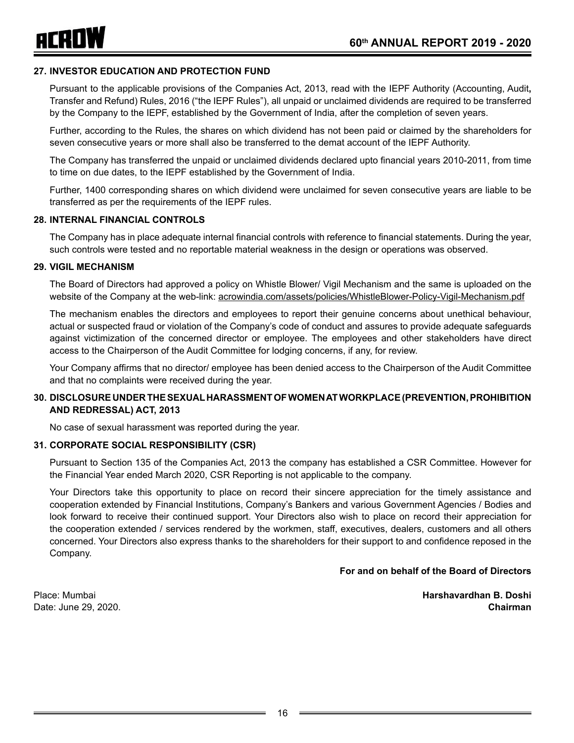

#### **27. INVESTOR EDUCATION AND PROTECTION FUND**

Pursuant to the applicable provisions of the Companies Act, 2013, read with the IEPF Authority (Accounting, Audit**,**  Transfer and Refund) Rules, 2016 ("the IEPF Rules"), all unpaid or unclaimed dividends are required to be transferred by the Company to the IEPF, established by the Government of India, after the completion of seven years.

Further, according to the Rules, the shares on which dividend has not been paid or claimed by the shareholders for seven consecutive years or more shall also be transferred to the demat account of the IEPF Authority.

The Company has transferred the unpaid or unclaimed dividends declared upto financial years 2010-2011, from time to time on due dates, to the IEPF established by the Government of India.

Further, 1400 corresponding shares on which dividend were unclaimed for seven consecutive years are liable to be transferred as per the requirements of the IEPF rules.

#### **28. INTERNAL FINANCIAL CONTROLS**

The Company has in place adequate internal financial controls with reference to financial statements. During the year, such controls were tested and no reportable material weakness in the design or operations was observed.

#### **29. VIGIL MECHANISM**

The Board of Directors had approved a policy on Whistle Blower/ Vigil Mechanism and the same is uploaded on the website of the Company at the web-link: acrowindia.com/assets/policies/WhistleBlower-Policy-Vigil-Mechanism.pdf

The mechanism enables the directors and employees to report their genuine concerns about unethical behaviour, actual or suspected fraud or violation of the Company's code of conduct and assures to provide adequate safeguards against victimization of the concerned director or employee. The employees and other stakeholders have direct access to the Chairperson of the Audit Committee for lodging concerns, if any, for review.

Your Company affirms that no director/ employee has been denied access to the Chairperson of the Audit Committee and that no complaints were received during the year.

#### **30. DISCLOSURE UNDER THE SEXUAL HARASSMENT OF WOMEN AT WORKPLACE (PREVENTION, PROHIBITION AND REDRESSAL) ACT, 2013**

No case of sexual harassment was reported during the year.

#### **31. CORPORATE SOCIAL RESPONSIBILITY (CSR)**

Pursuant to Section 135 of the Companies Act, 2013 the company has established a CSR Committee. However for the Financial Year ended March 2020, CSR Reporting is not applicable to the company.

Your Directors take this opportunity to place on record their sincere appreciation for the timely assistance and cooperation extended by Financial Institutions, Company's Bankers and various Government Agencies / Bodies and look forward to receive their continued support. Your Directors also wish to place on record their appreciation for the cooperation extended / services rendered by the workmen, staff, executives, dealers, customers and all others concerned. Your Directors also express thanks to the shareholders for their support to and confidence reposed in the Company.

#### **For and on behalf of the Board of Directors**

Place: Mumbai **Harshavardhan B. Doshi** Date: June 29, 2020. **Chairman**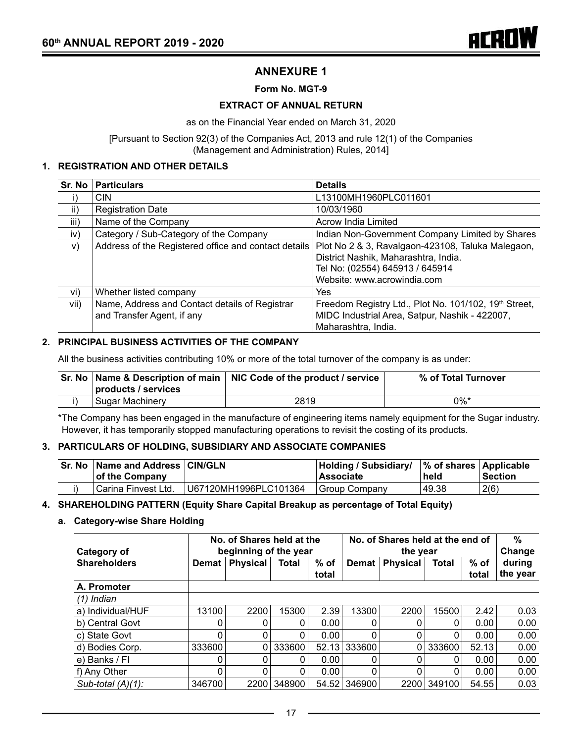# **ANNEXURE 1**

#### **Form No. MGT-9**

#### **EXTRACT OF ANNUAL RETURN**

as on the Financial Year ended on March 31, 2020

[Pursuant to Section 92(3) of the Companies Act, 2013 and rule 12(1) of the Companies (Management and Administration) Rules, 2014]

#### **1. REGISTRATION AND OTHER DETAILS**

| Sr. No       | <b>Particulars</b>                                                           | <b>Details</b>                                                                                                                                              |
|--------------|------------------------------------------------------------------------------|-------------------------------------------------------------------------------------------------------------------------------------------------------------|
| $\mathsf{i}$ | <b>CIN</b>                                                                   | L13100MH1960PLC011601                                                                                                                                       |
| ii)          | <b>Registration Date</b>                                                     | 10/03/1960                                                                                                                                                  |
| iii)         | Name of the Company                                                          | Acrow India Limited                                                                                                                                         |
| iv)          | Category / Sub-Category of the Company                                       | Indian Non-Government Company Limited by Shares                                                                                                             |
| V)           | Address of the Registered office and contact details                         | Plot No 2 & 3, Ravalgaon-423108, Taluka Malegaon,<br>District Nashik, Maharashtra, India.<br>Tel No: (02554) 645913 / 645914<br>Website: www.acrowindia.com |
| vi)          | Whether listed company                                                       | Yes                                                                                                                                                         |
| vii)         | Name, Address and Contact details of Registrar<br>and Transfer Agent, if any | Freedom Registry Ltd., Plot No. 101/102, 19 <sup>th</sup> Street,<br>MIDC Industrial Area, Satpur, Nashik - 422007,<br>Maharashtra, India.                  |

#### **2. PRINCIPAL BUSINESS ACTIVITIES OF THE COMPANY**

All the business activities contributing 10% or more of the total turnover of the company is as under:

|                     | Sr. No   Name & Description of main   NIC Code of the product / service | % of Total Turnover |
|---------------------|-------------------------------------------------------------------------|---------------------|
| products / services |                                                                         |                     |
| l Sugar Machinerv   | 2819                                                                    | $0\%$ *             |

\*The Company has been engaged in the manufacture of engineering items namely equipment for the Sugar industry. However, it has temporarily stopped manufacturing operations to revisit the costing of its products.

#### **3. PARTICULARS OF HOLDING, SUBSIDIARY AND ASSOCIATE COMPANIES**

| Sr. No   Name and Address   CIN/GLN<br>of the Company |                       | Holding / Subsidiary/<br><b>Associate</b> | $\frac{1}{6}$ of shares $\frac{1}{2}$ Applicable<br>held | ∣Section |
|-------------------------------------------------------|-----------------------|-------------------------------------------|----------------------------------------------------------|----------|
| Carina Finvest Ltd.                                   | U67120MH1996PLC101364 | Group Company                             | 49.38                                                    | 2(6)     |

#### **4. SHAREHOLDING PATTERN (Equity Share Capital Breakup as percentage of Total Equity)**

**a. Category-wise Share Holding**

| Category of          | No. of Shares held at the<br>beginning of the year |                 |              |                 | No. of Shares held at the end of<br>the year |                 |              |                 | %<br>Change        |
|----------------------|----------------------------------------------------|-----------------|--------------|-----------------|----------------------------------------------|-----------------|--------------|-----------------|--------------------|
| <b>Shareholders</b>  | Demat                                              | <b>Physical</b> | <b>Total</b> | $%$ of<br>total | Demat                                        | <b>Physical</b> | <b>Total</b> | $%$ of<br>total | during<br>the year |
| A. Promoter          |                                                    |                 |              |                 |                                              |                 |              |                 |                    |
| $(1)$ Indian         |                                                    |                 |              |                 |                                              |                 |              |                 |                    |
| a) Individual/HUF    | 13100                                              | 2200            | 15300        | 2.39            | 13300                                        | 2200            | 15500        | 2.42            | 0.03               |
| b) Central Govt      |                                                    | 0               | 0            | 0.00            | 0                                            |                 | 0            | 0.00            | 0.00               |
| c) State Govt        | 0                                                  | $\Omega$        | $\Omega$     | 0.00            | $\Omega$                                     | $\Omega$        | 0            | 0.00            | 0.00               |
| d) Bodies Corp.      | 333600                                             | 0               | 333600       | 52.13           | 333600                                       | 0               | 333600       | 52.13           | 0.00               |
| e) Banks / Fl        | 0                                                  | 0               | 0            | 0.00            | 0                                            |                 | 0            | 0.00            | 0.00               |
| f) Any Other         | 0                                                  | 0               | 0            | 0.00            | 0                                            | $\Omega$        | 0            | 0.00            | 0.00               |
| Sub-total $(A)(1)$ : | 346700                                             | 2200            | 348900       | 54.52           | 346900                                       | 2200            | 349100       | 54.55           | 0.03               |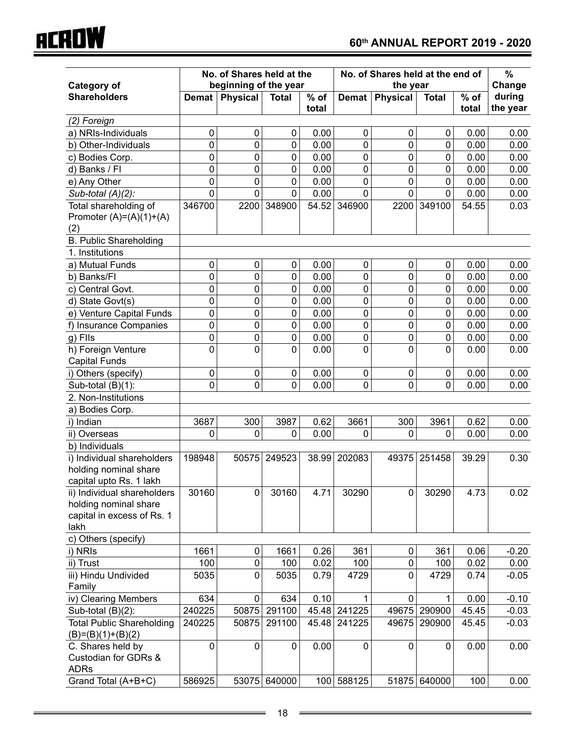|                                           | No. of Shares held at the<br>beginning of the year |                 |              |                 | No. of Shares held at the end of<br>the year |                 |              |                 | $\%$               |
|-------------------------------------------|----------------------------------------------------|-----------------|--------------|-----------------|----------------------------------------------|-----------------|--------------|-----------------|--------------------|
| <b>Category of</b>                        |                                                    |                 |              |                 |                                              |                 |              |                 | Change             |
| <b>Shareholders</b>                       | <b>Demat</b>                                       | <b>Physical</b> | <b>Total</b> | $%$ of<br>total | <b>Demat</b>                                 | <b>Physical</b> | <b>Total</b> | $%$ of<br>total | during<br>the year |
| (2) Foreign                               |                                                    |                 |              |                 |                                              |                 |              |                 |                    |
| a) NRIs-Individuals                       | 0                                                  | 0               | 0            | 0.00            | $\mathbf 0$                                  | 0               | 0            | 0.00            | 0.00               |
| b) Other-Individuals                      | 0                                                  | 0               | 0            | 0.00            | 0                                            | 0               | 0            | 0.00            | 0.00               |
| c) Bodies Corp.                           | 0                                                  | 0               | 0            | 0.00            | $\mathbf 0$                                  | 0               | $\mathbf 0$  | 0.00            | 0.00               |
| d) Banks / Fl                             | 0                                                  | 0               | 0            | 0.00            | $\mathbf 0$                                  | 0               | 0            | 0.00            | 0.00               |
| e) Any Other                              | 0                                                  | 0               | 0            | 0.00            | 0                                            | 0               | $\mathbf 0$  | 0.00            | 0.00               |
| Sub-total $(A)(2)$ :                      | 0                                                  | 0               | 0            | 0.00            | $\mathbf 0$                                  | 0               | $\Omega$     | 0.00            | 0.00               |
| Total shareholding of                     | 346700                                             | 2200            | 348900       | 54.52           | 346900                                       | 2200            | 349100       | 54.55           | 0.03               |
| Promoter $(A)=(A)(1)+(A)$                 |                                                    |                 |              |                 |                                              |                 |              |                 |                    |
| (2)                                       |                                                    |                 |              |                 |                                              |                 |              |                 |                    |
| <b>B. Public Shareholding</b>             |                                                    |                 |              |                 |                                              |                 |              |                 |                    |
| 1. Institutions                           |                                                    |                 |              |                 |                                              |                 |              |                 |                    |
| a) Mutual Funds                           | 0                                                  | $\pmb{0}$       | 0            | 0.00            | $\mathbf 0$                                  | 0               | 0            | 0.00            | 0.00               |
| b) Banks/FI                               | 0                                                  | $\pmb{0}$       | 0            | 0.00            | $\mathbf 0$                                  | 0               | $\mathbf 0$  | 0.00            | 0.00               |
| c) Central Govt.                          | 0                                                  | 0               | $\mathbf 0$  | 0.00            | $\mathbf 0$                                  | 0               | $\mathbf 0$  | 0.00            | 0.00               |
| d) State Govt(s)                          | 0                                                  | 0               | 0            | 0.00            | $\pmb{0}$                                    | 0               | $\mathbf 0$  | 0.00            | 0.00               |
| e) Venture Capital Funds                  | 0                                                  | 0               | 0            | 0.00            | $\mathbf 0$                                  | 0               | 0            | 0.00            | 0.00               |
| f) Insurance Companies                    | 0                                                  | 0               | 0            | 0.00            | $\mathbf 0$                                  | 0               | $\mathbf 0$  | 0.00            | 0.00               |
| g) Fils                                   | 0                                                  | 0               | $\pmb{0}$    | 0.00            | 0                                            | 0               | 0            | 0.00            | 0.00               |
| h) Foreign Venture                        | 0                                                  | 0               | 0            | 0.00            | 0                                            | 0               | 0            | 0.00            | 0.00               |
| <b>Capital Funds</b>                      |                                                    |                 |              |                 |                                              |                 |              |                 |                    |
| i) Others (specify)                       | 0                                                  | 0               | 0            | 0.00            | $\mathbf 0$                                  | 0               | 0            | 0.00            | 0.00               |
| Sub-total (B)(1):                         | 0                                                  | 0               | 0            | 0.00            | 0                                            | 0               | 0            | 0.00            | 0.00               |
| 2. Non-Institutions                       |                                                    |                 |              |                 |                                              |                 |              |                 |                    |
| a) Bodies Corp.                           |                                                    |                 |              |                 |                                              |                 |              |                 |                    |
| i) Indian                                 | 3687                                               | 300             | 3987         | 0.62            | 3661                                         | 300             | 3961         | 0.62            | 0.00               |
| ii) Overseas                              | 0                                                  | 0               | 0            | 0.00            | 0                                            | 0               | $\Omega$     | 0.00            | 0.00               |
| b) Individuals                            |                                                    |                 |              |                 |                                              |                 |              |                 |                    |
| i) Individual shareholders                | 198948                                             | 50575           | 249523       | 38.99           | 202083                                       | 49375           | 251458       | 39.29           | 0.30               |
| holding nominal share                     |                                                    |                 |              |                 |                                              |                 |              |                 |                    |
| capital upto Rs. 1 lakh                   |                                                    |                 |              |                 |                                              |                 |              |                 |                    |
| ii) Individual shareholders               | 30160                                              | $\mathbf 0$     | 30160        | 4.71            | 30290                                        | $\pmb{0}$       | 30290        | 4.73            | 0.02               |
| holding nominal share                     |                                                    |                 |              |                 |                                              |                 |              |                 |                    |
| capital in excess of Rs. 1                |                                                    |                 |              |                 |                                              |                 |              |                 |                    |
| lakh                                      |                                                    |                 |              |                 |                                              |                 |              |                 |                    |
| c) Others (specify)                       |                                                    |                 |              |                 |                                              |                 |              |                 |                    |
| i) NRIs                                   | 1661                                               | 0               | 1661         | 0.26            | 361                                          | 0               | 361          | 0.06            | $-0.20$            |
| ii) Trust                                 | 100                                                | 0               | 100          | 0.02            | 100                                          | 0               | 100          | 0.02            | 0.00               |
| iii) Hindu Undivided                      | 5035                                               | 0               | 5035         | 0.79            | 4729                                         | 0               | 4729         | 0.74            | $-0.05$            |
| Family                                    |                                                    |                 |              |                 |                                              |                 |              |                 |                    |
| iv) Clearing Members                      | 634                                                | 0               | 634          | 0.10            | 1                                            | $\mathbf 0$     | $\mathbf{1}$ | 0.00            | $-0.10$            |
| Sub-total $(B)(2)$ :                      | 240225                                             | 50875           | 291100       |                 | 45.48 241225                                 | 49675           | 290900       | 45.45           | $-0.03$            |
| <b>Total Public Shareholding</b>          | 240225                                             | 50875           | 291100       | 45.48           | 241225                                       | 49675           | 290900       | 45.45           | $-0.03$            |
| $(B)=(B)(1)+(B)(2)$                       |                                                    |                 |              |                 |                                              |                 |              |                 |                    |
| C. Shares held by<br>Custodian for GDRs & | $\mathbf 0$                                        | 0               | 0            | 0.00            | $\boldsymbol{0}$                             | 0               | 0            | 0.00            | 0.00               |
| <b>ADRs</b>                               |                                                    |                 |              |                 |                                              |                 |              |                 |                    |
| Grand Total (A+B+C)                       | 586925                                             |                 | 53075 640000 |                 | 100 588125                                   |                 | 51875 640000 | 100             | 0.00               |
|                                           |                                                    |                 |              |                 |                                              |                 |              |                 |                    |

**ACROW** 

 $\overline{\phantom{a}}$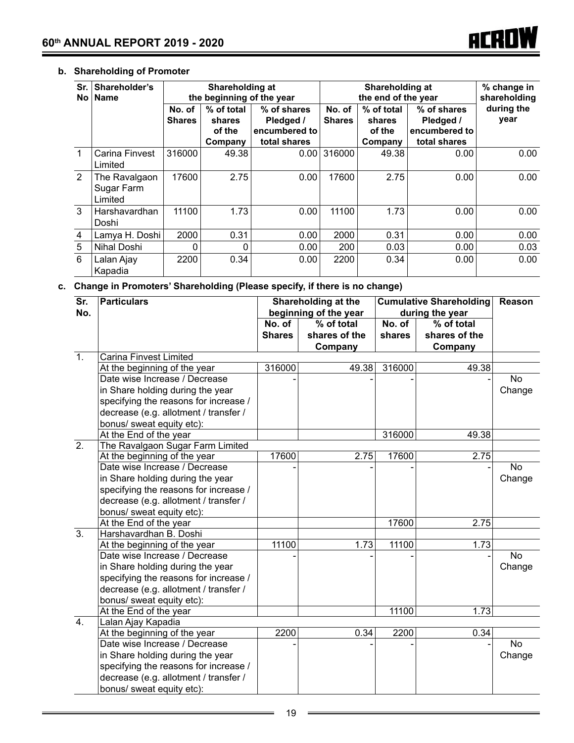# **b. Shareholding of Promoter**

| Sr.<br>No l  | Shareholder's<br><b>Name</b>           | Shareholding at<br>the beginning of the year |                                           |                                                           |                         | Shareholding at<br>the end of the year    |                                                           | % change in<br>shareholding |
|--------------|----------------------------------------|----------------------------------------------|-------------------------------------------|-----------------------------------------------------------|-------------------------|-------------------------------------------|-----------------------------------------------------------|-----------------------------|
|              |                                        | No. of<br><b>Shares</b>                      | % of total<br>shares<br>of the<br>Company | % of shares<br>Pledged /<br>encumbered to<br>total shares | No. of<br><b>Shares</b> | % of total<br>shares<br>of the<br>Company | % of shares<br>Pledged /<br>encumbered to<br>total shares | during the<br>year          |
| $\mathbf{1}$ | <b>Carina Finvest</b><br>Limited       | 316000                                       | 49.38                                     | 0.00                                                      | 316000                  | 49.38                                     | 0.00                                                      | 0.00                        |
| 2            | The Ravalgaon<br>Sugar Farm<br>Limited | 17600                                        | 2.75                                      | 0.00                                                      | 17600                   | 2.75                                      | 0.00                                                      | 0.00                        |
| 3            | Harshavardhan<br>Doshi                 | 11100                                        | 1.73                                      | 0.00                                                      | 11100                   | 1.73                                      | 0.00                                                      | 0.00                        |
| 4            | Lamya H. Doshi                         | 2000                                         | 0.31                                      | 0.00                                                      | 2000                    | 0.31                                      | 0.00                                                      | 0.00                        |
| 5            | Nihal Doshi                            |                                              | 0                                         | 0.00                                                      | 200                     | 0.03                                      | 0.00                                                      | 0.03                        |
| 6            | Lalan Ajay<br>Kapadia                  | 2200                                         | 0.34                                      | 0.00                                                      | 2200                    | 0.34                                      | 0.00                                                      | 0.00                        |

# **c. Change in Promoters' Shareholding (Please specify, if there is no change)**

|                  | $\overline{\text{Sr}}$<br><b>Particulars</b> |               | Shareholding at the   | <b>Cumulative Shareholding</b> | Reason          |           |
|------------------|----------------------------------------------|---------------|-----------------------|--------------------------------|-----------------|-----------|
| No.              |                                              |               | beginning of the year |                                | during the year |           |
|                  |                                              | No. of        | $%$ of total          | No. of                         | $%$ of total    |           |
|                  |                                              | <b>Shares</b> | shares of the         | shares                         | shares of the   |           |
|                  |                                              |               | Company               |                                | Company         |           |
| $\overline{1}$ . | Carina Finvest Limited                       |               |                       |                                |                 |           |
|                  | At the beginning of the year                 | 316000        | 49.38                 | 316000                         | 49.38           |           |
|                  | Date wise Increase / Decrease                |               |                       |                                |                 | <b>No</b> |
|                  | in Share holding during the year             |               |                       |                                |                 | Change    |
|                  | specifying the reasons for increase /        |               |                       |                                |                 |           |
|                  | decrease (e.g. allotment / transfer /        |               |                       |                                |                 |           |
|                  | bonus/ sweat equity etc):                    |               |                       |                                |                 |           |
|                  | At the End of the year                       |               |                       | 316000                         | 49.38           |           |
| $\overline{2}$ . | The Ravalgaon Sugar Farm Limited             |               |                       |                                |                 |           |
|                  | At the beginning of the year                 | 17600         | 2.75                  | 17600                          | 2.75            |           |
|                  | Date wise Increase / Decrease                |               |                       |                                |                 | <b>No</b> |
|                  | in Share holding during the year             |               |                       |                                |                 | Change    |
|                  | specifying the reasons for increase /        |               |                       |                                |                 |           |
|                  | decrease (e.g. allotment / transfer /        |               |                       |                                |                 |           |
|                  | bonus/ sweat equity etc):                    |               |                       |                                |                 |           |
|                  | At the End of the year                       |               |                       | 17600                          | 2.75            |           |
| $\overline{3}$ . | Harshavardhan B. Doshi                       |               |                       |                                |                 |           |
|                  | At the beginning of the year                 | 11100         | 1.73                  | 11100                          | 1.73            |           |
|                  | Date wise Increase / Decrease                |               |                       |                                |                 | <b>No</b> |
|                  | in Share holding during the year             |               |                       |                                |                 | Change    |
|                  | specifying the reasons for increase /        |               |                       |                                |                 |           |
|                  | decrease (e.g. allotment / transfer /        |               |                       |                                |                 |           |
|                  | bonus/ sweat equity etc):                    |               |                       |                                |                 |           |
|                  | At the End of the year                       |               |                       | 11100                          | 1.73            |           |
| $\overline{4}$ . | Lalan Ajay Kapadia                           |               |                       |                                |                 |           |
|                  | At the beginning of the year                 | 2200          | 0.34                  | 2200                           | 0.34            |           |
|                  | Date wise Increase / Decrease                |               |                       |                                |                 | <b>No</b> |
|                  | in Share holding during the year             |               |                       |                                |                 | Change    |
|                  | specifying the reasons for increase /        |               |                       |                                |                 |           |
|                  | decrease (e.g. allotment / transfer /        |               |                       |                                |                 |           |
|                  | bonus/ sweat equity etc):                    |               |                       |                                |                 |           |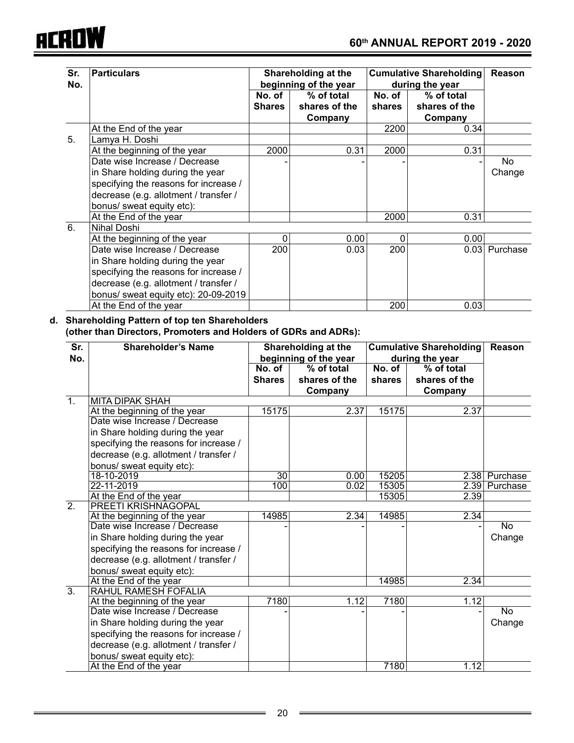

| Sr.<br>No. | <b>Particulars</b>                                                |                  | Shareholding at the<br>beginning of the year |                  | <b>Cumulative Shareholding</b><br>during the year | <b>Reason</b>            |
|------------|-------------------------------------------------------------------|------------------|----------------------------------------------|------------------|---------------------------------------------------|--------------------------|
|            |                                                                   | No. of<br>Shares | % of total<br>shares of the<br>Company       | No. of<br>shares | % of total<br>shares of the<br>Company            |                          |
|            | At the End of the year                                            |                  |                                              | 2200             | 0.34                                              |                          |
| 5.         | Lamya H. Doshi                                                    |                  |                                              |                  |                                                   |                          |
|            | At the beginning of the year                                      | 2000             | 0.31                                         | 2000             | 0.31                                              |                          |
|            | Date wise Increase / Decrease<br>in Share holding during the year |                  |                                              |                  |                                                   | N <sub>o</sub><br>Change |
|            | specifying the reasons for increase /                             |                  |                                              |                  |                                                   |                          |
|            | decrease (e.g. allotment / transfer /                             |                  |                                              |                  |                                                   |                          |
|            | bonus/ sweat equity etc):                                         |                  |                                              |                  |                                                   |                          |
|            | At the End of the year                                            |                  |                                              | 2000             | 0.31                                              |                          |
| 6.         | Nihal Doshi                                                       |                  |                                              |                  |                                                   |                          |
|            | At the beginning of the year                                      | 0                | 0.00                                         | 0                | 0.00                                              |                          |
|            | Date wise Increase / Decrease                                     | 200              | 0.03                                         | 200              |                                                   | 0.03 Purchase            |
|            | in Share holding during the year                                  |                  |                                              |                  |                                                   |                          |
|            | specifying the reasons for increase /                             |                  |                                              |                  |                                                   |                          |
|            | decrease (e.g. allotment / transfer /                             |                  |                                              |                  |                                                   |                          |
|            | bonus/ sweat equity etc): 20-09-2019                              |                  |                                              |                  |                                                   |                          |
|            | At the End of the year                                            |                  |                                              | 200              | 0.03                                              |                          |

#### **d. Shareholding Pattern of top ten Shareholders (other than Directors, Promoters and Holders of GDRs and ADRs):**

| Sr.<br>No.       | <b>Shareholder's Name</b>                                     |                 | Shareholding at the<br>beginning of the year | <b>Cumulative Shareholding</b><br>during the year |               | Reason        |
|------------------|---------------------------------------------------------------|-----------------|----------------------------------------------|---------------------------------------------------|---------------|---------------|
|                  |                                                               | No. of          | % of total                                   | No. of                                            | % of total    |               |
|                  |                                                               | <b>Shares</b>   | shares of the                                | shares                                            | shares of the |               |
|                  |                                                               |                 | Company                                      |                                                   | Company       |               |
| $\overline{1}$ . | MITA DIPAK SHAH                                               |                 |                                              |                                                   |               |               |
|                  | At the beginning of the year                                  | 15175           | 2.37                                         | 15175                                             | 2.37          |               |
|                  | Date wise Increase / Decrease                                 |                 |                                              |                                                   |               |               |
|                  | in Share holding during the year                              |                 |                                              |                                                   |               |               |
|                  | specifying the reasons for increase /                         |                 |                                              |                                                   |               |               |
|                  | decrease (e.g. allotment / transfer /                         |                 |                                              |                                                   |               |               |
|                  | bonus/ sweat equity etc):                                     |                 |                                              |                                                   |               |               |
|                  | 18-10-2019                                                    | $\overline{30}$ | 0.00                                         | 15205                                             | 2.38          | Purchase      |
|                  | 22-11-2019                                                    | 100             | 0.02                                         | 15305                                             |               | 2.39 Purchase |
|                  | At the End of the year                                        |                 |                                              | 15305                                             | 2.39          |               |
| $\overline{2}$ . | PREETI KRISHNAGOPAL                                           |                 |                                              |                                                   |               |               |
|                  | At the beginning of the year                                  | 14985           | 2.34                                         | 14985                                             | 2.34          |               |
|                  | Date wise Increase / Decrease                                 |                 |                                              |                                                   |               | <b>No</b>     |
|                  | in Share holding during the year                              |                 |                                              |                                                   |               | Change        |
|                  | specifying the reasons for increase /                         |                 |                                              |                                                   |               |               |
|                  | decrease (e.g. allotment / transfer /                         |                 |                                              |                                                   |               |               |
|                  | bonus/ sweat equity etc):                                     |                 |                                              |                                                   |               |               |
|                  | At the End of the year                                        |                 |                                              | 14985                                             | 2.34          |               |
| $\overline{3}$ . | RAHUL RAMESH FOFALIA                                          |                 |                                              |                                                   |               |               |
|                  | At the beginning of the year<br>Date wise Increase / Decrease | 7180            | 1.12                                         | 7180                                              | 1.12          |               |
|                  |                                                               |                 |                                              |                                                   |               | <b>No</b>     |
|                  | in Share holding during the year                              |                 |                                              |                                                   |               | Change        |
|                  | specifying the reasons for increase /                         |                 |                                              |                                                   |               |               |
|                  | decrease (e.g. allotment / transfer /                         |                 |                                              |                                                   |               |               |
|                  | bonus/ sweat equity etc):                                     |                 |                                              |                                                   |               |               |
|                  | At the End of the year                                        |                 |                                              | 7180                                              | 1.12          |               |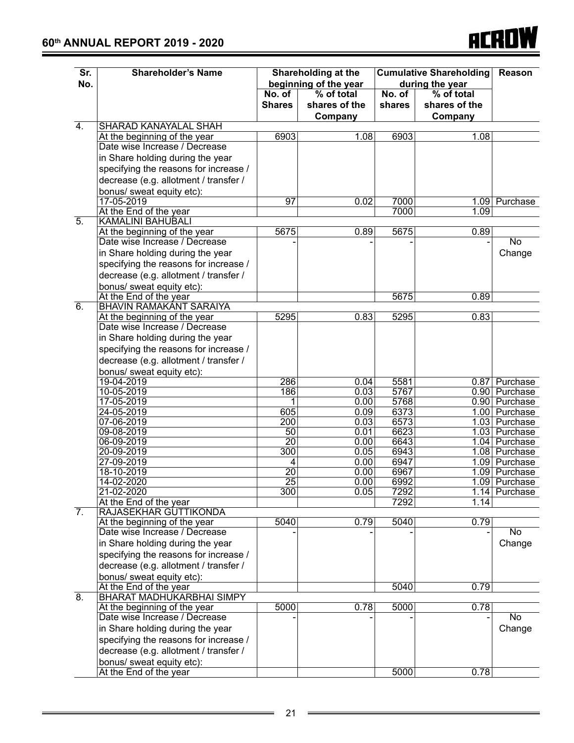

| Sr.<br>No.       | <b>Shareholder's Name</b>                                     |                         | <b>Shareholding at the</b><br>beginning of the year |                                        | <b>Cumulative Shareholding</b><br>during the year | Reason                         |
|------------------|---------------------------------------------------------------|-------------------------|-----------------------------------------------------|----------------------------------------|---------------------------------------------------|--------------------------------|
|                  |                                                               | No. of<br><b>Shares</b> | % of total<br>shares of the<br>Company              | $\overline{\mathsf{No.}}$ of<br>shares | % of total<br>shares of the<br>Company            |                                |
| $\overline{4}$ . | SHARAD KANAYALAL SHAH                                         |                         |                                                     |                                        |                                                   |                                |
|                  | At the beginning of the year                                  | 6903                    | 1.08                                                | 6903                                   | 1.08                                              |                                |
|                  | Date wise Increase / Decrease                                 |                         |                                                     |                                        |                                                   |                                |
|                  | in Share holding during the year                              |                         |                                                     |                                        |                                                   |                                |
|                  | specifying the reasons for increase /                         |                         |                                                     |                                        |                                                   |                                |
|                  | decrease (e.g. allotment / transfer /                         |                         |                                                     |                                        |                                                   |                                |
|                  | bonus/ sweat equity etc):                                     |                         |                                                     |                                        |                                                   |                                |
|                  | 17-05-2019                                                    | $\overline{97}$         | 0.02                                                | 7000                                   |                                                   | 1.09 Purchase                  |
| $\overline{5}$ . | At the End of the year<br><b>KAMALINI BAHUBALI</b>            |                         |                                                     | 7000                                   | 1.09                                              |                                |
|                  | At the beginning of the year                                  | 5675                    | 0.89                                                | 5675                                   | 0.89                                              |                                |
|                  | Date wise Increase / Decrease                                 |                         |                                                     |                                        |                                                   | $\overline{No}$                |
|                  | in Share holding during the year                              |                         |                                                     |                                        |                                                   | Change                         |
|                  | specifying the reasons for increase /                         |                         |                                                     |                                        |                                                   |                                |
|                  | decrease (e.g. allotment / transfer /                         |                         |                                                     |                                        |                                                   |                                |
|                  | bonus/ sweat equity etc):                                     |                         |                                                     |                                        |                                                   |                                |
|                  | At the End of the year                                        |                         |                                                     | 5675                                   | 0.89                                              |                                |
| $\overline{6}$ . | <b>BHAVIN RAMAKANT SARAIYA</b>                                |                         |                                                     |                                        |                                                   |                                |
|                  | At the beginning of the year                                  | 5295                    | 0.83                                                | 5295                                   | 0.83                                              |                                |
|                  | Date wise Increase / Decrease                                 |                         |                                                     |                                        |                                                   |                                |
|                  | in Share holding during the year                              |                         |                                                     |                                        |                                                   |                                |
|                  | specifying the reasons for increase /                         |                         |                                                     |                                        |                                                   |                                |
|                  | decrease (e.g. allotment / transfer /                         |                         |                                                     |                                        |                                                   |                                |
|                  | bonus/ sweat equity etc):                                     |                         |                                                     |                                        |                                                   |                                |
|                  | 19-04-2019                                                    | 286                     | 0.04                                                | 5581                                   |                                                   | 0.87 Purchase                  |
|                  | 10-05-2019                                                    | 186                     | 0.03                                                | 5767                                   |                                                   | 0.90 Purchase                  |
|                  | 17-05-2019                                                    | 1                       | 0.00                                                | 5768                                   |                                                   | 0.90 Purchase                  |
|                  | 24-05-2019                                                    | 605<br>$\overline{200}$ | 0.09<br>0.03                                        | 6373<br>6573                           |                                                   | 1.00 Purchase<br>1.03 Purchase |
|                  | 07-06-2019<br>09-08-2019                                      | 50                      | 0.01                                                | 6623                                   | 1.03                                              | Purchase                       |
|                  | 06-09-2019                                                    | $\overline{20}$         | 0.00                                                | 6643                                   | 1.04                                              | Purchase                       |
|                  | 20-09-2019                                                    | 300                     | 0.05                                                | 6943                                   |                                                   | 1.08 Purchase                  |
|                  | 27-09-2019                                                    | 4                       | 0.00                                                | 6947                                   |                                                   | 1.09 Purchase                  |
|                  | 18-10-2019                                                    | $\overline{20}$         | 0.00                                                | 6967                                   |                                                   | 1.09 Purchase                  |
|                  | 14-02-2020                                                    | $\overline{25}$         | $\overline{0.00}$                                   | 6992                                   |                                                   | 1.09 Purchase                  |
|                  | 21-02-2020                                                    | 300                     | 0.05                                                | 7292                                   |                                                   | 1.14 Purchase                  |
|                  | At the End of the year                                        |                         |                                                     | 7292                                   | 1.14                                              |                                |
| $\overline{7}$ . | RAJASEKHAR GUTTIKONDA                                         | 5040                    | 0.79                                                | 5040                                   | 0.79                                              |                                |
|                  | At the beginning of the year<br>Date wise Increase / Decrease |                         |                                                     |                                        |                                                   | <b>No</b>                      |
|                  | in Share holding during the year                              |                         |                                                     |                                        |                                                   | Change                         |
|                  | specifying the reasons for increase /                         |                         |                                                     |                                        |                                                   |                                |
|                  | decrease (e.g. allotment / transfer /                         |                         |                                                     |                                        |                                                   |                                |
|                  | bonus/ sweat equity etc):                                     |                         |                                                     |                                        |                                                   |                                |
|                  | At the End of the year                                        |                         |                                                     | 5040                                   | 0.79                                              |                                |
| 8.               | BHARAT MADHUKARBHAI SIMPY                                     |                         |                                                     |                                        |                                                   |                                |
|                  | At the beginning of the year                                  | 5000                    | 0.78                                                | 5000                                   | 0.78                                              |                                |
|                  | Date wise Increase / Decrease                                 |                         |                                                     |                                        |                                                   | <b>No</b>                      |
|                  | in Share holding during the year                              |                         |                                                     |                                        |                                                   | Change                         |
|                  | specifying the reasons for increase /                         |                         |                                                     |                                        |                                                   |                                |
|                  | decrease (e.g. allotment / transfer /                         |                         |                                                     |                                        |                                                   |                                |
|                  | bonus/ sweat equity etc):                                     |                         |                                                     |                                        |                                                   |                                |
|                  | At the End of the year                                        |                         |                                                     | 5000                                   | 0.78                                              |                                |

 $\equiv$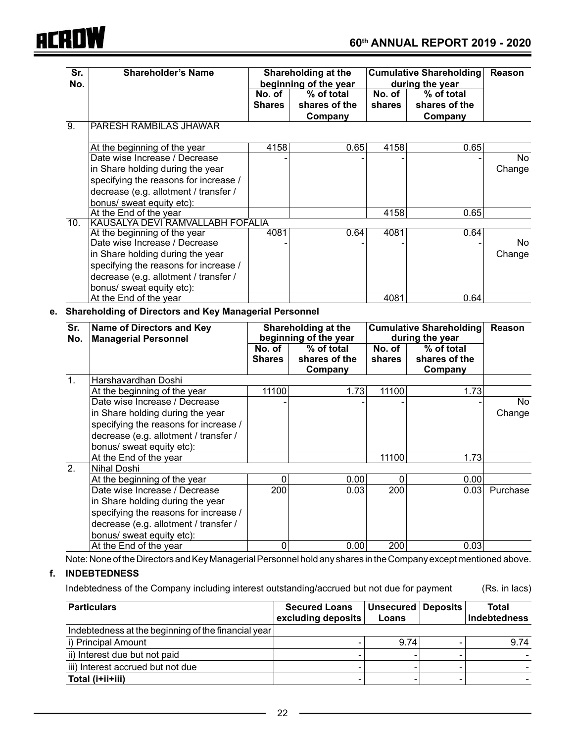

|                   | <b>Shareholder's Name</b>                                                                                                              | Shareholding at the |                          | <b>Cumulative Shareholding</b> |                                |                               |  |
|-------------------|----------------------------------------------------------------------------------------------------------------------------------------|---------------------|--------------------------|--------------------------------|--------------------------------|-------------------------------|--|
| No.               |                                                                                                                                        |                     | beginning of the year    |                                | during the year                |                               |  |
|                   |                                                                                                                                        | No. of              | $%$ of total             | $\overline{\mathsf{No.}}$ of   | % of total                     |                               |  |
|                   |                                                                                                                                        | <b>Shares</b>       | shares of the<br>Company | shares                         | shares of the<br>Company       |                               |  |
| $\overline{9}$ .  | <b>PARESH RAMBILAS JHAWAR</b>                                                                                                          |                     |                          |                                |                                |                               |  |
|                   | At the beginning of the year                                                                                                           | 4158                | 0.65                     | 4158                           | 0.65                           |                               |  |
|                   | Date wise Increase / Decrease                                                                                                          |                     |                          |                                |                                | No                            |  |
|                   | in Share holding during the year                                                                                                       |                     |                          |                                |                                | Change                        |  |
|                   | specifying the reasons for increase /                                                                                                  |                     |                          |                                |                                |                               |  |
|                   | decrease (e.g. allotment / transfer /                                                                                                  |                     |                          |                                |                                |                               |  |
|                   | bonus/ sweat equity etc):                                                                                                              |                     |                          |                                |                                |                               |  |
|                   | At the End of the year                                                                                                                 |                     |                          | 4158                           | 0.65                           |                               |  |
| $\overline{10}$ . | KAUSALYA DEVI RAMVALLABH FOFALIA                                                                                                       |                     |                          |                                |                                |                               |  |
|                   | At the beginning of the year                                                                                                           | 4081                | 0.64                     | 4081                           | 0.64                           |                               |  |
|                   | Date wise Increase / Decrease                                                                                                          |                     |                          |                                |                                | No                            |  |
|                   | in Share holding during the year                                                                                                       |                     |                          |                                |                                | Change                        |  |
|                   | specifying the reasons for increase /                                                                                                  |                     |                          |                                |                                |                               |  |
|                   | decrease (e.g. allotment / transfer /                                                                                                  |                     |                          |                                |                                |                               |  |
|                   | bonus/ sweat equity etc):                                                                                                              |                     |                          |                                |                                |                               |  |
|                   | At the End of the year                                                                                                                 |                     |                          | 4081                           | 0.64                           |                               |  |
|                   | <b>Shareholding of Directors and Key Managerial Personnel</b>                                                                          |                     |                          |                                |                                |                               |  |
| Sr.               | <b>Name of Directors and Key</b>                                                                                                       |                     | Shareholding at the      |                                | <b>Cumulative Shareholding</b> |                               |  |
| No.               | <b>Managerial Personnel</b>                                                                                                            |                     | beginning of the year    | during the year                |                                |                               |  |
|                   |                                                                                                                                        | No. of              | % of total               | No. of                         | % of total                     |                               |  |
|                   |                                                                                                                                        | <b>Shares</b>       | shares of the<br>Company | shares                         | shares of the<br>Company       |                               |  |
| $\mathbf{1}$ .    | Harshavardhan Doshi                                                                                                                    |                     |                          |                                |                                |                               |  |
|                   | At the beginning of the year                                                                                                           | 11100               | 1.73                     | 11100                          |                                |                               |  |
|                   |                                                                                                                                        |                     |                          |                                | 1.73                           |                               |  |
|                   | Date wise Increase / Decrease                                                                                                          |                     |                          |                                |                                | No                            |  |
|                   |                                                                                                                                        |                     |                          |                                |                                | Change                        |  |
|                   | in Share holding during the year                                                                                                       |                     |                          |                                |                                |                               |  |
|                   | specifying the reasons for increase /<br>decrease (e.g. allotment / transfer /                                                         |                     |                          |                                |                                |                               |  |
|                   |                                                                                                                                        |                     |                          |                                |                                |                               |  |
|                   | bonus/ sweat equity etc):                                                                                                              |                     |                          | 11100                          | 1.73                           |                               |  |
| $\overline{2}$ .  | At the End of the year<br><b>Nihal Doshi</b>                                                                                           |                     |                          |                                |                                |                               |  |
|                   |                                                                                                                                        |                     | 0<br>0.00                | 0                              |                                |                               |  |
|                   | At the beginning of the year                                                                                                           |                     |                          |                                | 0.00                           |                               |  |
|                   | Date wise Increase / Decrease                                                                                                          | 200                 | 0.03                     | 200                            |                                |                               |  |
|                   | in Share holding during the year                                                                                                       |                     |                          |                                |                                |                               |  |
|                   | specifying the reasons for increase /                                                                                                  |                     |                          |                                |                                |                               |  |
|                   | decrease (e.g. allotment / transfer /                                                                                                  |                     |                          |                                |                                | 0.03 Purchase                 |  |
|                   | bonus/ sweat equity etc):                                                                                                              |                     |                          |                                |                                |                               |  |
|                   | At the End of the year                                                                                                                 |                     | 0<br>0.00                | 200                            | 0.03                           |                               |  |
|                   | Note: None of the Directors and Key Managerial Personnel hold any shares in the Company except mentioned above.<br><b>INDEBTEDNESS</b> |                     |                          |                                |                                |                               |  |
|                   | Indebtedness of the Company including interest outstanding/accrued but not due for payment                                             |                     |                          |                                |                                |                               |  |
|                   | <b>Particulars</b>                                                                                                                     |                     | <b>Secured Loans</b>     | <b>Unsecured</b>               | <b>Deposits</b>                | (Rs. in lacs)<br><b>Total</b> |  |

| Indebtedness at the beginning of the financial year |      |      |
|-----------------------------------------------------|------|------|
| i) Principal Amount                                 | 9.74 | 9.74 |
| ii) Interest due but not paid                       |      |      |
| iii) Interest accrued but not due                   |      |      |
| Total (i+ii+iii)                                    |      |      |

 $\overline{a}$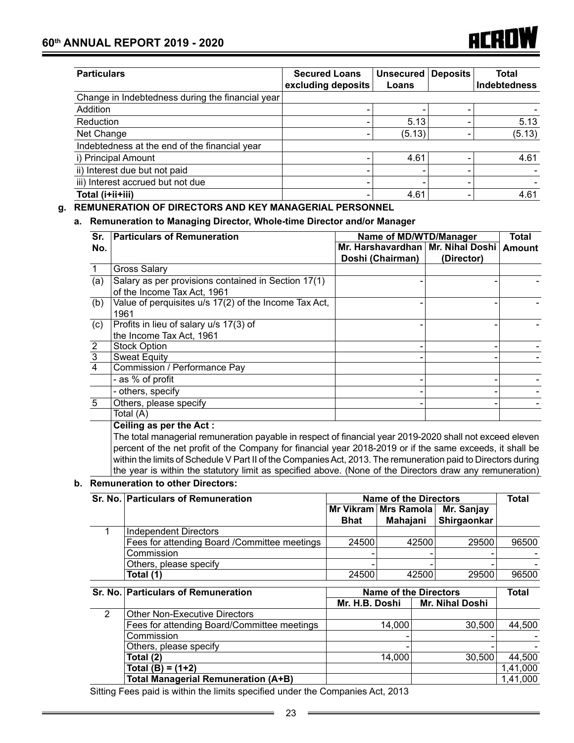| <b>Particulars</b>                               | <b>Secured Loans</b><br>excluding deposits | <b>Unsecured</b><br>Loans | <b>Deposits</b> | Total<br><b>Indebtedness</b> |
|--------------------------------------------------|--------------------------------------------|---------------------------|-----------------|------------------------------|
| Change in Indebtedness during the financial year |                                            |                           |                 |                              |
| Addition                                         |                                            |                           |                 |                              |
| Reduction                                        |                                            | 5.13                      |                 | 5.13                         |
| Net Change                                       |                                            | (5.13)                    |                 | (5.13)                       |
| Indebtedness at the end of the financial year    |                                            |                           |                 |                              |
| i) Principal Amount                              |                                            | 4.61                      |                 | 4.61                         |
| ii) Interest due but not paid                    |                                            | $\overline{\phantom{a}}$  |                 |                              |
| iii) Interest accrued but not due                |                                            | ۰                         |                 |                              |
| Total (i+ii+iii)                                 |                                            | 4.61                      |                 | 4.61                         |

#### **g. REMUNERATION OF DIRECTORS AND KEY MANAGERIAL PERSONNEL**

#### **a. Remuneration to Managing Director, Whole-time Director and/or Manager**

| Sr.            | <b>Particulars of Remuneration</b>                    | Name of MD/WTD/Manager              |            | Total         |
|----------------|-------------------------------------------------------|-------------------------------------|------------|---------------|
| No.            |                                                       | Mr. Harshavardhan   Mr. Nihal Doshi |            | <b>Amount</b> |
|                |                                                       | Doshi (Chairman)                    | (Director) |               |
|                | <b>Gross Salary</b>                                   |                                     |            |               |
| (a)            | Salary as per provisions contained in Section 17(1)   |                                     |            |               |
|                | of the Income Tax Act, 1961                           |                                     |            |               |
| (b)            | Value of perquisites u/s 17(2) of the Income Tax Act, |                                     |            |               |
|                | 1961                                                  |                                     |            |               |
| (c)            | Profits in lieu of salary u/s 17(3) of                |                                     |            |               |
|                | the Income Tax Act, 1961                              |                                     |            |               |
|                | <b>Stock Option</b>                                   |                                     |            |               |
| $\frac{2}{3}$  | <b>Sweat Equity</b>                                   |                                     |            |               |
|                | Commission / Performance Pay                          |                                     |            |               |
|                | - as % of profit                                      |                                     |            |               |
|                | - others, specify                                     |                                     |            |               |
| $\overline{5}$ | Others, please specify                                |                                     |            |               |
|                | Total (A)                                             |                                     |            |               |

#### **Ceiling as per the Act :**

The total managerial remuneration payable in respect of financial year 2019-2020 shall not exceed eleven percent of the net profit of the Company for financial year 2018-2019 or if the same exceeds, it shall be within the limits of Schedule V Part II of the Companies Act, 2013. The remuneration paid to Directors during the year is within the statutory limit as specified above. (None of the Directors draw any remuneration)

#### **b. Remuneration to other Directors:**

|                | Sr. No. Particulars of Remuneration           | <b>Name of the Directors</b> | <b>Total</b>                 |                        |          |
|----------------|-----------------------------------------------|------------------------------|------------------------------|------------------------|----------|
|                |                                               |                              | Mr Vikram   Mrs Ramola       | Mr. Sanjay             |          |
|                |                                               | Bhat                         | Mahajani                     | Shirgaonkar            |          |
|                | Independent Directors                         |                              |                              |                        |          |
|                | Fees for attending Board / Committee meetings | 24500                        | 42500                        | 29500                  | 96500    |
|                | Commission                                    |                              |                              |                        |          |
|                | Others, please specify                        |                              |                              |                        |          |
|                | Total (1)                                     | 24500                        | 42500                        | 29500                  | 96500    |
|                | Sr. No. Particulars of Remuneration           |                              | <b>Name of the Directors</b> |                        | Total    |
|                |                                               | Mr. H.B. Doshi               |                              | <b>Mr. Nihal Doshi</b> |          |
| $\overline{2}$ | <b>Other Non-Executive Directors</b>          |                              |                              |                        |          |
|                | Fees for attending Board/Committee meetings   |                              | 14,000                       | 30,500                 | 44,500   |
|                | Commission                                    |                              |                              |                        |          |
|                | Others, please specify                        |                              |                              |                        |          |
|                | Total (2)                                     |                              | 14,000                       | 30,500                 | 44,500   |
|                | Total (B) = (1+2)                             |                              |                              |                        | 1,41,000 |
|                | <b>Total Managerial Remuneration (A+B)</b>    |                              |                              |                        | 1,41,000 |

 Sitting Fees paid is within the limits specified under the Companies Act, 2013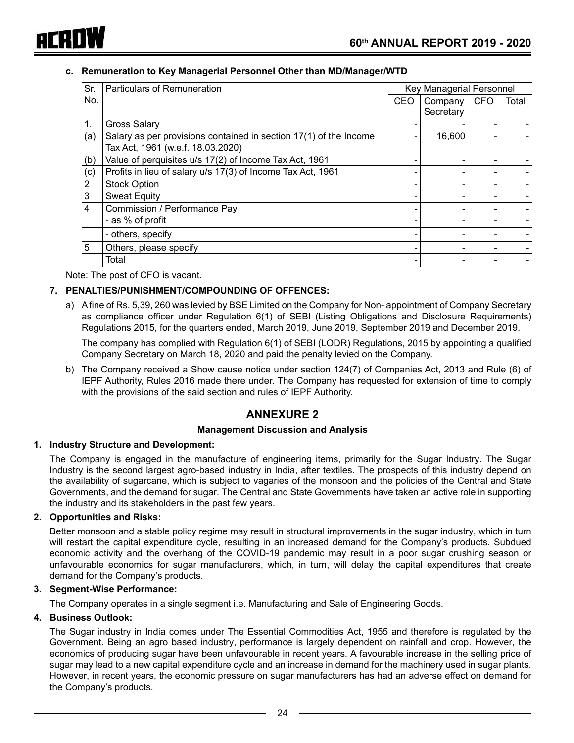

#### **c. Remuneration to Key Managerial Personnel Other than MD/Manager/WTD**

| Sr. | Particulars of Remuneration                                       |            | Key Managerial Personnel |            |       |
|-----|-------------------------------------------------------------------|------------|--------------------------|------------|-------|
| No. |                                                                   | <b>CEO</b> | Company                  | <b>CFO</b> | Total |
|     |                                                                   |            | Secretary                |            |       |
| 1.  | Gross Salary                                                      |            |                          |            |       |
| (a) | Salary as per provisions contained in section 17(1) of the Income |            | 16,600                   |            |       |
|     | Tax Act, 1961 (w.e.f. 18.03.2020)                                 |            |                          |            |       |
| (b) | Value of perquisites u/s 17(2) of Income Tax Act, 1961            |            |                          |            |       |
| (c) | Profits in lieu of salary u/s 17(3) of Income Tax Act, 1961       |            |                          |            |       |
| 2   | <b>Stock Option</b>                                               |            |                          |            |       |
| 3   | <b>Sweat Equity</b>                                               |            |                          |            |       |
| 4   | Commission / Performance Pay                                      |            |                          |            |       |
|     | - as % of profit                                                  |            |                          |            |       |
|     | - others, specify                                                 |            |                          |            |       |
| 5   | Others, please specify                                            |            |                          |            |       |
|     | Total                                                             |            |                          |            |       |

Note: The post of CFO is vacant.

#### **7. PENALTIES/PUNISHMENT/COMPOUNDING OF OFFENCES:**

a) A fine of Rs. 5,39, 260 was levied by BSE Limited on the Company for Non- appointment of Company Secretary as compliance officer under Regulation 6(1) of SEBI (Listing Obligations and Disclosure Requirements) Regulations 2015, for the quarters ended, March 2019, June 2019, September 2019 and December 2019.

 The company has complied with Regulation 6(1) of SEBI (LODR) Regulations, 2015 by appointing a qualified Company Secretary on March 18, 2020 and paid the penalty levied on the Company.

b) The Company received a Show cause notice under section 124(7) of Companies Act, 2013 and Rule (6) of IEPF Authority, Rules 2016 made there under. The Company has requested for extension of time to comply with the provisions of the said section and rules of IEPF Authority.

## **ANNEXURE 2**

#### **Management Discussion and Analysis**

#### **1. Industry Structure and Development:**

The Company is engaged in the manufacture of engineering items, primarily for the Sugar Industry. The Sugar Industry is the second largest agro-based industry in India, after textiles. The prospects of this industry depend on the availability of sugarcane, which is subject to vagaries of the monsoon and the policies of the Central and State Governments, and the demand for sugar. The Central and State Governments have taken an active role in supporting the industry and its stakeholders in the past few years.

#### **2. Opportunities and Risks:**

Better monsoon and a stable policy regime may result in structural improvements in the sugar industry, which in turn will restart the capital expenditure cycle, resulting in an increased demand for the Company's products. Subdued economic activity and the overhang of the COVID-19 pandemic may result in a poor sugar crushing season or unfavourable economics for sugar manufacturers, which, in turn, will delay the capital expenditures that create demand for the Company's products.

#### **3. Segment-Wise Performance:**

The Company operates in a single segment i.e. Manufacturing and Sale of Engineering Goods.

#### **4. Business Outlook:**

The Sugar industry in India comes under The Essential Commodities Act, 1955 and therefore is regulated by the Government. Being an agro based industry, performance is largely dependent on rainfall and crop. However, the economics of producing sugar have been unfavourable in recent years. A favourable increase in the selling price of sugar may lead to a new capital expenditure cycle and an increase in demand for the machinery used in sugar plants. However, in recent years, the economic pressure on sugar manufacturers has had an adverse effect on demand for the Company's products.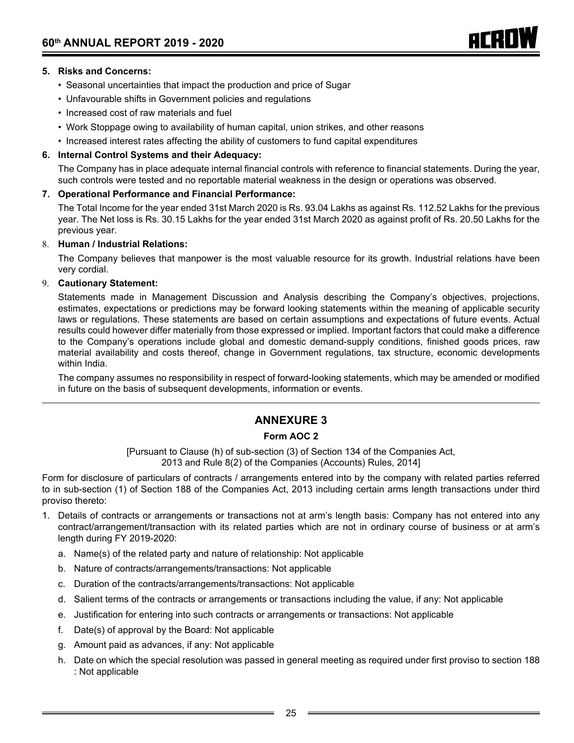- Seasonal uncertainties that impact the production and price of Sugar
- Unfavourable shifts in Government policies and regulations
- Increased cost of raw materials and fuel
- • Work Stoppage owing to availability of human capital, union strikes, and other reasons
- • Increased interest rates affecting the ability of customers to fund capital expenditures

#### **6. Internal Control Systems and their Adequacy:**

The Company has in place adequate internal financial controls with reference to financial statements. During the year, such controls were tested and no reportable material weakness in the design or operations was observed.

ACRI

#### **7. Operational Performance and Financial Performance:**

The Total Income for the year ended 31st March 2020 is Rs. 93.04 Lakhs as against Rs. 112.52 Lakhs for the previous year. The Net loss is Rs. 30.15 Lakhs for the year ended 31st March 2020 as against profit of Rs. 20.50 Lakhs for the previous year.

#### 8. **Human / Industrial Relations:**

The Company believes that manpower is the most valuable resource for its growth. Industrial relations have been very cordial.

#### 9. **Cautionary Statement:**

Statements made in Management Discussion and Analysis describing the Company's objectives, projections, estimates, expectations or predictions may be forward looking statements within the meaning of applicable security laws or regulations. These statements are based on certain assumptions and expectations of future events. Actual results could however differ materially from those expressed or implied. Important factors that could make a difference to the Company's operations include global and domestic demand-supply conditions, finished goods prices, raw material availability and costs thereof, change in Government regulations, tax structure, economic developments within India.

The company assumes no responsibility in respect of forward-looking statements, which may be amended or modified in future on the basis of subsequent developments, information or events.

# **ANNEXURE 3**

## **Form AOC 2**

[Pursuant to Clause (h) of sub-section (3) of Section 134 of the Companies Act, 2013 and Rule 8(2) of the Companies (Accounts) Rules, 2014]

Form for disclosure of particulars of contracts / arrangements entered into by the company with related parties referred to in sub-section (1) of Section 188 of the Companies Act, 2013 including certain arms length transactions under third proviso thereto:

- 1. Details of contracts or arrangements or transactions not at arm's length basis: Company has not entered into any contract/arrangement/transaction with its related parties which are not in ordinary course of business or at arm's length during FY 2019-2020:
	- a. Name(s) of the related party and nature of relationship: Not applicable
	- b. Nature of contracts/arrangements/transactions: Not applicable
	- c. Duration of the contracts/arrangements/transactions: Not applicable
	- d. Salient terms of the contracts or arrangements or transactions including the value, if any: Not applicable
	- e. Justification for entering into such contracts or arrangements or transactions: Not applicable
	- f. Date(s) of approval by the Board: Not applicable
	- g. Amount paid as advances, if any: Not applicable
	- h. Date on which the special resolution was passed in general meeting as required under first proviso to section 188 : Not applicable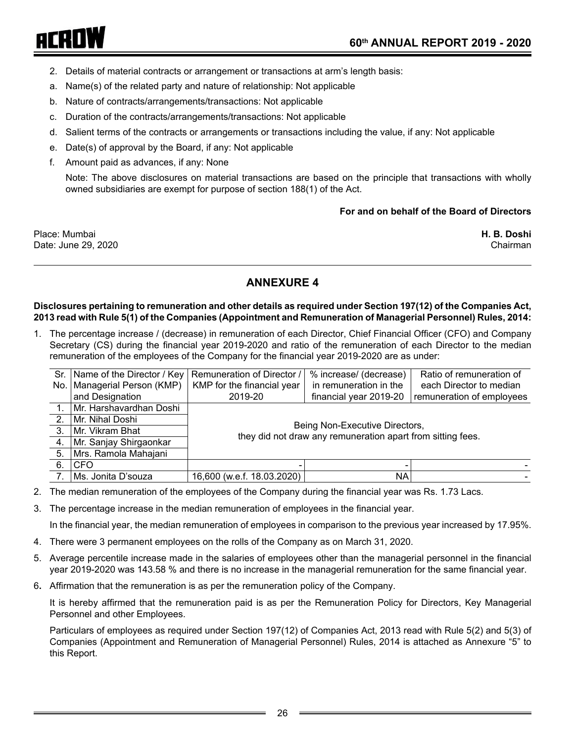# arRNW

- 2. Details of material contracts or arrangement or transactions at arm's length basis:
- a. Name(s) of the related party and nature of relationship: Not applicable
- b. Nature of contracts/arrangements/transactions: Not applicable
- c. Duration of the contracts/arrangements/transactions: Not applicable
- d. Salient terms of the contracts or arrangements or transactions including the value, if any: Not applicable
- e. Date(s) of approval by the Board, if any: Not applicable
- f. Amount paid as advances, if any: None

Note: The above disclosures on material transactions are based on the principle that transactions with wholly owned subsidiaries are exempt for purpose of section 188(1) of the Act.

#### **For and on behalf of the Board of Directors**

Place: Mumbai **H. B. Doshi** Date: June 29, 2020 Chairman Chairman Chairman Chairman Chairman Chairman Chairman Chairman Chairman Chairman

# **ANNEXURE 4**

#### **Disclosures pertaining to remuneration and other details as required under Section 197(12) of the Companies Act, 2013 read with Rule 5(1) of the Companies (Appointment and Remuneration of Managerial Personnel) Rules, 2014:**

1. The percentage increase / (decrease) in remuneration of each Director, Chief Financial Officer (CFO) and Company Secretary (CS) during the financial year 2019-2020 and ratio of the remuneration of each Director to the median remuneration of the employees of the Company for the financial year 2019-2020 are as under:

|                  | Sr.   Name of the Director / Key | Remuneration of Director /                                                      | % increase/ (decrease)                                      | Ratio of remuneration of |  |  |  |  |  |
|------------------|----------------------------------|---------------------------------------------------------------------------------|-------------------------------------------------------------|--------------------------|--|--|--|--|--|
|                  | No.   Managerial Person (KMP)    | KMP for the financial year<br>in remuneration in the<br>each Director to median |                                                             |                          |  |  |  |  |  |
|                  | and Designation                  | financial year 2019-20<br>remuneration of employees<br>2019-20                  |                                                             |                          |  |  |  |  |  |
|                  | Mr. Harshavardhan Doshi          |                                                                                 |                                                             |                          |  |  |  |  |  |
| 2.               | Mr. Nihal Doshi                  | Being Non-Executive Directors,                                                  |                                                             |                          |  |  |  |  |  |
| 3.               | Mr. Vikram Bhat                  |                                                                                 | they did not draw any remuneration apart from sitting fees. |                          |  |  |  |  |  |
| $\overline{4}$ . | Mr. Sanjay Shirgaonkar           |                                                                                 |                                                             |                          |  |  |  |  |  |
| 5.               | Mrs. Ramola Mahajani             |                                                                                 |                                                             |                          |  |  |  |  |  |
| 6.               | ∣CFO                             |                                                                                 |                                                             |                          |  |  |  |  |  |
|                  | Ms. Jonita D'souza               | 16,600 (w.e.f. 18.03.2020)                                                      | NA                                                          |                          |  |  |  |  |  |

- 2. The median remuneration of the employees of the Company during the financial year was Rs. 1.73 Lacs.
- 3. The percentage increase in the median remuneration of employees in the financial year.

In the financial year, the median remuneration of employees in comparison to the previous year increased by 17.95%.

- 4. There were 3 permanent employees on the rolls of the Company as on March 31, 2020.
- 5. Average percentile increase made in the salaries of employees other than the managerial personnel in the financial year 2019-2020 was 143.58 % and there is no increase in the managerial remuneration for the same financial year.
- 6**.** Affirmation that the remuneration is as per the remuneration policy of the Company.

It is hereby affirmed that the remuneration paid is as per the Remuneration Policy for Directors, Key Managerial Personnel and other Employees.

Particulars of employees as required under Section 197(12) of Companies Act, 2013 read with Rule 5(2) and 5(3) of Companies (Appointment and Remuneration of Managerial Personnel) Rules, 2014 is attached as Annexure "5" to this Report.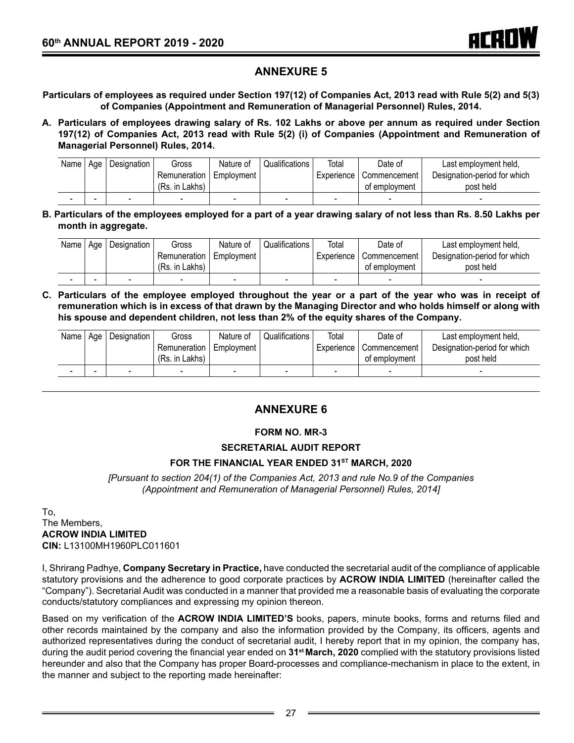# **ANNEXURE 5**

**Particulars of employees as required under Section 197(12) of Companies Act, 2013 read with Rule 5(2) and 5(3) of Companies (Appointment and Remuneration of Managerial Personnel) Rules, 2014.**

**A. Particulars of employees drawing salary of Rs. 102 Lakhs or above per annum as required under Section 197(12) of Companies Act, 2013 read with Rule 5(2) (i) of Companies (Appointment and Remuneration of Managerial Personnel) Rules, 2014.**

| Name   Age | <b>Designation</b> | Gross                     | Nature of | Qualifications | Total        | Date of        | Last employment held,        |
|------------|--------------------|---------------------------|-----------|----------------|--------------|----------------|------------------------------|
|            |                    | Remuneration   Employment |           |                | Experience I | l Commencement | Designation-period for which |
|            |                    | (Rs. in Lakhs)            |           |                |              | of employment  | post held                    |
|            |                    |                           |           | -              |              | -              |                              |

**B. Particulars of the employees employed for a part of a year drawing salary of not less than Rs. 8.50 Lakhs per month in aggregate.**

| Name $ $ | Age | Designation | Gross          | Nature of  | Qualifications | Total        | Date of       | Last employment held,        |
|----------|-----|-------------|----------------|------------|----------------|--------------|---------------|------------------------------|
|          |     |             | Remuneration   | Employment |                | Experience I | Commencement  | Designation-period for which |
|          |     |             | (Rs. in Lakhs) |            |                |              | of employment | post held                    |
|          |     |             |                |            |                |              |               |                              |

**C. Particulars of the employee employed throughout the year or a part of the year who was in receipt of remuneration which is in excess of that drawn by the Managing Director and who holds himself or along with his spouse and dependent children, not less than 2% of the equity shares of the Company.**

| Name   | . Aae | Designation | Gross          | Nature of  | Qualifications | Total      | Date of       | Last employment held,        |
|--------|-------|-------------|----------------|------------|----------------|------------|---------------|------------------------------|
|        |       |             | Remuneration   | Employment |                | Experience | Commencement  | Designation-period for which |
|        |       |             | (Rs. in Lakhs) |            |                |            | of employment | post held                    |
| $\sim$ |       | -           | -              | -          | -              | -          |               |                              |

# **ANNEXURE 6**

#### **FORM NO. MR-3**

#### **SECRETARIAL AUDIT REPORT**

#### FOR THE FINANCIAL YEAR ENDED 31<sup>ST</sup> MARCH, 2020

*[Pursuant to section 204(1) of the Companies Act, 2013 and rule No.9 of the Companies (Appointment and Remuneration of Managerial Personnel) Rules, 2014]*

To, The Members, **ACROW INDIA LIMITED CIN:** L13100MH1960PLC011601

I, Shrirang Padhye, **Company Secretary in Practice,** have conducted the secretarial audit of the compliance of applicable statutory provisions and the adherence to good corporate practices by **ACROW INDIA LIMITED** (hereinafter called the "Company"). Secretarial Audit was conducted in a manner that provided me a reasonable basis of evaluating the corporate conducts/statutory compliances and expressing my opinion thereon.

Based on my verification of the **ACROW INDIA LIMITED'S** books, papers, minute books, forms and returns filed and other records maintained by the company and also the information provided by the Company, its officers, agents and authorized representatives during the conduct of secretarial audit, I hereby report that in my opinion, the company has, during the audit period covering the financial year ended on **31st March, 2020** complied with the statutory provisions listed hereunder and also that the Company has proper Board-processes and compliance-mechanism in place to the extent, in the manner and subject to the reporting made hereinafter: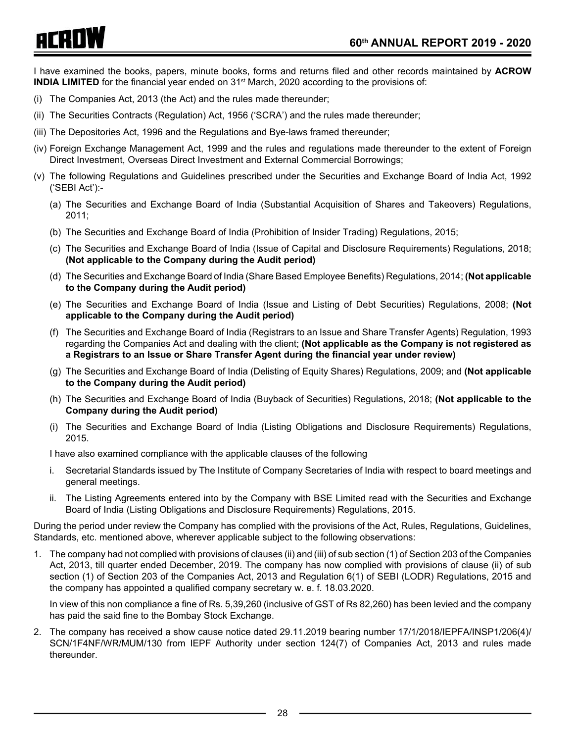# ACADW

I have examined the books, papers, minute books, forms and returns filed and other records maintained by **ACROW INDIA LIMITED** for the financial year ended on 31<sup>st</sup> March, 2020 according to the provisions of:

- (i) The Companies Act, 2013 (the Act) and the rules made thereunder;
- (ii) The Securities Contracts (Regulation) Act, 1956 ('SCRA') and the rules made thereunder;
- (iii) The Depositories Act, 1996 and the Regulations and Bye-laws framed thereunder;
- (iv) Foreign Exchange Management Act, 1999 and the rules and regulations made thereunder to the extent of Foreign Direct Investment, Overseas Direct Investment and External Commercial Borrowings;
- (v) The following Regulations and Guidelines prescribed under the Securities and Exchange Board of India Act, 1992 ('SEBI Act'):-
	- (a) The Securities and Exchange Board of India (Substantial Acquisition of Shares and Takeovers) Regulations, 2011;
	- (b) The Securities and Exchange Board of India (Prohibition of Insider Trading) Regulations, 2015;
	- (c) The Securities and Exchange Board of India (Issue of Capital and Disclosure Requirements) Regulations, 2018; **(Not applicable to the Company during the Audit period)**
	- (d) The Securities and Exchange Board of India (Share Based Employee Benefits) Regulations, 2014; **(Not applicable to the Company during the Audit period)**
	- (e) The Securities and Exchange Board of India (Issue and Listing of Debt Securities) Regulations, 2008; **(Not applicable to the Company during the Audit period)**
	- (f) The Securities and Exchange Board of India (Registrars to an Issue and Share Transfer Agents) Regulation, 1993 regarding the Companies Act and dealing with the client; **(Not applicable as the Company is not registered as a Registrars to an Issue or Share Transfer Agent during the financial year under review)**
	- (g) The Securities and Exchange Board of India (Delisting of Equity Shares) Regulations, 2009; and **(Not applicable to the Company during the Audit period)**
	- (h) The Securities and Exchange Board of India (Buyback of Securities) Regulations, 2018; **(Not applicable to the Company during the Audit period)**
	- (i) The Securities and Exchange Board of India (Listing Obligations and Disclosure Requirements) Regulations, 2015.

I have also examined compliance with the applicable clauses of the following

- i. Secretarial Standards issued by The Institute of Company Secretaries of India with respect to board meetings and general meetings.
- ii. The Listing Agreements entered into by the Company with BSE Limited read with the Securities and Exchange Board of India (Listing Obligations and Disclosure Requirements) Regulations, 2015.

During the period under review the Company has complied with the provisions of the Act, Rules, Regulations, Guidelines, Standards, etc. mentioned above, wherever applicable subject to the following observations:

1. The company had not complied with provisions of clauses (ii) and (iii) of sub section (1) of Section 203 of the Companies Act, 2013, till quarter ended December, 2019. The company has now complied with provisions of clause (ii) of sub section (1) of Section 203 of the Companies Act, 2013 and Regulation 6(1) of SEBI (LODR) Regulations, 2015 and the company has appointed a qualified company secretary w. e. f. 18.03.2020.

In view of this non compliance a fine of Rs. 5,39,260 (inclusive of GST of Rs 82,260) has been levied and the company has paid the said fine to the Bombay Stock Exchange.

2. The company has received a show cause notice dated 29.11.2019 bearing number 17/1/2018/IEPFA/INSP1/206(4)/ SCN/1F4NF/WR/MUM/130 from IEPF Authority under section 124(7) of Companies Act, 2013 and rules made thereunder.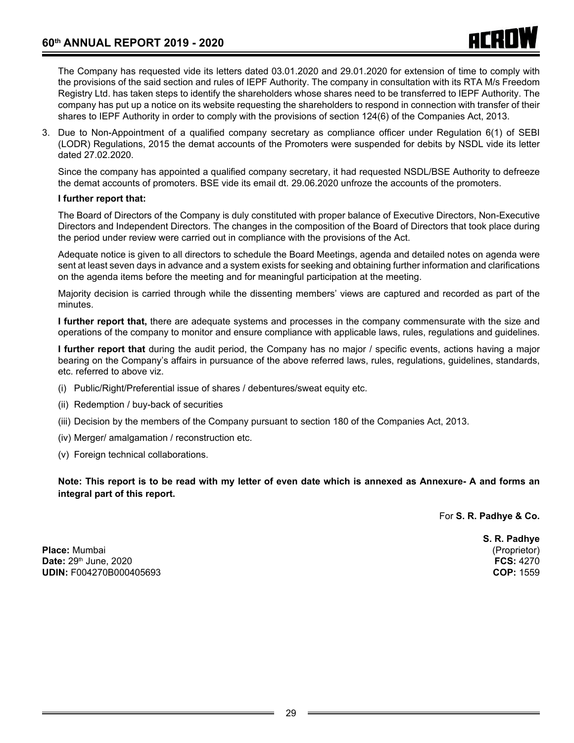The Company has requested vide its letters dated 03.01.2020 and 29.01.2020 for extension of time to comply with the provisions of the said section and rules of IEPF Authority. The company in consultation with its RTA M/s Freedom Registry Ltd. has taken steps to identify the shareholders whose shares need to be transferred to IEPF Authority. The company has put up a notice on its website requesting the shareholders to respond in connection with transfer of their shares to IEPF Authority in order to comply with the provisions of section 124(6) of the Companies Act, 2013.

3. Due to Non-Appointment of a qualified company secretary as compliance officer under Regulation 6(1) of SEBI (LODR) Regulations, 2015 the demat accounts of the Promoters were suspended for debits by NSDL vide its letter dated 27.02.2020.

Since the company has appointed a qualified company secretary, it had requested NSDL/BSE Authority to defreeze the demat accounts of promoters. BSE vide its email dt. 29.06.2020 unfroze the accounts of the promoters.

#### **I further report that:**

The Board of Directors of the Company is duly constituted with proper balance of Executive Directors, Non-Executive Directors and Independent Directors. The changes in the composition of the Board of Directors that took place during the period under review were carried out in compliance with the provisions of the Act.

Adequate notice is given to all directors to schedule the Board Meetings, agenda and detailed notes on agenda were sent at least seven days in advance and a system exists for seeking and obtaining further information and clarifications on the agenda items before the meeting and for meaningful participation at the meeting.

Majority decision is carried through while the dissenting members' views are captured and recorded as part of the minutes.

**I further report that,** there are adequate systems and processes in the company commensurate with the size and operations of the company to monitor and ensure compliance with applicable laws, rules, regulations and guidelines.

**I further report that** during the audit period, the Company has no major / specific events, actions having a major bearing on the Company's affairs in pursuance of the above referred laws, rules, regulations, guidelines, standards, etc. referred to above viz.

- (i) Public/Right/Preferential issue of shares / debentures/sweat equity etc.
- (ii) Redemption / buy-back of securities
- (iii) Decision by the members of the Company pursuant to section 180 of the Companies Act, 2013.
- (iv) Merger/ amalgamation / reconstruction etc.
- (v) Foreign technical collaborations.

**Note: This report is to be read with my letter of even date which is annexed as Annexure- A and forms an integral part of this report.**

For **S. R. Padhye & Co.**

**Place:** Mumbai (Proprietor) **Date:** 29th June, 2020 **FCS:** 4270 **UDIN: F004270B000405693** 

**S. R. Padhye**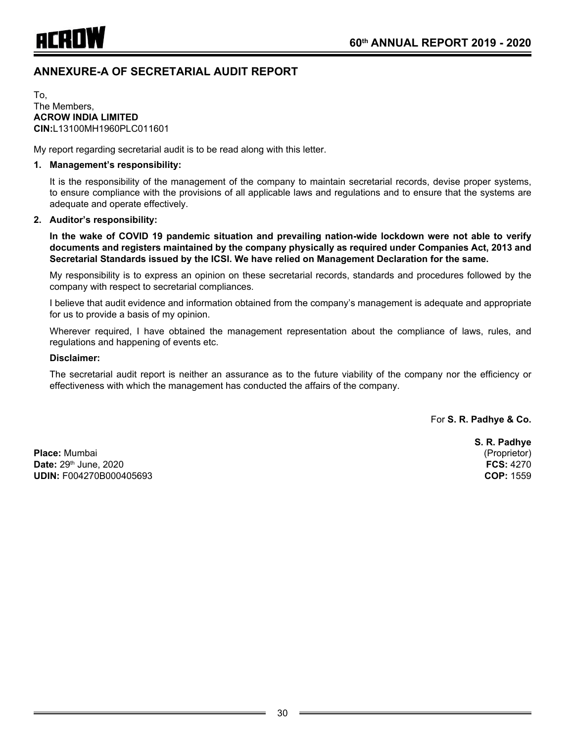

# **ANNEXURE-A OF SECRETARIAL AUDIT REPORT**

To, The Members, **ACROW INDIA LIMITED CIN:**L13100MH1960PLC011601

My report regarding secretarial audit is to be read along with this letter.

#### **1. Management's responsibility:**

It is the responsibility of the management of the company to maintain secretarial records, devise proper systems, to ensure compliance with the provisions of all applicable laws and regulations and to ensure that the systems are adequate and operate effectively.

#### **2. Auditor's responsibility:**

**In the wake of COVID 19 pandemic situation and prevailing nation-wide lockdown were not able to verify documents and registers maintained by the company physically as required under Companies Act, 2013 and Secretarial Standards issued by the ICSI. We have relied on Management Declaration for the same.**

My responsibility is to express an opinion on these secretarial records, standards and procedures followed by the company with respect to secretarial compliances.

I believe that audit evidence and information obtained from the company's management is adequate and appropriate for us to provide a basis of my opinion.

Wherever required, I have obtained the management representation about the compliance of laws, rules, and regulations and happening of events etc.

#### **Disclaimer:**

The secretarial audit report is neither an assurance as to the future viability of the company nor the efficiency or effectiveness with which the management has conducted the affairs of the company.

For **S. R. Padhye & Co.**

**Place:** Mumbai (Proprietor) **Date:** 29th June, 2020 **FCS:** 4270 **UDIN:** F004270B000405693 **COP:** 1559

**S. R. Padhye**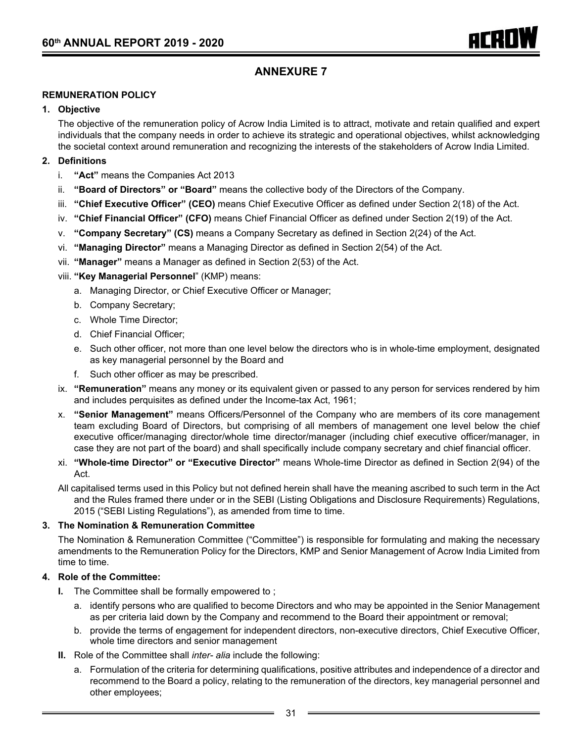# **ANNEXURE 7**

#### **REMUNERATION POLICY**

#### **1. Objective**

The objective of the remuneration policy of Acrow India Limited is to attract, motivate and retain qualified and expert individuals that the company needs in order to achieve its strategic and operational objectives, whilst acknowledging the societal context around remuneration and recognizing the interests of the stakeholders of Acrow India Limited.

#### **2. Definitions**

- i. **"Act"** means the Companies Act 2013
- ii. **"Board of Directors" or "Board"** means the collective body of the Directors of the Company.
- iii. **"Chief Executive Officer" (CEO)** means Chief Executive Officer as defined under Section 2(18) of the Act.
- iv. **"Chief Financial Officer" (CFO)** means Chief Financial Officer as defined under Section 2(19) of the Act.
- v. **"Company Secretary" (CS)** means a Company Secretary as defined in Section 2(24) of the Act.
- vi. **"Managing Director"** means a Managing Director as defined in Section 2(54) of the Act.
- vii. **"Manager"** means a Manager as defined in Section 2(53) of the Act.
- viii. **"Key Managerial Personnel**" (KMP) means:
	- a. Managing Director, or Chief Executive Officer or Manager;
	- b. Company Secretary;
	- c. Whole Time Director;
	- d. Chief Financial Officer;
	- e. Such other officer, not more than one level below the directors who is in whole-time employment, designated as key managerial personnel by the Board and
	- f. Such other officer as may be prescribed.
- ix. **"Remuneration"** means any money or its equivalent given or passed to any person for services rendered by him and includes perquisites as defined under the Income-tax Act, 1961;
- x. **"Senior Management"** means Officers/Personnel of the Company who are members of its core management team excluding Board of Directors, but comprising of all members of management one level below the chief executive officer/managing director/whole time director/manager (including chief executive officer/manager, in case they are not part of the board) and shall specifically include company secretary and chief financial officer.
- xi. **"Whole-time Director" or "Executive Director"** means Whole-time Director as defined in Section 2(94) of the Act.
- All capitalised terms used in this Policy but not defined herein shall have the meaning ascribed to such term in the Act and the Rules framed there under or in the SEBI (Listing Obligations and Disclosure Requirements) Regulations, 2015 ("SEBI Listing Regulations"), as amended from time to time.

#### **3. The Nomination & Remuneration Committee**

The Nomination & Remuneration Committee ("Committee") is responsible for formulating and making the necessary amendments to the Remuneration Policy for the Directors, KMP and Senior Management of Acrow India Limited from time to time.

#### **4. Role of the Committee:**

- **I.** The Committee shall be formally empowered to ;
	- a. identify persons who are qualified to become Directors and who may be appointed in the Senior Management as per criteria laid down by the Company and recommend to the Board their appointment or removal;
	- b. provide the terms of engagement for independent directors, non-executive directors, Chief Executive Officer, whole time directors and senior management
- **II.** Role of the Committee shall *inter- alia* include the following:
	- a. Formulation of the criteria for determining qualifications, positive attributes and independence of a director and recommend to the Board a policy, relating to the remuneration of the directors, key managerial personnel and other employees;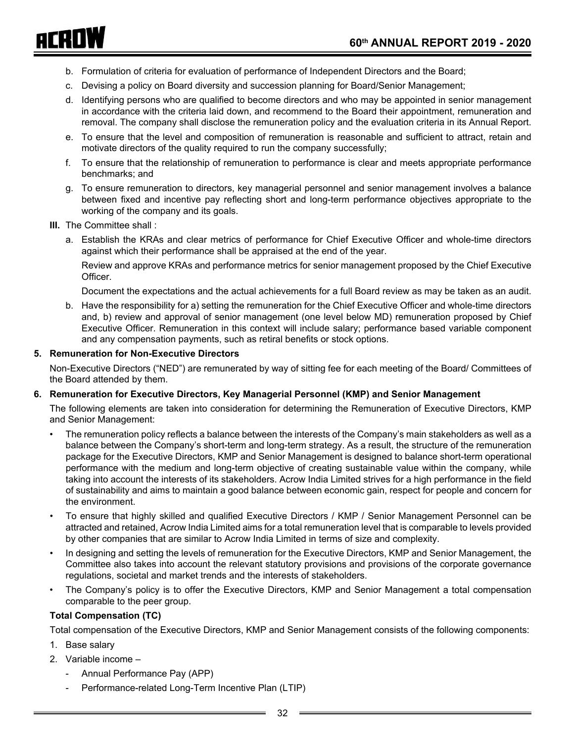- b. Formulation of criteria for evaluation of performance of Independent Directors and the Board;
- c. Devising a policy on Board diversity and succession planning for Board/Senior Management;
- d. Identifying persons who are qualified to become directors and who may be appointed in senior management in accordance with the criteria laid down, and recommend to the Board their appointment, remuneration and removal. The company shall disclose the remuneration policy and the evaluation criteria in its Annual Report.
- e. To ensure that the level and composition of remuneration is reasonable and sufficient to attract, retain and motivate directors of the quality required to run the company successfully;
- f. To ensure that the relationship of remuneration to performance is clear and meets appropriate performance benchmarks; and
- g. To ensure remuneration to directors, key managerial personnel and senior management involves a balance between fixed and incentive pay reflecting short and long-term performance objectives appropriate to the working of the company and its goals.
- **III.** The Committee shall:

ACROW

a. Establish the KRAs and clear metrics of performance for Chief Executive Officer and whole-time directors against which their performance shall be appraised at the end of the year.

Review and approve KRAs and performance metrics for senior management proposed by the Chief Executive Officer.

Document the expectations and the actual achievements for a full Board review as may be taken as an audit.

b. Have the responsibility for a) setting the remuneration for the Chief Executive Officer and whole-time directors and, b) review and approval of senior management (one level below MD) remuneration proposed by Chief Executive Officer. Remuneration in this context will include salary; performance based variable component and any compensation payments, such as retiral benefits or stock options.

#### **5. Remuneration for Non-Executive Directors**

Non-Executive Directors ("NED") are remunerated by way of sitting fee for each meeting of the Board/ Committees of the Board attended by them.

#### **6. Remuneration for Executive Directors, Key Managerial Personnel (KMP) and Senior Management**

The following elements are taken into consideration for determining the Remuneration of Executive Directors, KMP and Senior Management:

- The remuneration policy reflects a balance between the interests of the Company's main stakeholders as well as a balance between the Company's short-term and long-term strategy. As a result, the structure of the remuneration package for the Executive Directors, KMP and Senior Management is designed to balance short-term operational performance with the medium and long-term objective of creating sustainable value within the company, while taking into account the interests of its stakeholders. Acrow India Limited strives for a high performance in the field of sustainability and aims to maintain a good balance between economic gain, respect for people and concern for the environment.
- To ensure that highly skilled and qualified Executive Directors / KMP / Senior Management Personnel can be attracted and retained, Acrow India Limited aims for a total remuneration level that is comparable to levels provided by other companies that are similar to Acrow India Limited in terms of size and complexity.
- In designing and setting the levels of remuneration for the Executive Directors, KMP and Senior Management, the Committee also takes into account the relevant statutory provisions and provisions of the corporate governance regulations, societal and market trends and the interests of stakeholders.
- The Company's policy is to offer the Executive Directors, KMP and Senior Management a total compensation comparable to the peer group.

#### **Total Compensation (TC)**

Total compensation of the Executive Directors, KMP and Senior Management consists of the following components:

- 1. Base salary
- 2. Variable income
	- Annual Performance Pay (APP)
	- Performance-related Long-Term Incentive Plan (LTIP)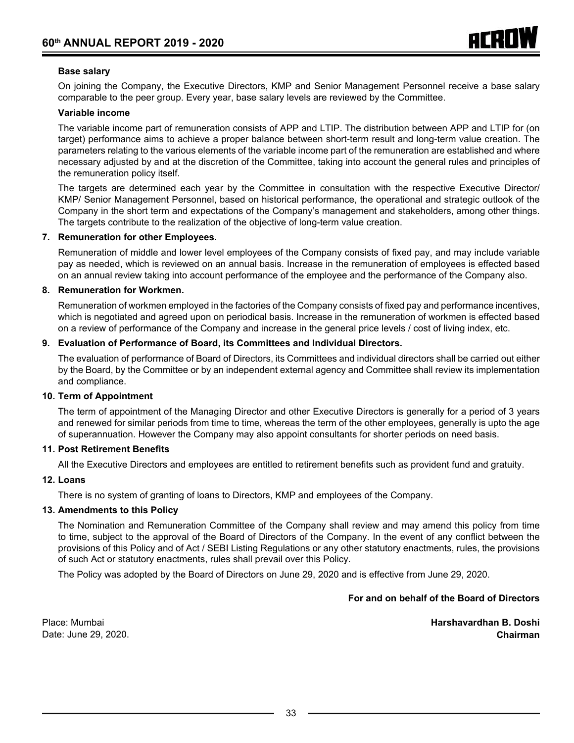#### **Base salary**

On joining the Company, the Executive Directors, KMP and Senior Management Personnel receive a base salary comparable to the peer group. Every year, base salary levels are reviewed by the Committee.

#### **Variable income**

The variable income part of remuneration consists of APP and LTIP. The distribution between APP and LTIP for (on target) performance aims to achieve a proper balance between short-term result and long-term value creation. The parameters relating to the various elements of the variable income part of the remuneration are established and where necessary adjusted by and at the discretion of the Committee, taking into account the general rules and principles of the remuneration policy itself.

The targets are determined each year by the Committee in consultation with the respective Executive Director/ KMP/ Senior Management Personnel, based on historical performance, the operational and strategic outlook of the Company in the short term and expectations of the Company's management and stakeholders, among other things. The targets contribute to the realization of the objective of long-term value creation.

#### **7. Remuneration for other Employees.**

Remuneration of middle and lower level employees of the Company consists of fixed pay, and may include variable pay as needed, which is reviewed on an annual basis. Increase in the remuneration of employees is effected based on an annual review taking into account performance of the employee and the performance of the Company also.

#### **8. Remuneration for Workmen.**

Remuneration of workmen employed in the factories of the Company consists of fixed pay and performance incentives, which is negotiated and agreed upon on periodical basis. Increase in the remuneration of workmen is effected based on a review of performance of the Company and increase in the general price levels / cost of living index, etc.

#### **9. Evaluation of Performance of Board, its Committees and Individual Directors.**

The evaluation of performance of Board of Directors, its Committees and individual directors shall be carried out either by the Board, by the Committee or by an independent external agency and Committee shall review its implementation and compliance.

#### **10. Term of Appointment**

The term of appointment of the Managing Director and other Executive Directors is generally for a period of 3 years and renewed for similar periods from time to time, whereas the term of the other employees, generally is upto the age of superannuation. However the Company may also appoint consultants for shorter periods on need basis.

#### **11. Post Retirement Benefits**

All the Executive Directors and employees are entitled to retirement benefits such as provident fund and gratuity.

#### **12. Loans**

There is no system of granting of loans to Directors, KMP and employees of the Company.

#### **13. Amendments to this Policy**

The Nomination and Remuneration Committee of the Company shall review and may amend this policy from time to time, subject to the approval of the Board of Directors of the Company. In the event of any conflict between the provisions of this Policy and of Act / SEBI Listing Regulations or any other statutory enactments, rules, the provisions of such Act or statutory enactments, rules shall prevail over this Policy.

The Policy was adopted by the Board of Directors on June 29, 2020 and is effective from June 29, 2020.

#### **For and on behalf of the Board of Directors**

Place: Mumbai **Harshavardhan B. Doshi** Date: June 29, 2020. **Chairman**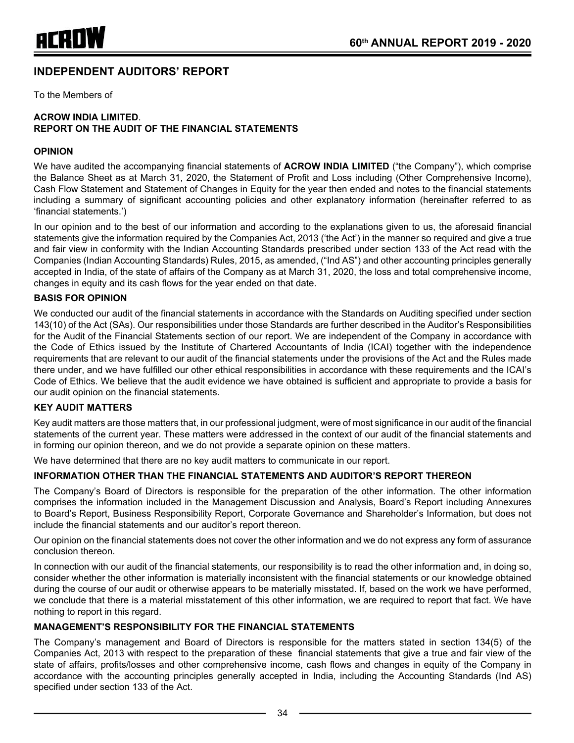# **INDEPENDENT AUDITORS' REPORT**

To the Members of

#### **ACROW INDIA LIMITED**. **REPORT ON THE AUDIT OF THE FINANCIAL STATEMENTS**

#### **OPINION**

We have audited the accompanying financial statements of **ACROW INDIA LIMITED** ("the Company"), which comprise the Balance Sheet as at March 31, 2020, the Statement of Profit and Loss including (Other Comprehensive Income), Cash Flow Statement and Statement of Changes in Equity for the year then ended and notes to the financial statements including a summary of significant accounting policies and other explanatory information (hereinafter referred to as 'financial statements.')

In our opinion and to the best of our information and according to the explanations given to us, the aforesaid financial statements give the information required by the Companies Act, 2013 ('the Act') in the manner so required and give a true and fair view in conformity with the Indian Accounting Standards prescribed under section 133 of the Act read with the Companies (Indian Accounting Standards) Rules, 2015, as amended, ("Ind AS") and other accounting principles generally accepted in India, of the state of affairs of the Company as at March 31, 2020, the loss and total comprehensive income, changes in equity and its cash flows for the year ended on that date.

#### **BASIS FOR OPINION**

We conducted our audit of the financial statements in accordance with the Standards on Auditing specified under section 143(10) of the Act (SAs). Our responsibilities under those Standards are further described in the Auditor's Responsibilities for the Audit of the Financial Statements section of our report. We are independent of the Company in accordance with the Code of Ethics issued by the Institute of Chartered Accountants of India (ICAI) together with the independence requirements that are relevant to our audit of the financial statements under the provisions of the Act and the Rules made there under, and we have fulfilled our other ethical responsibilities in accordance with these requirements and the ICAI's Code of Ethics. We believe that the audit evidence we have obtained is sufficient and appropriate to provide a basis for our audit opinion on the financial statements.

#### **KEY AUDIT MATTERS**

Key audit matters are those matters that, in our professional judgment, were of most significance in our audit of the financial statements of the current year. These matters were addressed in the context of our audit of the financial statements and in forming our opinion thereon, and we do not provide a separate opinion on these matters.

We have determined that there are no key audit matters to communicate in our report.

#### **INFORMATION OTHER THAN THE FINANCIAL STATEMENTS AND AUDITOR'S REPORT THEREON**

The Company's Board of Directors is responsible for the preparation of the other information. The other information comprises the information included in the Management Discussion and Analysis, Board's Report including Annexures to Board's Report, Business Responsibility Report, Corporate Governance and Shareholder's Information, but does not include the financial statements and our auditor's report thereon.

Our opinion on the financial statements does not cover the other information and we do not express any form of assurance conclusion thereon.

In connection with our audit of the financial statements, our responsibility is to read the other information and, in doing so, consider whether the other information is materially inconsistent with the financial statements or our knowledge obtained during the course of our audit or otherwise appears to be materially misstated. If, based on the work we have performed, we conclude that there is a material misstatement of this other information, we are required to report that fact. We have nothing to report in this regard.

#### **MANAGEMENT'S RESPONSIBILITY FOR THE FINANCIAL STATEMENTS**

The Company's management and Board of Directors is responsible for the matters stated in section 134(5) of the Companies Act, 2013 with respect to the preparation of these financial statements that give a true and fair view of the state of affairs, profits/losses and other comprehensive income, cash flows and changes in equity of the Company in accordance with the accounting principles generally accepted in India, including the Accounting Standards (Ind AS) specified under section 133 of the Act.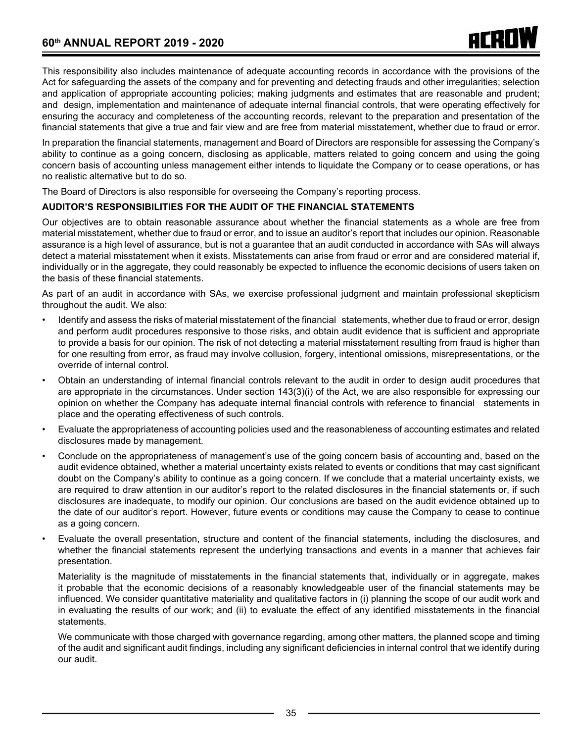This responsibility also includes maintenance of adequate accounting records in accordance with the provisions of the Act for safeguarding the assets of the company and for preventing and detecting frauds and other irregularities; selection and application of appropriate accounting policies; making judgments and estimates that are reasonable and prudent; and design, implementation and maintenance of adequate internal financial controls, that were operating effectively for ensuring the accuracy and completeness of the accounting records, relevant to the preparation and presentation of the financial statements that give a true and fair view and are free from material misstatement, whether due to fraud or error.

In preparation the financial statements, management and Board of Directors are responsible for assessing the Company's ability to continue as a going concern, disclosing as applicable, matters related to going concern and using the going concern basis of accounting unless management either intends to liquidate the Company or to cease operations, or has no realistic alternative but to do so.

The Board of Directors is also responsible for overseeing the Company's reporting process.

#### **AUDITOR'S RESPONSIBILITIES FOR THE AUDIT OF THE FINANCIAL STATEMENTS**

Our objectives are to obtain reasonable assurance about whether the financial statements as a whole are free from material misstatement, whether due to fraud or error, and to issue an auditor's report that includes our opinion. Reasonable assurance is a high level of assurance, but is not a guarantee that an audit conducted in accordance with SAs will always detect a material misstatement when it exists. Misstatements can arise from fraud or error and are considered material if, individually or in the aggregate, they could reasonably be expected to influence the economic decisions of users taken on the basis of these financial statements.

As part of an audit in accordance with SAs, we exercise professional judgment and maintain professional skepticism throughout the audit. We also:

- Identify and assess the risks of material misstatement of the financial statements, whether due to fraud or error, design and perform audit procedures responsive to those risks, and obtain audit evidence that is sufficient and appropriate to provide a basis for our opinion. The risk of not detecting a material misstatement resulting from fraud is higher than for one resulting from error, as fraud may involve collusion, forgery, intentional omissions, misrepresentations, or the override of internal control.
- • Obtain an understanding of internal financial controls relevant to the audit in order to design audit procedures that are appropriate in the circumstances. Under section 143(3)(i) of the Act, we are also responsible for expressing our opinion on whether the Company has adequate internal financial controls with reference to financial statements in place and the operating effectiveness of such controls.
- • Evaluate the appropriateness of accounting policies used and the reasonableness of accounting estimates and related disclosures made by management.
- Conclude on the appropriateness of management's use of the going concern basis of accounting and, based on the audit evidence obtained, whether a material uncertainty exists related to events or conditions that may cast significant doubt on the Company's ability to continue as a going concern. If we conclude that a material uncertainty exists, we are required to draw attention in our auditor's report to the related disclosures in the financial statements or, if such disclosures are inadequate, to modify our opinion. Our conclusions are based on the audit evidence obtained up to the date of our auditor's report. However, future events or conditions may cause the Company to cease to continue as a going concern.
- Evaluate the overall presentation, structure and content of the financial statements, including the disclosures, and whether the financial statements represent the underlying transactions and events in a manner that achieves fair presentation.

Materiality is the magnitude of misstatements in the financial statements that, individually or in aggregate, makes it probable that the economic decisions of a reasonably knowledgeable user of the financial statements may be influenced. We consider quantitative materiality and qualitative factors in (i) planning the scope of our audit work and in evaluating the results of our work; and (ii) to evaluate the effect of any identified misstatements in the financial statements.

We communicate with those charged with governance regarding, among other matters, the planned scope and timing of the audit and significant audit findings, including any significant deficiencies in internal control that we identify during our audit.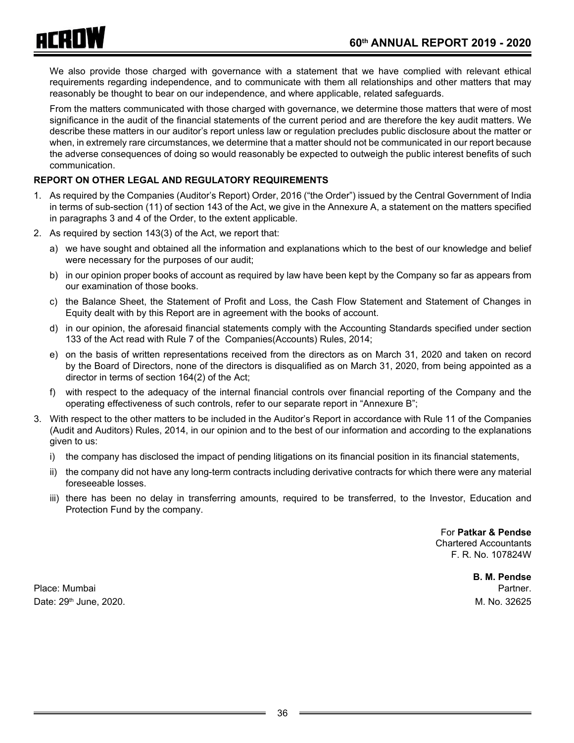

We also provide those charged with governance with a statement that we have complied with relevant ethical requirements regarding independence, and to communicate with them all relationships and other matters that may reasonably be thought to bear on our independence, and where applicable, related safeguards.

From the matters communicated with those charged with governance, we determine those matters that were of most significance in the audit of the financial statements of the current period and are therefore the key audit matters. We describe these matters in our auditor's report unless law or regulation precludes public disclosure about the matter or when, in extremely rare circumstances, we determine that a matter should not be communicated in our report because the adverse consequences of doing so would reasonably be expected to outweigh the public interest benefits of such communication.

## **REPORT ON OTHER LEGAL AND REGULATORY REQUIREMENTS**

- 1. As required by the Companies (Auditor's Report) Order, 2016 ("the Order") issued by the Central Government of India in terms of sub-section (11) of section 143 of the Act, we give in the Annexure A, a statement on the matters specified in paragraphs 3 and 4 of the Order, to the extent applicable.
- 2. As required by section 143(3) of the Act, we report that:
	- a) we have sought and obtained all the information and explanations which to the best of our knowledge and belief were necessary for the purposes of our audit;
	- b) in our opinion proper books of account as required by law have been kept by the Company so far as appears from our examination of those books.
	- c) the Balance Sheet, the Statement of Profit and Loss, the Cash Flow Statement and Statement of Changes in Equity dealt with by this Report are in agreement with the books of account.
	- d) in our opinion, the aforesaid financial statements comply with the Accounting Standards specified under section 133 of the Act read with Rule 7 of the Companies(Accounts) Rules, 2014;
	- e) on the basis of written representations received from the directors as on March 31, 2020 and taken on record by the Board of Directors, none of the directors is disqualified as on March 31, 2020, from being appointed as a director in terms of section 164(2) of the Act;
	- f) with respect to the adequacy of the internal financial controls over financial reporting of the Company and the operating effectiveness of such controls, refer to our separate report in "Annexure B";
- 3. With respect to the other matters to be included in the Auditor's Report in accordance with Rule 11 of the Companies (Audit and Auditors) Rules, 2014, in our opinion and to the best of our information and according to the explanations given to us:
	- i) the company has disclosed the impact of pending litigations on its financial position in its financial statements,
	- ii) the company did not have any long-term contracts including derivative contracts for which there were any material foreseeable losses.
	- iii) there has been no delay in transferring amounts, required to be transferred, to the Investor, Education and Protection Fund by the company.

For **Patkar & Pendse** Chartered Accountants F. R. No. 107824W

Place: Mumbai Partner. Date: 29th June, 2020. M. No. 32625

**B. M. Pendse**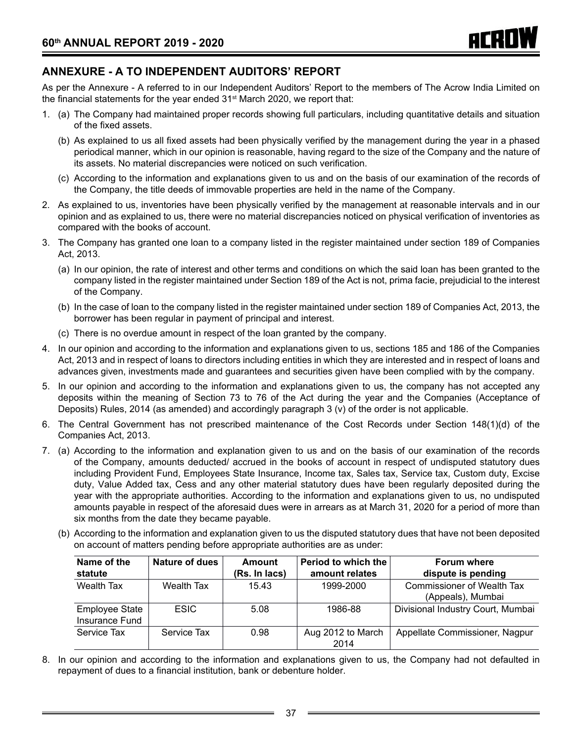# **ANNEXURE - A TO INDEPENDENT AUDITORS' REPORT**

As per the Annexure - A referred to in our Independent Auditors' Report to the members of The Acrow India Limited on the financial statements for the year ended  $31<sup>st</sup>$  March 2020, we report that:

- 1. (a) The Company had maintained proper records showing full particulars, including quantitative details and situation of the fixed assets.
	- (b) As explained to us all fixed assets had been physically verified by the management during the year in a phased periodical manner, which in our opinion is reasonable, having regard to the size of the Company and the nature of its assets. No material discrepancies were noticed on such verification.
	- (c) According to the information and explanations given to us and on the basis of our examination of the records of the Company, the title deeds of immovable properties are held in the name of the Company.
- 2. As explained to us, inventories have been physically verified by the management at reasonable intervals and in our opinion and as explained to us, there were no material discrepancies noticed on physical verification of inventories as compared with the books of account.
- 3. The Company has granted one loan to a company listed in the register maintained under section 189 of Companies Act, 2013.
	- (a) In our opinion, the rate of interest and other terms and conditions on which the said loan has been granted to the company listed in the register maintained under Section 189 of the Act is not, prima facie, prejudicial to the interest of the Company.
	- (b) In the case of loan to the company listed in the register maintained under section 189 of Companies Act, 2013, the borrower has been regular in payment of principal and interest.
	- (c) There is no overdue amount in respect of the loan granted by the company.
- 4. In our opinion and according to the information and explanations given to us, sections 185 and 186 of the Companies Act, 2013 and in respect of loans to directors including entities in which they are interested and in respect of loans and advances given, investments made and guarantees and securities given have been complied with by the company.
- 5. In our opinion and according to the information and explanations given to us, the company has not accepted any deposits within the meaning of Section 73 to 76 of the Act during the year and the Companies (Acceptance of Deposits) Rules, 2014 (as amended) and accordingly paragraph 3 (v) of the order is not applicable.
- 6. The Central Government has not prescribed maintenance of the Cost Records under Section 148(1)(d) of the Companies Act, 2013.
- 7. (a) According to the information and explanation given to us and on the basis of our examination of the records of the Company, amounts deducted/ accrued in the books of account in respect of undisputed statutory dues including Provident Fund, Employees State Insurance, Income tax, Sales tax, Service tax, Custom duty, Excise duty, Value Added tax, Cess and any other material statutory dues have been regularly deposited during the year with the appropriate authorities. According to the information and explanations given to us, no undisputed amounts payable in respect of the aforesaid dues were in arrears as at March 31, 2020 for a period of more than six months from the date they became payable.
	- (b) According to the information and explanation given to us the disputed statutory dues that have not been deposited on account of matters pending before appropriate authorities are as under:

| Name of the                      | <b>Nature of dues</b> | <b>Amount</b> | Period to which the       | <b>Forum where</b>                                     |
|----------------------------------|-----------------------|---------------|---------------------------|--------------------------------------------------------|
| statute                          |                       | (Rs. In lacs) | amount relates            | dispute is pending                                     |
| Wealth Tax                       | Wealth Tax            | 15.43         | 1999-2000                 | <b>Commissioner of Wealth Tax</b><br>(Appeals), Mumbai |
| Employee State<br>Insurance Fund | <b>ESIC</b>           | 5.08          | 1986-88                   | Divisional Industry Court, Mumbai                      |
| Service Tax                      | Service Tax           | 0.98          | Aug 2012 to March<br>2014 | Appellate Commissioner, Nagpur                         |

8. In our opinion and according to the information and explanations given to us, the Company had not defaulted in repayment of dues to a financial institution, bank or debenture holder.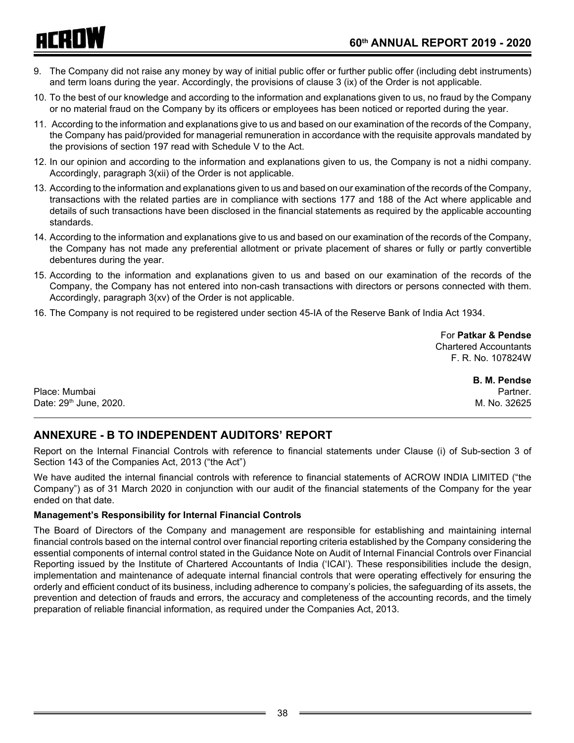# ACROW

- 9. The Company did not raise any money by way of initial public offer or further public offer (including debt instruments) and term loans during the year. Accordingly, the provisions of clause 3 (ix) of the Order is not applicable.
- 10. To the best of our knowledge and according to the information and explanations given to us, no fraud by the Company or no material fraud on the Company by its officers or employees has been noticed or reported during the year.
- 11. According to the information and explanations give to us and based on our examination of the records of the Company, the Company has paid/provided for managerial remuneration in accordance with the requisite approvals mandated by the provisions of section 197 read with Schedule V to the Act.
- 12. In our opinion and according to the information and explanations given to us, the Company is not a nidhi company. Accordingly, paragraph 3(xii) of the Order is not applicable.
- 13. According to the information and explanations given to us and based on our examination of the records of the Company, transactions with the related parties are in compliance with sections 177 and 188 of the Act where applicable and details of such transactions have been disclosed in the financial statements as required by the applicable accounting standards.
- 14. According to the information and explanations give to us and based on our examination of the records of the Company, the Company has not made any preferential allotment or private placement of shares or fully or partly convertible debentures during the year.
- 15. According to the information and explanations given to us and based on our examination of the records of the Company, the Company has not entered into non-cash transactions with directors or persons connected with them. Accordingly, paragraph 3(xv) of the Order is not applicable.
- 16. The Company is not required to be registered under section 45-IA of the Reserve Bank of India Act 1934.

For **Patkar & Pendse** Chartered Accountants F. R. No. 107824W

Place: Mumbai Partner. And Partner. And Partner. And Partner. And Partner. And Partner. And Partner. Date: 29th June, 2020. M. No. 32625

**B. M. Pendse**

# **ANNEXURE - B TO INDEPENDENT AUDITORS' REPORT**

Report on the Internal Financial Controls with reference to financial statements under Clause (i) of Sub-section 3 of Section 143 of the Companies Act, 2013 ("the Act")

We have audited the internal financial controls with reference to financial statements of ACROW INDIA LIMITED ("the Company") as of 31 March 2020 in conjunction with our audit of the financial statements of the Company for the year ended on that date.

## **Management's Responsibility for Internal Financial Controls**

The Board of Directors of the Company and management are responsible for establishing and maintaining internal financial controls based on the internal control over financial reporting criteria established by the Company considering the essential components of internal control stated in the Guidance Note on Audit of Internal Financial Controls over Financial Reporting issued by the Institute of Chartered Accountants of India ('ICAI'). These responsibilities include the design, implementation and maintenance of adequate internal financial controls that were operating effectively for ensuring the orderly and efficient conduct of its business, including adherence to company's policies, the safeguarding of its assets, the prevention and detection of frauds and errors, the accuracy and completeness of the accounting records, and the timely preparation of reliable financial information, as required under the Companies Act, 2013.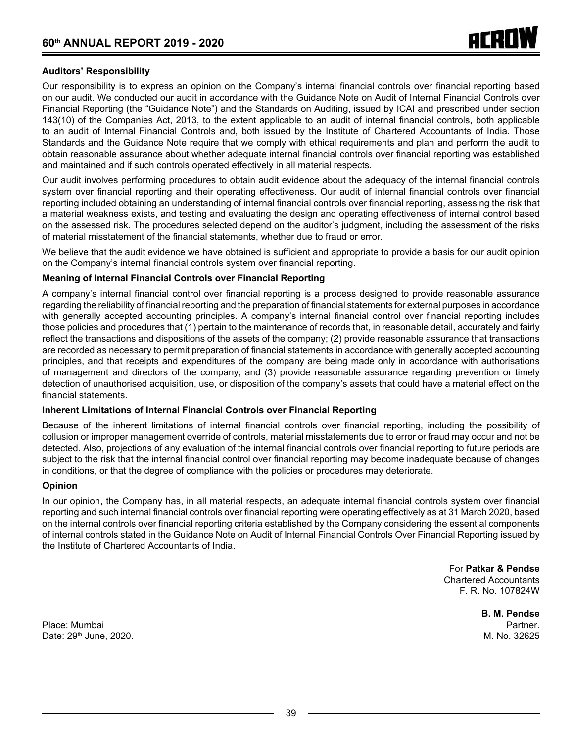#### **Auditors' Responsibility**

Our responsibility is to express an opinion on the Company's internal financial controls over financial reporting based on our audit. We conducted our audit in accordance with the Guidance Note on Audit of Internal Financial Controls over Financial Reporting (the "Guidance Note") and the Standards on Auditing, issued by ICAI and prescribed under section 143(10) of the Companies Act, 2013, to the extent applicable to an audit of internal financial controls, both applicable to an audit of Internal Financial Controls and, both issued by the Institute of Chartered Accountants of India. Those Standards and the Guidance Note require that we comply with ethical requirements and plan and perform the audit to obtain reasonable assurance about whether adequate internal financial controls over financial reporting was established and maintained and if such controls operated effectively in all material respects.

Our audit involves performing procedures to obtain audit evidence about the adequacy of the internal financial controls system over financial reporting and their operating effectiveness. Our audit of internal financial controls over financial reporting included obtaining an understanding of internal financial controls over financial reporting, assessing the risk that a material weakness exists, and testing and evaluating the design and operating effectiveness of internal control based on the assessed risk. The procedures selected depend on the auditor's judgment, including the assessment of the risks of material misstatement of the financial statements, whether due to fraud or error.

We believe that the audit evidence we have obtained is sufficient and appropriate to provide a basis for our audit opinion on the Company's internal financial controls system over financial reporting.

#### **Meaning of Internal Financial Controls over Financial Reporting**

A company's internal financial control over financial reporting is a process designed to provide reasonable assurance regarding the reliability of financial reporting and the preparation of financial statements for external purposes in accordance with generally accepted accounting principles. A company's internal financial control over financial reporting includes those policies and procedures that (1) pertain to the maintenance of records that, in reasonable detail, accurately and fairly reflect the transactions and dispositions of the assets of the company; (2) provide reasonable assurance that transactions are recorded as necessary to permit preparation of financial statements in accordance with generally accepted accounting principles, and that receipts and expenditures of the company are being made only in accordance with authorisations of management and directors of the company; and (3) provide reasonable assurance regarding prevention or timely detection of unauthorised acquisition, use, or disposition of the company's assets that could have a material effect on the financial statements.

#### **Inherent Limitations of Internal Financial Controls over Financial Reporting**

Because of the inherent limitations of internal financial controls over financial reporting, including the possibility of collusion or improper management override of controls, material misstatements due to error or fraud may occur and not be detected. Also, projections of any evaluation of the internal financial controls over financial reporting to future periods are subject to the risk that the internal financial control over financial reporting may become inadequate because of changes in conditions, or that the degree of compliance with the policies or procedures may deteriorate.

#### **Opinion**

In our opinion, the Company has, in all material respects, an adequate internal financial controls system over financial reporting and such internal financial controls over financial reporting were operating effectively as at 31 March 2020, based on the internal controls over financial reporting criteria established by the Company considering the essential components of internal controls stated in the Guidance Note on Audit of Internal Financial Controls Over Financial Reporting issued by the Institute of Chartered Accountants of India.

> For **Patkar & Pendse** Chartered Accountants F. R. No. 107824W

Place: Mumbai Partner. And Partner. And Partner. And Partner. And Partner. And Partner. And Partner. Date: 29th June, 2020. M. No. 32625

**B. M. Pendse**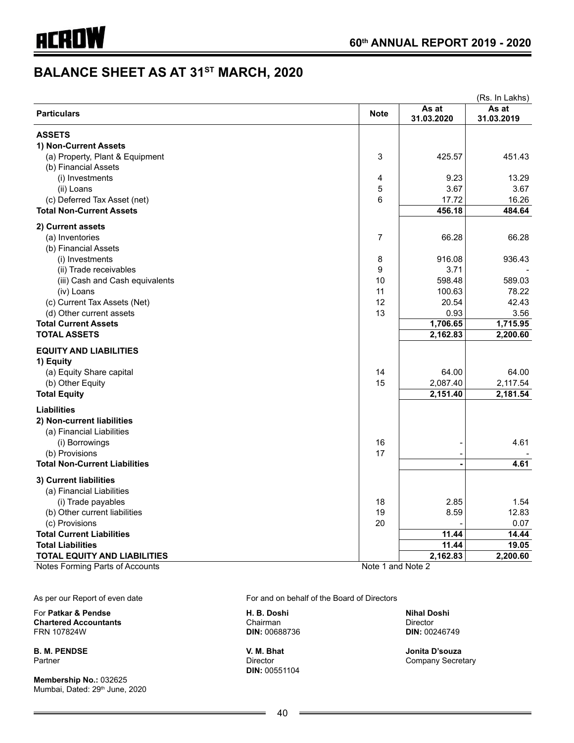# **BALANCE SHEET AS AT 31ST MARCH, 2020**

|                                      |                   |            | (Rs. In Lakhs) |
|--------------------------------------|-------------------|------------|----------------|
| <b>Particulars</b>                   | <b>Note</b>       | As at      | As at          |
|                                      |                   | 31.03.2020 | 31.03.2019     |
| <b>ASSETS</b>                        |                   |            |                |
| 1) Non-Current Assets                |                   |            |                |
| (a) Property, Plant & Equipment      | 3                 | 425.57     | 451.43         |
| (b) Financial Assets                 |                   |            |                |
| (i) Investments                      | 4                 | 9.23       | 13.29          |
| (ii) Loans                           | 5                 | 3.67       | 3.67           |
| (c) Deferred Tax Asset (net)         | 6                 | 17.72      | 16.26          |
| <b>Total Non-Current Assets</b>      |                   | 456.18     | 484.64         |
|                                      |                   |            |                |
| 2) Current assets                    |                   |            |                |
| (a) Inventories                      | 7                 | 66.28      | 66.28          |
| (b) Financial Assets                 |                   |            |                |
| (i) Investments                      | 8                 | 916.08     | 936.43         |
| (ii) Trade receivables               | 9                 | 3.71       |                |
| (iii) Cash and Cash equivalents      | 10                | 598.48     | 589.03         |
| (iv) Loans                           | 11                | 100.63     | 78.22          |
| (c) Current Tax Assets (Net)         | 12                | 20.54      | 42.43          |
| (d) Other current assets             | 13                | 0.93       | 3.56           |
| <b>Total Current Assets</b>          |                   | 1,706.65   | 1,715.95       |
| <b>TOTAL ASSETS</b>                  |                   | 2,162.83   | 2,200.60       |
| <b>EQUITY AND LIABILITIES</b>        |                   |            |                |
| 1) Equity                            |                   |            |                |
| (a) Equity Share capital             | 14                | 64.00      | 64.00          |
| (b) Other Equity                     | 15                | 2,087.40   | 2,117.54       |
| <b>Total Equity</b>                  |                   | 2,151.40   | 2,181.54       |
| <b>Liabilities</b>                   |                   |            |                |
| 2) Non-current liabilities           |                   |            |                |
| (a) Financial Liabilities            |                   |            |                |
| (i) Borrowings                       | 16                |            | 4.61           |
| (b) Provisions                       | 17                |            |                |
| <b>Total Non-Current Liabilities</b> |                   |            | 4.61           |
|                                      |                   |            |                |
| 3) Current liabilities               |                   |            |                |
| (a) Financial Liabilities            |                   |            |                |
| (i) Trade payables                   | 18                | 2.85       | 1.54           |
| (b) Other current liabilities        | 19                | 8.59       | 12.83          |
| (c) Provisions                       | 20                |            | 0.07           |
| <b>Total Current Liabilities</b>     |                   | 11.44      | 14.44          |
| <b>Total Liabilities</b>             |                   | 11.44      | 19.05          |
| <b>TOTAL EQUITY AND LIABILITIES</b>  |                   | 2,162.83   | 2,200.60       |
| Notes Forming Parts of Accounts      | Note 1 and Note 2 |            |                |

As per our Report of even date For and on behalf of the Board of Directors

For **Patkar & Pendse H. B. Doshi Nihal Doshi Chartered Accountants**<br> **Chairman Chairman** Director<br> **Chairman** Director<br>
DIR: 00688736 DIR: 00246749

**Membership No.:** 032625 Mumbai, Dated: 29<sup>th</sup> June, 2020

FRN 107824W **DIN:** 00688736 **DIN:** 00246749

**DIN:** 00551104

**B. M. PENDSE V. M. Bhat Jonita D'souza** Company Secretary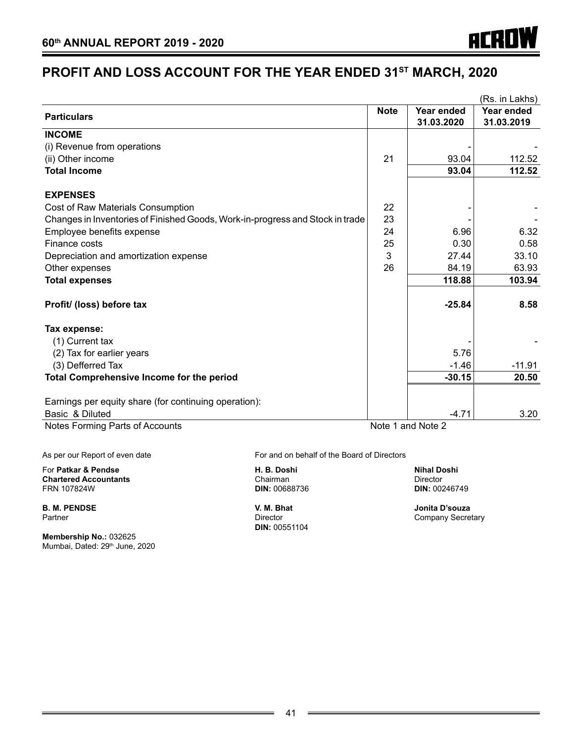# **PROFIT AND LOSS ACCOUNT FOR THE YEAR ENDED 31ST MARCH, 2020**

|                                                                               |             |                          | (Rs. in Lakhs)           |
|-------------------------------------------------------------------------------|-------------|--------------------------|--------------------------|
| <b>Particulars</b>                                                            | <b>Note</b> | Year ended<br>31.03.2020 | Year ended<br>31.03.2019 |
| <b>INCOME</b>                                                                 |             |                          |                          |
| (i) Revenue from operations                                                   |             |                          |                          |
| (ii) Other income                                                             | 21          | 93.04                    | 112.52                   |
| <b>Total Income</b>                                                           |             | 93.04                    | 112.52                   |
| <b>EXPENSES</b>                                                               |             |                          |                          |
| Cost of Raw Materials Consumption                                             | 22          |                          |                          |
| Changes in Inventories of Finished Goods, Work-in-progress and Stock in trade | 23          |                          |                          |
| Employee benefits expense                                                     | 24          | 6.96                     | 6.32                     |
| Finance costs                                                                 | 25          | 0.30                     | 0.58                     |
| Depreciation and amortization expense                                         | 3           | 27.44                    | 33.10                    |
| Other expenses                                                                | 26          | 84.19                    | 63.93                    |
| <b>Total expenses</b>                                                         |             | 118.88                   | 103.94                   |
| Profit/ (loss) before tax                                                     |             | $-25.84$                 | 8.58                     |
| Tax expense:                                                                  |             |                          |                          |
| (1) Current tax                                                               |             |                          |                          |
| (2) Tax for earlier years                                                     |             | 5.76                     |                          |
| (3) Defferred Tax                                                             |             | $-1.46$                  | $-11.91$                 |
| Total Comprehensive Income for the period                                     |             | $-30.15$                 | 20.50                    |
| Earnings per equity share (for continuing operation):                         |             |                          |                          |
| Basic & Diluted                                                               |             | $-4.71$                  | 3.20                     |
| Notes Forming Parts of Accounts                                               |             | Note 1 and Note 2        |                          |

For **Patkar & Pendse H. B. Doshi Nihal Doshi Chartered Accountants** Chairman Director

**B. M. PENDSE V. M. Bhat Jonita D'souza**

**Membership No.:** 032625 Mumbai, Dated: 29<sup>th</sup> June, 2020

As per our Report of even date For and on behalf of the Board of Directors

**DIN: 00688736** 

**DIN:** 00551104

Company Secretary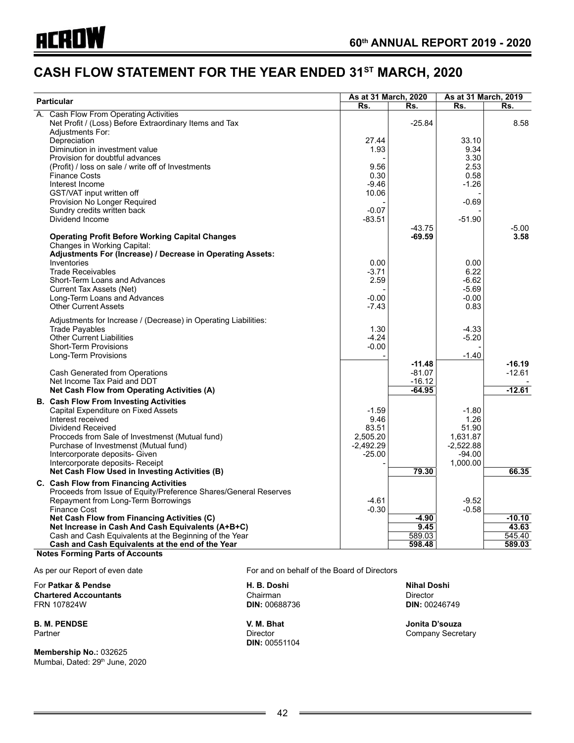# **CASH FLOW STATEMENT FOR THE YEAR ENDED 31ST MARCH, 2020**

| <b>Particular</b>                                                | As at 31 March, 2020 |          | As at 31 March, 2019 |          |
|------------------------------------------------------------------|----------------------|----------|----------------------|----------|
|                                                                  | Rs.                  | Rs.      | Rs.                  | Rs.      |
| A. Cash Flow From Operating Activities                           |                      |          |                      |          |
| Net Profit / (Loss) Before Extraordinary Items and Tax           |                      | $-25.84$ |                      | 8.58     |
| <b>Adjustments For:</b>                                          |                      |          |                      |          |
| Depreciation                                                     | 27.44                |          | 33.10                |          |
| Diminution in investment value                                   | 1.93                 |          | 9.34                 |          |
| Provision for doubtful advances                                  |                      |          | 3.30                 |          |
| (Profit) / loss on sale / write off of Investments               | 9.56                 |          | 2.53                 |          |
| <b>Finance Costs</b>                                             | 0.30                 |          | 0.58                 |          |
| Interest Income                                                  | $-9.46$              |          | -1.26                |          |
| GST/VAT input written off                                        | 10.06                |          |                      |          |
| Provision No Longer Required                                     |                      |          | $-0.69$              |          |
| Sundry credits written back                                      | $-0.07$              |          |                      |          |
| Dividend Income                                                  | $-83.51$             |          | $-51.90$             |          |
|                                                                  |                      | $-43.75$ |                      | $-5.00$  |
| <b>Operating Profit Before Working Capital Changes</b>           |                      | $-69.59$ |                      | 3.58     |
| Changes in Working Capital:                                      |                      |          |                      |          |
| Adjustments For (Increase) / Decrease in Operating Assets:       |                      |          |                      |          |
| Inventories                                                      | 0.00                 |          | 0.00                 |          |
| <b>Trade Receivables</b>                                         | $-3.71$              |          | 6.22                 |          |
| Short-Term Loans and Advances                                    | 2.59                 |          | $-6.62$              |          |
| <b>Current Tax Assets (Net)</b>                                  |                      |          | $-5.69$              |          |
| Long-Term Loans and Advances                                     | $-0.00$              |          | $-0.00$              |          |
| <b>Other Current Assets</b>                                      | $-7.43$              |          | 0.83                 |          |
|                                                                  |                      |          |                      |          |
| Adjustments for Increase / (Decrease) in Operating Liabilities:  |                      |          |                      |          |
| <b>Trade Payables</b>                                            | 1.30                 |          | -4.33                |          |
| <b>Other Current Liabilities</b>                                 | $-4.24$              |          | $-5.20$              |          |
| <b>Short-Term Provisions</b>                                     | $-0.00$              |          |                      |          |
| Long-Term Provisions                                             |                      |          | $-1.40$              |          |
|                                                                  |                      | $-11.48$ |                      | $-16.19$ |
| Cash Generated from Operations                                   |                      | $-81.07$ |                      | $-12.61$ |
| Net Income Tax Paid and DDT                                      |                      | $-16.12$ |                      | $-12.61$ |
| Net Cash Flow from Operating Activities (A)                      |                      | $-64.95$ |                      |          |
| <b>B. Cash Flow From Investing Activities</b>                    |                      |          |                      |          |
| Capital Expenditure on Fixed Assets                              | $-1.59$              |          | $-1.80$              |          |
| Interest received                                                | 9.46                 |          | 1.26                 |          |
| Dividend Received                                                | 83.51                |          | 51.90                |          |
| Procceds from Sale of Investmenst (Mutual fund)                  | 2,505.20             |          | 1,631.87             |          |
| Purchase of Investmenst (Mutual fund)                            | $-2,492.29$          |          | $-2,522.88$          |          |
| Intercorporate deposits- Given                                   | $-25.00$             |          | $-94.00$             |          |
| Intercorporate deposits- Receipt                                 |                      |          | 1,000.00             |          |
| Net Cash Flow Used in Investing Activities (B)                   |                      | 79.30    |                      | 66.35    |
| C. Cash Flow from Financing Activities                           |                      |          |                      |          |
| Proceeds from Issue of Equity/Preference Shares/General Reserves |                      |          |                      |          |
| Repayment from Long-Term Borrowings                              | $-4.61$              |          | $-9.52$              |          |
| <b>Finance Cost</b>                                              | $-0.30$              |          | $-0.58$              |          |
| Net Cash Flow from Financing Activities (C)                      |                      | -4.90    |                      | $-10.10$ |
| Net Increase in Cash And Cash Equivalents (A+B+C)                |                      | 9.45     |                      | 43.63    |
| Cash and Cash Equivalents at the Beginning of the Year           |                      | 589.03   |                      | 545.40   |
| Cash and Cash Equivalents at the end of the Year                 |                      | 598.48   |                      | 589.03   |
| <b>Notes Forming Parts of Accounts</b>                           |                      |          |                      |          |

For **Patkar & Pendse H. B. Doshi Nihal Doshi Chartered Accountants**<br> **Chairman Chairman** Director<br> **Chairman** Director<br>
DIR: 00688736 DIR: 00246749

**Membership No.:** 032625 Mumbai, Dated: 29th June, 2020

As per our Report of even date For and on behalf of the Board of Directors

**DIN: 00688736** 

**B. M. PENDSE V. M. Bhat Jonita D'souza DIN:** 00551104

Company Secretary

 $\equiv$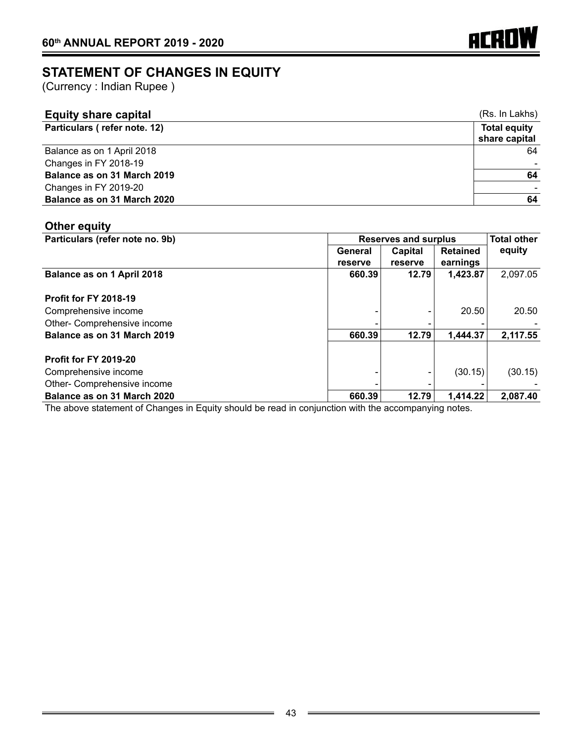

# **Statement of changes in equity**

(Currency : Indian Rupee )

| <b>Equity share capital</b>  | (Rs. In Lakhs)      |
|------------------------------|---------------------|
| Particulars (refer note. 12) | <b>Total equity</b> |
|                              | share capital       |
| Balance as on 1 April 2018   | 64                  |
| Changes in FY 2018-19        |                     |
| Balance as on 31 March 2019  | 64                  |
| Changes in FY 2019-20        |                     |
| Balance as on 31 March 2020  | 64                  |

# **Other equity**

| Particulars (refer note no. 9b) | <b>Reserves and surplus</b> | <b>Total other</b> |                 |          |
|---------------------------------|-----------------------------|--------------------|-----------------|----------|
|                                 | General                     | Capital            | <b>Retained</b> | equity   |
|                                 | reserve                     | reserve            | earnings        |          |
| Balance as on 1 April 2018      | 660.39                      | 12.79              | 1,423.87        | 2,097.05 |
|                                 |                             |                    |                 |          |
| <b>Profit for FY 2018-19</b>    |                             |                    |                 |          |
| Comprehensive income            |                             |                    | 20.50           | 20.50    |
| Other- Comprehensive income     |                             |                    |                 |          |
| Balance as on 31 March 2019     | 660.39                      | 12.79              | 1,444.37        | 2,117.55 |
|                                 |                             |                    |                 |          |
| <b>Profit for FY 2019-20</b>    |                             |                    |                 |          |
| Comprehensive income            |                             |                    | (30.15)         | (30.15)  |
| Other- Comprehensive income     |                             |                    |                 |          |
| Balance as on 31 March 2020     | 660.39                      | 12.79              | 1,414.22        | 2,087.40 |

The above statement of Changes in Equity should be read in conjunction with the accompanying notes.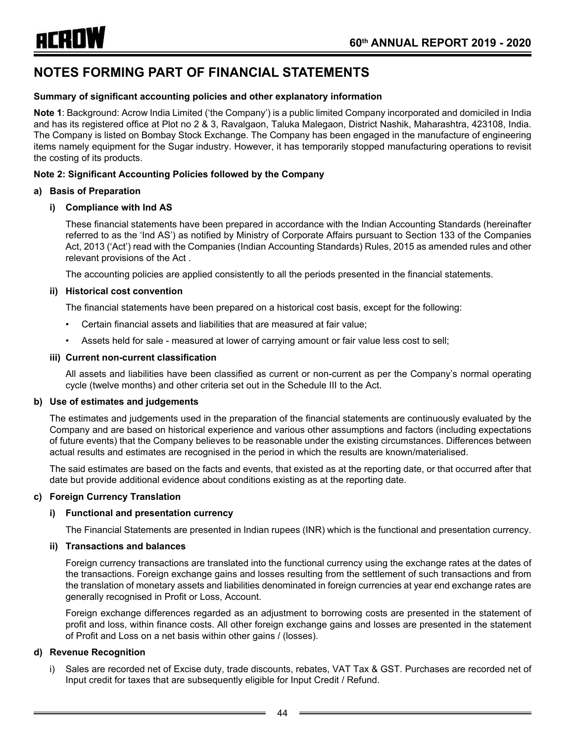#### **Summary of significant accounting policies and other explanatory information**

**Note 1**: Background: Acrow India Limited ('the Company') is a public limited Company incorporated and domiciled in India and has its registered office at Plot no 2 & 3, Ravalgaon, Taluka Malegaon, District Nashik, Maharashtra, 423108, India. The Company is listed on Bombay Stock Exchange. The Company has been engaged in the manufacture of engineering items namely equipment for the Sugar industry. However, it has temporarily stopped manufacturing operations to revisit the costing of its products.

#### **Note 2: Significant Accounting Policies followed by the Company**

#### **a) Basis of Preparation**

#### **i) Compliance with Ind AS**

These financial statements have been prepared in accordance with the Indian Accounting Standards (hereinafter referred to as the 'Ind AS') as notified by Ministry of Corporate Affairs pursuant to Section 133 of the Companies Act, 2013 ('Act') read with the Companies (Indian Accounting Standards) Rules, 2015 as amended rules and other relevant provisions of the Act .

The accounting policies are applied consistently to all the periods presented in the financial statements.

#### **ii) Historical cost convention**

The financial statements have been prepared on a historical cost basis, except for the following:

- Certain financial assets and liabilities that are measured at fair value;
- Assets held for sale measured at lower of carrying amount or fair value less cost to sell;

#### **iii) Current non-current classification**

All assets and liabilities have been classified as current or non-current as per the Company's normal operating cycle (twelve months) and other criteria set out in the Schedule III to the Act.

#### **b) Use of estimates and judgements**

The estimates and judgements used in the preparation of the financial statements are continuously evaluated by the Company and are based on historical experience and various other assumptions and factors (including expectations of future events) that the Company believes to be reasonable under the existing circumstances. Differences between actual results and estimates are recognised in the period in which the results are known/materialised.

The said estimates are based on the facts and events, that existed as at the reporting date, or that occurred after that date but provide additional evidence about conditions existing as at the reporting date.

#### **c) Foreign Currency Translation**

#### **i) Functional and presentation currency**

The Financial Statements are presented in Indian rupees (INR) which is the functional and presentation currency.

#### **ii) Transactions and balances**

Foreign currency transactions are translated into the functional currency using the exchange rates at the dates of the transactions. Foreign exchange gains and losses resulting from the settlement of such transactions and from the translation of monetary assets and liabilities denominated in foreign currencies at year end exchange rates are generally recognised in Profit or Loss, Account.

Foreign exchange differences regarded as an adjustment to borrowing costs are presented in the statement of profit and loss, within finance costs. All other foreign exchange gains and losses are presented in the statement of Profit and Loss on a net basis within other gains / (losses).

#### **d) Revenue Recognition**

i) Sales are recorded net of Excise duty, trade discounts, rebates, VAT Tax & GST. Purchases are recorded net of Input credit for taxes that are subsequently eligible for Input Credit / Refund.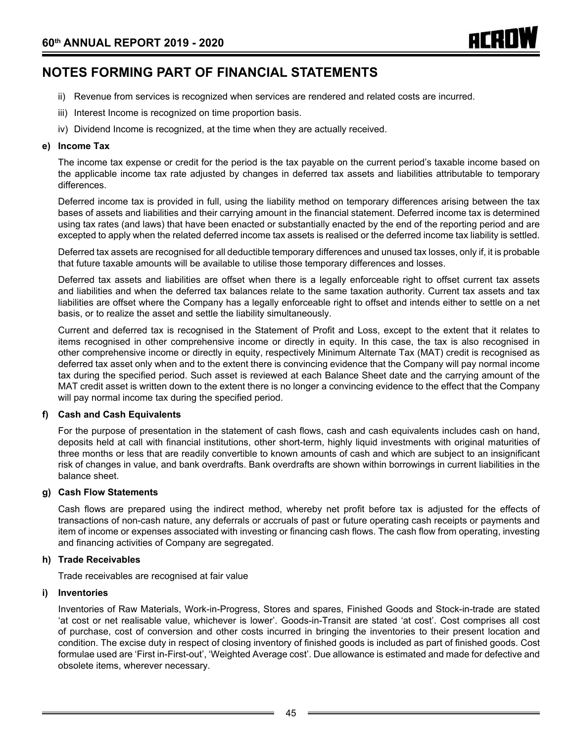- ii) Revenue from services is recognized when services are rendered and related costs are incurred.
- iii) Interest Income is recognized on time proportion basis.
- iv) Dividend Income is recognized, at the time when they are actually received.

#### **e) Income Tax**

The income tax expense or credit for the period is the tax payable on the current period's taxable income based on the applicable income tax rate adjusted by changes in deferred tax assets and liabilities attributable to temporary differences.

Deferred income tax is provided in full, using the liability method on temporary differences arising between the tax bases of assets and liabilities and their carrying amount in the financial statement. Deferred income tax is determined using tax rates (and laws) that have been enacted or substantially enacted by the end of the reporting period and are excepted to apply when the related deferred income tax assets is realised or the deferred income tax liability is settled.

Deferred tax assets are recognised for all deductible temporary differences and unused tax losses, only if, it is probable that future taxable amounts will be available to utilise those temporary differences and losses.

Deferred tax assets and liabilities are offset when there is a legally enforceable right to offset current tax assets and liabilities and when the deferred tax balances relate to the same taxation authority. Current tax assets and tax liabilities are offset where the Company has a legally enforceable right to offset and intends either to settle on a net basis, or to realize the asset and settle the liability simultaneously.

Current and deferred tax is recognised in the Statement of Profit and Loss, except to the extent that it relates to items recognised in other comprehensive income or directly in equity. In this case, the tax is also recognised in other comprehensive income or directly in equity, respectively Minimum Alternate Tax (MAT) credit is recognised as deferred tax asset only when and to the extent there is convincing evidence that the Company will pay normal income tax during the specified period. Such asset is reviewed at each Balance Sheet date and the carrying amount of the MAT credit asset is written down to the extent there is no longer a convincing evidence to the effect that the Company will pay normal income tax during the specified period.

#### **f) Cash and Cash Equivalents**

For the purpose of presentation in the statement of cash flows, cash and cash equivalents includes cash on hand, deposits held at call with financial institutions, other short-term, highly liquid investments with original maturities of three months or less that are readily convertible to known amounts of cash and which are subject to an insignificant risk of changes in value, and bank overdrafts. Bank overdrafts are shown within borrowings in current liabilities in the balance sheet.

#### **g) Cash Flow Statements**

Cash flows are prepared using the indirect method, whereby net profit before tax is adjusted for the effects of transactions of non-cash nature, any deferrals or accruals of past or future operating cash receipts or payments and item of income or expenses associated with investing or financing cash flows. The cash flow from operating, investing and financing activities of Company are segregated.

#### **h) Trade Receivables**

Trade receivables are recognised at fair value

#### **i) Inventories**

Inventories of Raw Materials, Work-in-Progress, Stores and spares, Finished Goods and Stock-in-trade are stated 'at cost or net realisable value, whichever is lower'. Goods-in-Transit are stated 'at cost'. Cost comprises all cost of purchase, cost of conversion and other costs incurred in bringing the inventories to their present location and condition. The excise duty in respect of closing inventory of finished goods is included as part of finished goods. Cost formulae used are 'First in-First-out', 'Weighted Average cost'. Due allowance is estimated and made for defective and obsolete items, wherever necessary.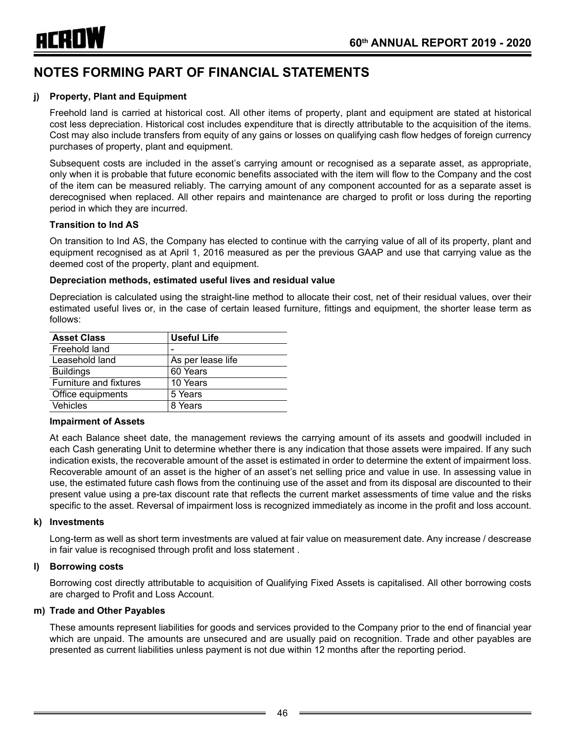

#### **j) Property, Plant and Equipment**

Freehold land is carried at historical cost. All other items of property, plant and equipment are stated at historical cost less depreciation. Historical cost includes expenditure that is directly attributable to the acquisition of the items. Cost may also include transfers from equity of any gains or losses on qualifying cash flow hedges of foreign currency purchases of property, plant and equipment.

Subsequent costs are included in the asset's carrying amount or recognised as a separate asset, as appropriate, only when it is probable that future economic benefits associated with the item will flow to the Company and the cost of the item can be measured reliably. The carrying amount of any component accounted for as a separate asset is derecognised when replaced. All other repairs and maintenance are charged to profit or loss during the reporting period in which they are incurred.

#### **Transition to Ind AS**

On transition to Ind AS, the Company has elected to continue with the carrying value of all of its property, plant and equipment recognised as at April 1, 2016 measured as per the previous GAAP and use that carrying value as the deemed cost of the property, plant and equipment.

#### **Depreciation methods, estimated useful lives and residual value**

Depreciation is calculated using the straight-line method to allocate their cost, net of their residual values, over their estimated useful lives or, in the case of certain leased furniture, fittings and equipment, the shorter lease term as follows:

| <b>Asset Class</b>     | <b>Useful Life</b> |
|------------------------|--------------------|
| Freehold land          |                    |
| Leasehold land         | As per lease life  |
| <b>Buildings</b>       | 60 Years           |
| Furniture and fixtures | 10 Years           |
| Office equipments      | 5 Years            |
| <b>Vehicles</b>        | 8 Years            |

#### **Impairment of Assets**

At each Balance sheet date, the management reviews the carrying amount of its assets and goodwill included in each Cash generating Unit to determine whether there is any indication that those assets were impaired. If any such indication exists, the recoverable amount of the asset is estimated in order to determine the extent of impairment loss. Recoverable amount of an asset is the higher of an asset's net selling price and value in use. In assessing value in use, the estimated future cash flows from the continuing use of the asset and from its disposal are discounted to their present value using a pre-tax discount rate that reflects the current market assessments of time value and the risks specific to the asset. Reversal of impairment loss is recognized immediately as income in the profit and loss account.

#### **k) Investments**

Long-term as well as short term investments are valued at fair value on measurement date. Any increase / descrease in fair value is recognised through profit and loss statement .

#### **l) Borrowing costs**

Borrowing cost directly attributable to acquisition of Qualifying Fixed Assets is capitalised. All other borrowing costs are charged to Profit and Loss Account.

#### **m) Trade and Other Payables**

These amounts represent liabilities for goods and services provided to the Company prior to the end of financial year which are unpaid. The amounts are unsecured and are usually paid on recognition. Trade and other payables are presented as current liabilities unless payment is not due within 12 months after the reporting period.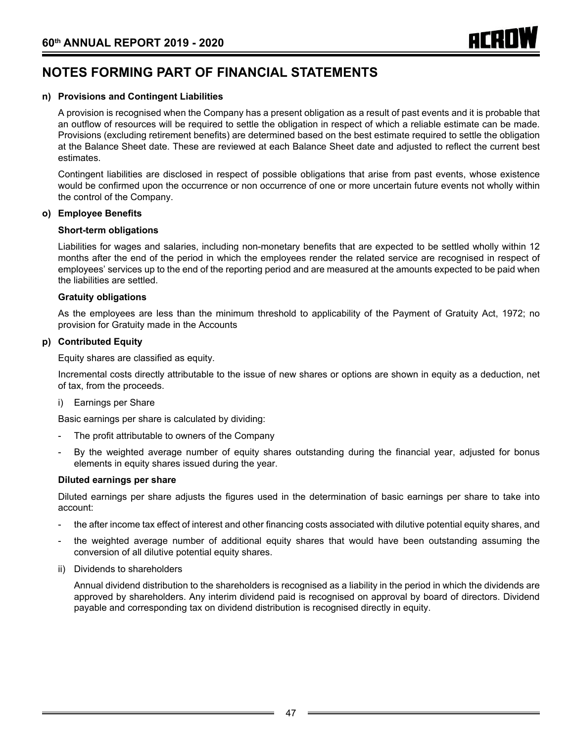#### **n) Provisions and Contingent Liabilities**

A provision is recognised when the Company has a present obligation as a result of past events and it is probable that an outflow of resources will be required to settle the obligation in respect of which a reliable estimate can be made. Provisions (excluding retirement benefits) are determined based on the best estimate required to settle the obligation at the Balance Sheet date. These are reviewed at each Balance Sheet date and adjusted to reflect the current best estimates.

Contingent liabilities are disclosed in respect of possible obligations that arise from past events, whose existence would be confirmed upon the occurrence or non occurrence of one or more uncertain future events not wholly within the control of the Company.

#### **o) Employee Benefits**

#### **Short-term obligations**

Liabilities for wages and salaries, including non-monetary benefits that are expected to be settled wholly within 12 months after the end of the period in which the employees render the related service are recognised in respect of employees' services up to the end of the reporting period and are measured at the amounts expected to be paid when the liabilities are settled.

#### **Gratuity obligations**

As the employees are less than the minimum threshold to applicability of the Payment of Gratuity Act, 1972; no provision for Gratuity made in the Accounts

#### **p) Contributed Equity**

Equity shares are classified as equity.

Incremental costs directly attributable to the issue of new shares or options are shown in equity as a deduction, net of tax, from the proceeds.

i) Earnings per Share

Basic earnings per share is calculated by dividing:

- The profit attributable to owners of the Company
- By the weighted average number of equity shares outstanding during the financial year, adjusted for bonus elements in equity shares issued during the year.

#### **Diluted earnings per share**

Diluted earnings per share adjusts the figures used in the determination of basic earnings per share to take into account:

- the after income tax effect of interest and other financing costs associated with dilutive potential equity shares, and
- the weighted average number of additional equity shares that would have been outstanding assuming the conversion of all dilutive potential equity shares.
- ii) Dividends to shareholders

Annual dividend distribution to the shareholders is recognised as a liability in the period in which the dividends are approved by shareholders. Any interim dividend paid is recognised on approval by board of directors. Dividend payable and corresponding tax on dividend distribution is recognised directly in equity.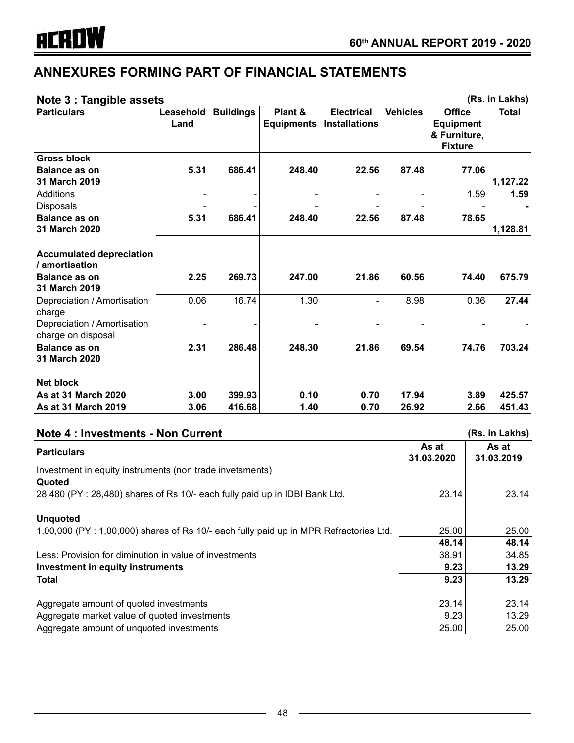# **Note 3 : Tangible assets (Rs. in Lakhs)**

| 110122.18119111283213                             |                   |                  |                              |                                           |                 |                                                                     | ן גוואם ווו נטון |
|---------------------------------------------------|-------------------|------------------|------------------------------|-------------------------------------------|-----------------|---------------------------------------------------------------------|------------------|
| <b>Particulars</b>                                | Leasehold<br>Land | <b>Buildings</b> | Plant &<br><b>Equipments</b> | <b>Electrical</b><br><b>Installations</b> | <b>Vehicles</b> | <b>Office</b><br><b>Equipment</b><br>& Furniture,<br><b>Fixture</b> | <b>Total</b>     |
| <b>Gross block</b>                                |                   |                  |                              |                                           |                 |                                                                     |                  |
| Balance as on<br>31 March 2019                    | 5.31              | 686.41           | 248.40                       | 22.56                                     | 87.48           | 77.06                                                               | 1,127.22         |
| Additions<br><b>Disposals</b>                     |                   |                  |                              |                                           |                 | 1.59                                                                | 1.59             |
| <b>Balance as on</b><br>31 March 2020             | 5.31              | 686.41           | 248.40                       | 22.56                                     | 87.48           | 78.65                                                               | 1,128.81         |
| <b>Accumulated depreciation</b><br>/ amortisation |                   |                  |                              |                                           |                 |                                                                     |                  |
| <b>Balance as on</b><br>31 March 2019             | 2.25              | 269.73           | 247.00                       | 21.86                                     | 60.56           | 74.40                                                               | 675.79           |
| Depreciation / Amortisation<br>charge             | 0.06              | 16.74            | 1.30                         |                                           | 8.98            | 0.36                                                                | 27.44            |
| Depreciation / Amortisation<br>charge on disposal |                   |                  |                              |                                           |                 |                                                                     |                  |
| <b>Balance as on</b><br>31 March 2020             | 2.31              | 286.48           | 248.30                       | 21.86                                     | 69.54           | 74.76                                                               | 703.24           |
| Net block                                         |                   |                  |                              |                                           |                 |                                                                     |                  |
| As at 31 March 2020                               | 3.00              | 399.93           | 0.10                         | 0.70                                      | 17.94           | 3.89                                                                | 425.57           |
| <b>As at 31 March 2019</b>                        | 3.06              | 416.68           | 1.40                         | 0.70                                      | 26.92           | 2.66                                                                | 451.43           |

| <b>Note 4: Investments - Non Current</b>                                               |                     | (Rs. in Lakhs)      |
|----------------------------------------------------------------------------------------|---------------------|---------------------|
| <b>Particulars</b>                                                                     | As at<br>31.03.2020 | As at<br>31.03.2019 |
| Investment in equity instruments (non trade invetsments)<br>Quoted                     |                     |                     |
| 28,480 (PY: 28,480) shares of Rs 10/- each fully paid up in IDBI Bank Ltd.             | 23.14               | 23.14               |
| <b>Unquoted</b>                                                                        |                     |                     |
| 1,00,000 (PY : 1,00,000) shares of Rs 10/- each fully paid up in MPR Refractories Ltd. | 25.00               | 25.00               |
|                                                                                        | 48.14               | 48.14               |
| Less: Provision for diminution in value of investments                                 | 38.91               | 34.85               |
| Investment in equity instruments                                                       | 9.23                | 13.29               |
| Total                                                                                  | 9.23                | 13.29               |
|                                                                                        |                     |                     |
| Aggregate amount of quoted investments                                                 | 23.14               | 23.14               |
| Aggregate market value of quoted investments                                           | 9.23                | 13.29               |
| Aggregate amount of unquoted investments                                               | 25.00               | 25.00               |

 $\overline{a}$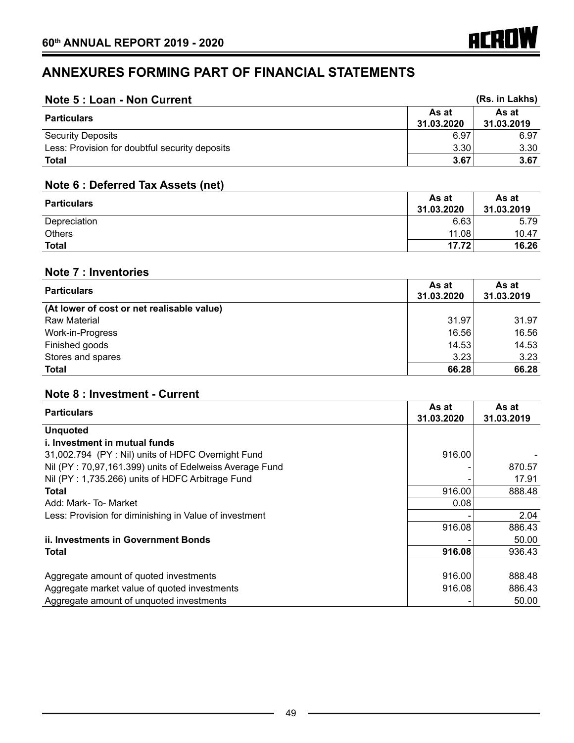| Note 5 : Loan - Non Current                    |                     | (Rs. in Lakhs)      |
|------------------------------------------------|---------------------|---------------------|
| <b>Particulars</b>                             | As at<br>31.03.2020 | As at<br>31.03.2019 |
| <b>Security Deposits</b>                       | 6.97                | 6.97                |
| Less: Provision for doubtful security deposits | 3.30                | 3.30                |
| <b>Total</b>                                   | 3.67                | 3.67                |

# **Note 6 : Deferred Tax Assets (net)**

| <b>Particulars</b> | As at<br>31.03.2020 | As at<br>31.03.2019 |
|--------------------|---------------------|---------------------|
| Depreciation       | 6.63                | 5.79                |
| <b>Others</b>      | 11.08               | 10.47               |
| <b>Total</b>       | 17.72               | 16.26               |

# **Note 7 : Inventories**

| <b>Particulars</b>                         | As at<br>31.03.2020 | As at<br>31.03.2019 |
|--------------------------------------------|---------------------|---------------------|
| (At lower of cost or net realisable value) |                     |                     |
| Raw Material                               | 31.97               | 31.97               |
| Work-in-Progress                           | 16.56               | 16.56               |
| Finished goods                             | 14.53               | 14.53               |
| Stores and spares                          | 3.23                | 3.23                |
| <b>Total</b>                               | 66.28               | 66.28               |

# **Note 8 : Investment - Current**

| <b>Particulars</b>                                      | As at<br>31.03.2020 | As at<br>31.03.2019 |
|---------------------------------------------------------|---------------------|---------------------|
| <b>Unquoted</b>                                         |                     |                     |
| i. Investment in mutual funds                           |                     |                     |
| 31,002.794 (PY: Nil) units of HDFC Overnight Fund       | 916.00              |                     |
| Nil (PY: 70,97,161.399) units of Edelweiss Average Fund |                     | 870.57              |
| Nil (PY: 1,735.266) units of HDFC Arbitrage Fund        |                     | 17.91               |
| <b>Total</b>                                            | 916.00              | 888.48              |
| Add: Mark-To-Market                                     | 0.08                |                     |
| Less: Provision for diminishing in Value of investment  |                     | 2.04                |
|                                                         | 916.08              | 886.43              |
| <b>ii. Investments in Government Bonds</b>              |                     | 50.00               |
| Total                                                   | 916.08              | 936.43              |
|                                                         |                     |                     |
| Aggregate amount of quoted investments                  | 916.00              | 888.48              |
| Aggregate market value of quoted investments            | 916.08              | 886.43              |
| Aggregate amount of unquoted investments                |                     | 50.00               |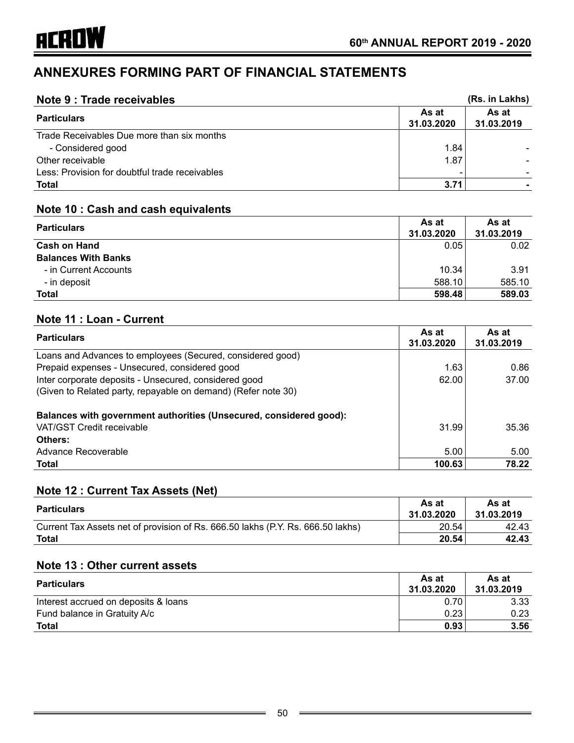| Note 9 : Trade receivables                     |                     | (Rs. in Lakhs)      |
|------------------------------------------------|---------------------|---------------------|
| <b>Particulars</b>                             | As at<br>31.03.2020 | As at<br>31.03.2019 |
| Trade Receivables Due more than six months     |                     |                     |
| - Considered good                              | 1.84                |                     |
| Other receivable                               | 1.87                |                     |
| Less: Provision for doubtful trade receivables |                     |                     |
| <b>Total</b>                                   | 3.71                |                     |

# **Note 10 : Cash and cash equivalents**

| <b>Particulars</b>         | As at<br>31.03.2020 | As at<br>31.03.2019 |
|----------------------------|---------------------|---------------------|
|                            |                     |                     |
| <b>Cash on Hand</b>        | 0.05                | 0.02                |
| <b>Balances With Banks</b> |                     |                     |
| - in Current Accounts      | 10.34               | 3.91                |
| - in deposit               | 588.10              | 585.10              |
| <b>Total</b>               | 598.48              | 589.03              |

# **Note 11 : Loan - Current**

| <b>Particulars</b>                                                                                                     | As at<br>31.03.2020 | As at<br>31.03.2019 |
|------------------------------------------------------------------------------------------------------------------------|---------------------|---------------------|
| Loans and Advances to employees (Secured, considered good)                                                             |                     |                     |
| Prepaid expenses - Unsecured, considered good                                                                          | 1.63                | 0.86                |
| Inter corporate deposits - Unsecured, considered good<br>(Given to Related party, repayable on demand) (Refer note 30) | 62.00               | 37.00               |
| <b>Balances with government authorities (Unsecured, considered good):</b>                                              |                     |                     |
| VAT/GST Credit receivable                                                                                              | 31.99               | 35.36               |
| Others:                                                                                                                |                     |                     |
| Advance Recoverable                                                                                                    | 5.00                | 5.00                |
| <b>Total</b>                                                                                                           | 100.63              | 78.22               |

# **Note 12 : Current Tax Assets (Net)**

| <b>Particulars</b>                                                              | As at<br>31.03.2020 | As at<br>31.03.2019 |
|---------------------------------------------------------------------------------|---------------------|---------------------|
| Current Tax Assets net of provision of Rs. 666.50 lakhs (P.Y. Rs. 666.50 lakhs) | 20.54               | 42.43               |
| Total                                                                           | 20.54               | 42.43               |

# **Note 13 : Other current assets**

| <b>Particulars</b>                   | As at<br>31.03.2020 | As at<br>31.03.2019 |
|--------------------------------------|---------------------|---------------------|
| Interest accrued on deposits & loans | 0.70                | 3.33                |
| Fund balance in Gratuity A/c         | 0.23                | 0.23                |
| <b>Total</b>                         | 0.93                | 3.56                |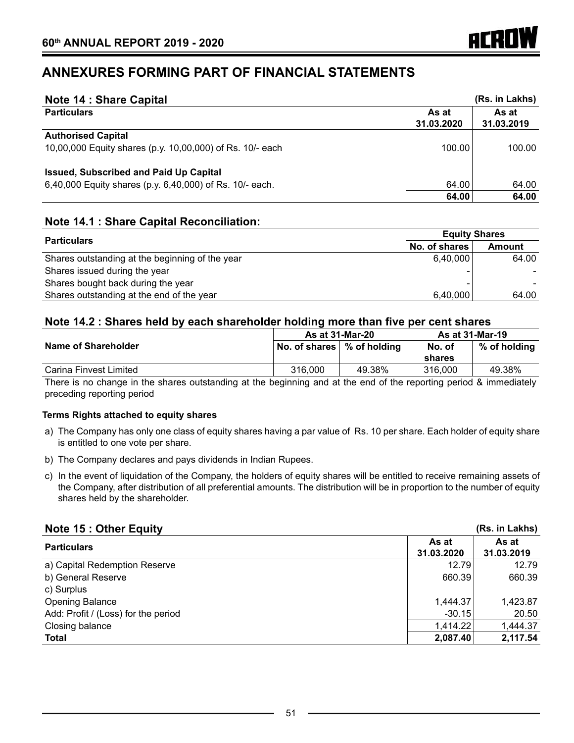| <b>Note 14: Share Capital</b>                             |                     | (Rs. in Lakhs)      |
|-----------------------------------------------------------|---------------------|---------------------|
| <b>Particulars</b>                                        | As at<br>31.03.2020 | As at<br>31.03.2019 |
| <b>Authorised Capital</b>                                 |                     |                     |
| 10,00,000 Equity shares (p.y. 10,00,000) of Rs. 10/- each | 100.00              | 100.00              |
| <b>Issued, Subscribed and Paid Up Capital</b>             |                     |                     |
| 6,40,000 Equity shares (p.y. 6,40,000) of Rs. 10/- each.  | 64.00               | 64.00               |
|                                                           | 64.00               | 64.00               |

## **Note 14.1 : Share Capital Reconciliation:**

| <b>Particulars</b>                              | <b>Equity Shares</b> |               |
|-------------------------------------------------|----------------------|---------------|
|                                                 | No. of shares        | <b>Amount</b> |
| Shares outstanding at the beginning of the year | 6.40.000             | 64.00         |
| Shares issued during the year                   |                      |               |
| Shares bought back during the year              |                      |               |
| Shares outstanding at the end of the year       | 6,40,000             | 64.00         |

## **Note 14.2 : Shares held by each shareholder holding more than five per cent shares**

|                        | <b>As at 31-Mar-20</b>       |        | <b>As at 31-Mar-19</b> |                |
|------------------------|------------------------------|--------|------------------------|----------------|
| Name of Shareholder    | No. of shares   % of holding |        | No. of<br>shares       | $%$ of holding |
| Carina Finvest Limited | 316,000                      | 49.38% | 316,000                | 49.38%         |

There is no change in the shares outstanding at the beginning and at the end of the reporting period & immediately preceding reporting period

#### **Terms Rights attached to equity shares**

- a) The Company has only one class of equity shares having a par value of Rs. 10 per share. Each holder of equity share is entitled to one vote per share.
- b) The Company declares and pays dividends in Indian Rupees.
- c) In the event of liquidation of the Company, the holders of equity shares will be entitled to receive remaining assets of the Company, after distribution of all preferential amounts. The distribution will be in proportion to the number of equity shares held by the shareholder.

| <b>Note 15: Other Equity</b>        |                     | (Rs. in Lakhs)      |
|-------------------------------------|---------------------|---------------------|
| <b>Particulars</b>                  | As at<br>31.03.2020 | As at<br>31.03.2019 |
| a) Capital Redemption Reserve       | 12.79               | 12.79               |
| b) General Reserve                  | 660.39              | 660.39              |
| c) Surplus                          |                     |                     |
| <b>Opening Balance</b>              | 1,444.37            | 1,423.87            |
| Add: Profit / (Loss) for the period | $-30.15$            | 20.50               |
| Closing balance                     | 1,414.22            | 1,444.37            |
| <b>Total</b>                        | 2,087.40            | 2,117.54            |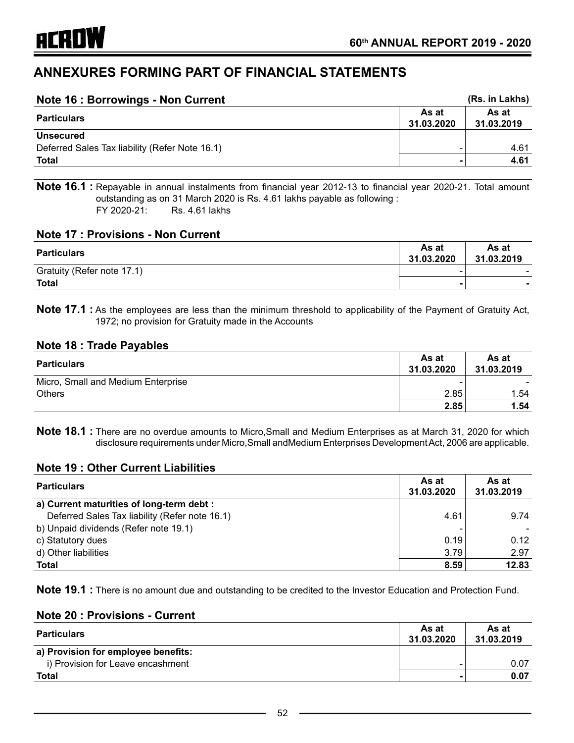| Note 16 : Borrowings - Non Current             |                     | (Rs. in Lakhs)      |
|------------------------------------------------|---------------------|---------------------|
| <b>Particulars</b>                             | As at<br>31.03.2020 | As at<br>31.03.2019 |
| <b>Unsecured</b>                               |                     |                     |
| Deferred Sales Tax liability (Refer Note 16.1) |                     | 4.61                |
| <b>Total</b>                                   |                     | 4.61                |

**Note 16.1 :** Repayable in annual instalments from financial year 2012-13 to financial year 2020-21. Total amount outstanding as on 31 March 2020 is Rs. 4.61 lakhs payable as following : FY 2020-21: Rs. 4.61 lakhs

## **Note 17 : Provisions - Non Current**

| <b>Particulars</b>         | As at<br>31.03.2020 | As at<br>31.03.2019 |
|----------------------------|---------------------|---------------------|
| Gratuity (Refer note 17.1) |                     | -                   |
| <b>Total</b>               | ۰                   |                     |

**Note 17.1 :** As the employees are less than the minimum threshold to applicability of the Payment of Gratuity Act, 1972; no provision for Gratuity made in the Accounts

## **Note 18 : Trade Payables**

| <b>Particulars</b>                 | As at<br>31.03.2020 | As at<br>31.03.2019 |
|------------------------------------|---------------------|---------------------|
| Micro, Small and Medium Enterprise |                     |                     |
| <b>Others</b>                      | 2.85                | 1.54                |
|                                    | 2.85                | 1.54                |

**Note 18.1 :** There are no overdue amounts to Micro,Small and Medium Enterprises as at March 31, 2020 for which disclosure requirements under Micro,Small andMedium Enterprises Development Act, 2006 are applicable.

#### **Note 19 : Other Current Liabilities**

| <b>Particulars</b>                             | As at<br>31.03.2020 | As at<br>31.03.2019 |
|------------------------------------------------|---------------------|---------------------|
| a) Current maturities of long-term debt :      |                     |                     |
| Deferred Sales Tax liability (Refer note 16.1) | 4.61                | 9.74                |
| b) Unpaid dividends (Refer note 19.1)          |                     |                     |
| c) Statutory dues                              | 0.19                | 0.12                |
| d) Other liabilities                           | 3.79                | 2.97                |
| <b>Total</b>                                   | 8.59                | 12.83               |

**Note 19.1 :** There is no amount due and outstanding to be credited to the Investor Education and Protection Fund.

#### **Note 20 : Provisions - Current**

| <b>Particulars</b>                  | As at<br>31.03.2020 | As at<br>31.03.2019 |
|-------------------------------------|---------------------|---------------------|
| a) Provision for employee benefits: |                     |                     |
| i) Provision for Leave encashment   |                     | 0.07                |
| <b>Total</b>                        |                     | 0.07                |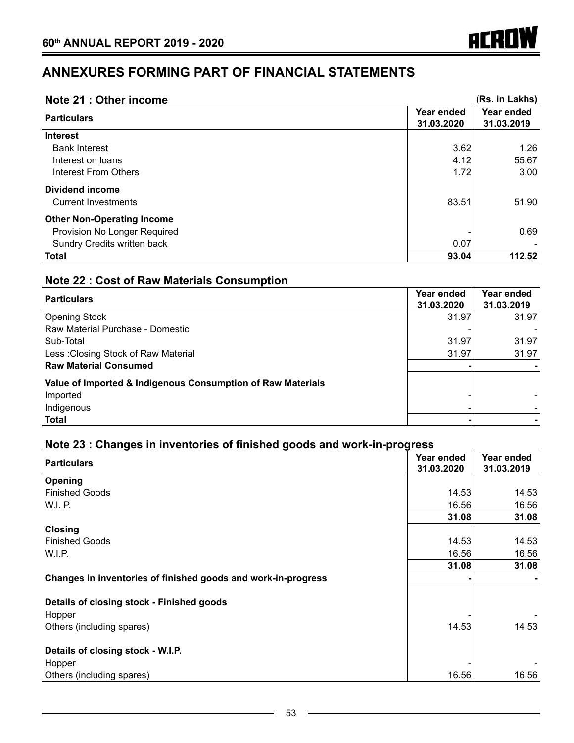| Note 21 : Other income            |                          | (Rs. in Lakhs)           |
|-----------------------------------|--------------------------|--------------------------|
| <b>Particulars</b>                | Year ended<br>31.03.2020 | Year ended<br>31.03.2019 |
| <b>Interest</b>                   |                          |                          |
| <b>Bank Interest</b>              | 3.62                     | 1.26                     |
| Interest on loans                 | 4.12                     | 55.67                    |
| Interest From Others              | 1.72                     | 3.00                     |
| <b>Dividend income</b>            |                          |                          |
| <b>Current Investments</b>        | 83.51                    | 51.90                    |
| <b>Other Non-Operating Income</b> |                          |                          |
| Provision No Longer Required      |                          | 0.69                     |
| Sundry Credits written back       | 0.07                     |                          |
| <b>Total</b>                      | 93.04                    | 112.52                   |

**ACROW** 

# **Note 22 : Cost of Raw Materials Consumption**

| <b>Particulars</b>                                          | Year ended<br>31.03.2020 | Year ended<br>31.03.2019 |
|-------------------------------------------------------------|--------------------------|--------------------------|
| <b>Opening Stock</b>                                        | 31.97                    | 31.97                    |
| Raw Material Purchase - Domestic                            |                          |                          |
| Sub-Total                                                   | 31.97                    | 31.97                    |
| Less: Closing Stock of Raw Material                         | 31.97                    | 31.97                    |
| <b>Raw Material Consumed</b>                                |                          |                          |
| Value of Imported & Indigenous Consumption of Raw Materials |                          |                          |
| Imported                                                    |                          |                          |
| Indigenous                                                  | -                        |                          |
| <b>Total</b>                                                |                          |                          |

# **Note 23 : Changes in inventories of finished goods and work-in-progress**

| <b>Particulars</b>                                            | Year ended<br>31.03.2020 | Year ended<br>31.03.2019 |
|---------------------------------------------------------------|--------------------------|--------------------------|
| Opening                                                       |                          |                          |
| <b>Finished Goods</b>                                         | 14.53                    | 14.53                    |
| W.I. P.                                                       | 16.56                    | 16.56                    |
|                                                               | 31.08                    | 31.08                    |
| Closing                                                       |                          |                          |
| <b>Finished Goods</b>                                         | 14.53                    | 14.53                    |
| W.I.P.                                                        | 16.56                    | 16.56                    |
|                                                               | 31.08                    | 31.08                    |
| Changes in inventories of finished goods and work-in-progress |                          |                          |
| Details of closing stock - Finished goods<br>Hopper           |                          |                          |
| Others (including spares)                                     | 14.53                    | 14.53                    |
| Details of closing stock - W.I.P.                             |                          |                          |
| Hopper                                                        |                          |                          |
| Others (including spares)                                     | 16.56                    | 16.56                    |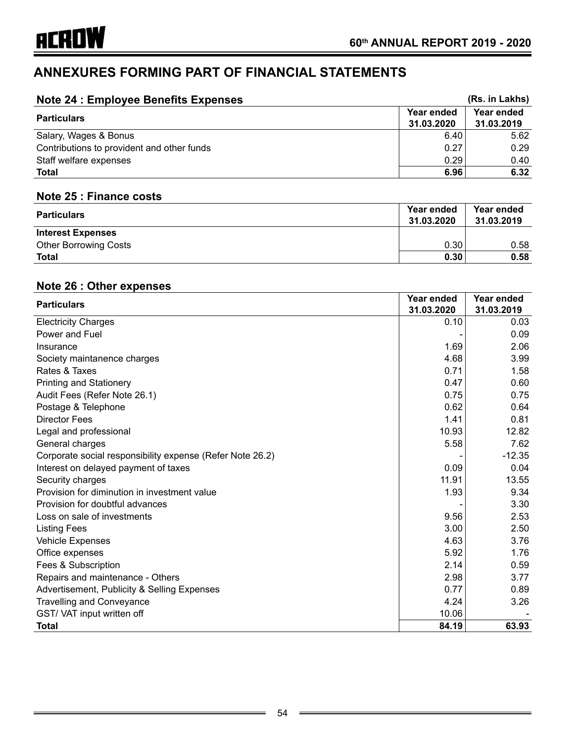| <b>Note 24: Employee Benefits Expenses</b> |                          | (Rs. in Lakhs)           |  |
|--------------------------------------------|--------------------------|--------------------------|--|
| <b>Particulars</b>                         | Year ended<br>31.03.2020 | Year ended<br>31.03.2019 |  |
| Salary, Wages & Bonus                      | 6.40                     | 5.62                     |  |
| Contributions to provident and other funds | 0.27                     | 0.29                     |  |
| Staff welfare expenses                     | 0.29                     | 0.40                     |  |
| Total                                      | 6.96                     | 6.32                     |  |

# **Note 25 : Finance costs**

| <b>Particulars</b>           | Year ended<br>31.03.2020 | Year ended<br>31.03.2019 |
|------------------------------|--------------------------|--------------------------|
| <b>Interest Expenses</b>     |                          |                          |
| <b>Other Borrowing Costs</b> | 0.30                     | 0.58                     |
| <b>Total</b>                 | 0.30                     | 0.58                     |

# **Note 26 : Other expenses**

| <b>Particulars</b>                                        | Year ended | Year ended |
|-----------------------------------------------------------|------------|------------|
|                                                           | 31.03.2020 | 31.03.2019 |
| <b>Electricity Charges</b>                                | 0.10       | 0.03       |
| Power and Fuel                                            |            | 0.09       |
| Insurance                                                 | 1.69       | 2.06       |
| Society maintanence charges                               | 4.68       | 3.99       |
| Rates & Taxes                                             | 0.71       | 1.58       |
| <b>Printing and Stationery</b>                            | 0.47       | 0.60       |
| Audit Fees (Refer Note 26.1)                              | 0.75       | 0.75       |
| Postage & Telephone                                       | 0.62       | 0.64       |
| <b>Director Fees</b>                                      | 1.41       | 0.81       |
| Legal and professional                                    | 10.93      | 12.82      |
| General charges                                           | 5.58       | 7.62       |
| Corporate social responsibility expense (Refer Note 26.2) |            | $-12.35$   |
| Interest on delayed payment of taxes                      | 0.09       | 0.04       |
| Security charges                                          | 11.91      | 13.55      |
| Provision for diminution in investment value              | 1.93       | 9.34       |
| Provision for doubtful advances                           |            | 3.30       |
| Loss on sale of investments                               | 9.56       | 2.53       |
| <b>Listing Fees</b>                                       | 3.00       | 2.50       |
| <b>Vehicle Expenses</b>                                   | 4.63       | 3.76       |
| Office expenses                                           | 5.92       | 1.76       |
| Fees & Subscription                                       | 2.14       | 0.59       |
| Repairs and maintenance - Others                          | 2.98       | 3.77       |
| Advertisement, Publicity & Selling Expenses               | 0.77       | 0.89       |
| <b>Travelling and Conveyance</b>                          | 4.24       | 3.26       |
| GST/VAT input written off                                 | 10.06      |            |
| Total                                                     | 84.19      | 63.93      |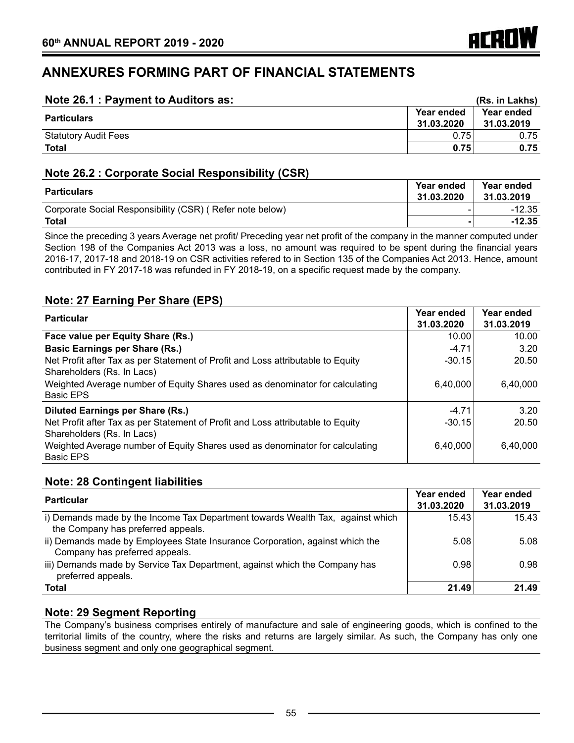| Note 26.1 : Payment to Auditors as: |                                 | (Rs. in Lakhs)           |  |
|-------------------------------------|---------------------------------|--------------------------|--|
| <b>Particulars</b>                  | <b>Year ended</b><br>31.03.2020 | Year ended<br>31.03.2019 |  |
| <b>Statutory Audit Fees</b>         | 0.75                            | 0.75                     |  |
| <b>Total</b>                        | 0.75                            | 0.75                     |  |

# **Note 26.2 : Corporate Social Responsibility (CSR)**

| <b>Particulars</b>                                       | Year ended<br>31.03.2020 | Year ended<br>31.03.2019 |
|----------------------------------------------------------|--------------------------|--------------------------|
| Corporate Social Responsibility (CSR) (Refer note below) |                          | -12.35                   |
| Total                                                    |                          | -12.35                   |

Since the preceding 3 years Average net profit/ Preceding year net profit of the company in the manner computed under Section 198 of the Companies Act 2013 was a loss, no amount was required to be spent during the financial years 2016-17, 2017-18 and 2018-19 on CSR activities refered to in Section 135 of the Companies Act 2013. Hence, amount contributed in FY 2017-18 was refunded in FY 2018-19, on a specific request made by the company.

# **Note: 27 Earning Per Share (EPS)**

| <b>Particular</b>                                                               | Year ended | Year ended |
|---------------------------------------------------------------------------------|------------|------------|
|                                                                                 | 31.03.2020 | 31.03.2019 |
| Face value per Equity Share (Rs.)                                               | 10.00      | 10.00      |
| <b>Basic Earnings per Share (Rs.)</b>                                           | $-4.71$    | 3.20       |
| Net Profit after Tax as per Statement of Profit and Loss attributable to Equity | $-30.15$   | 20.50      |
| Shareholders (Rs. In Lacs)                                                      |            |            |
| Weighted Average number of Equity Shares used as denominator for calculating    | 6,40,000   | 6,40,000   |
| <b>Basic EPS</b>                                                                |            |            |
| <b>Diluted Earnings per Share (Rs.)</b>                                         | $-4.71$    | 3.20       |
| Net Profit after Tax as per Statement of Profit and Loss attributable to Equity | $-30.15$   | 20.50      |
| Shareholders (Rs. In Lacs)                                                      |            |            |
| Weighted Average number of Equity Shares used as denominator for calculating    | 6,40,000   | 6.40.000   |
| <b>Basic EPS</b>                                                                |            |            |

# **Note: 28 Contingent liabilities**

| <b>Particular</b>                                                                                                    | Year ended<br>31.03.2020 | Year ended<br>31.03.2019 |
|----------------------------------------------------------------------------------------------------------------------|--------------------------|--------------------------|
| i) Demands made by the Income Tax Department towards Wealth Tax, against which<br>the Company has preferred appeals. | 15.43                    | 15.43                    |
| ii) Demands made by Employees State Insurance Corporation, against which the<br>Company has preferred appeals.       | 5.08                     | 5.08                     |
| iii) Demands made by Service Tax Department, against which the Company has<br>preferred appeals.                     | 0.98                     | 0.98                     |
| <b>Total</b>                                                                                                         | 21.49                    | 21.49                    |

# **Note: 29 Segment Reporting**

The Company's business comprises entirely of manufacture and sale of engineering goods, which is confined to the territorial limits of the country, where the risks and returns are largely similar. As such, the Company has only one business segment and only one geographical segment.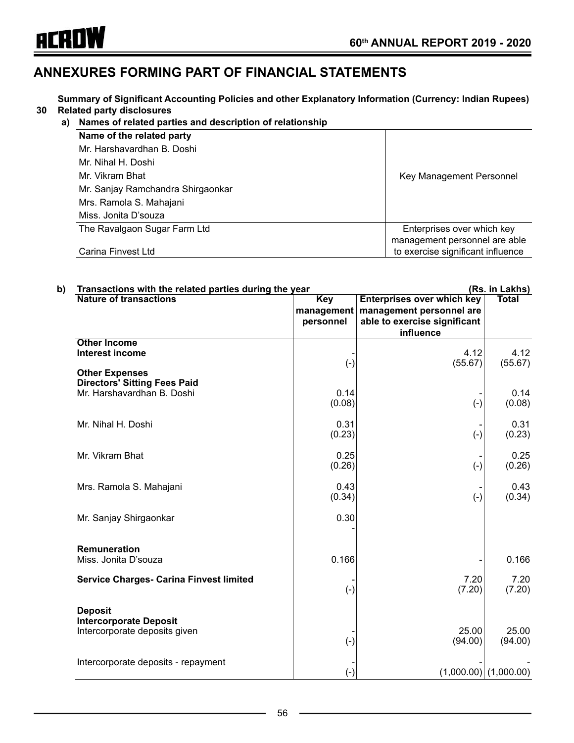

**30 Related party disclosures Summary of Significant Accounting Policies and other Explanatory Information (Currency: Indian Rupees)**

#### **a) Names of related parties and description of relationship**

| Name of the related party         |                                   |
|-----------------------------------|-----------------------------------|
| Mr. Harshavardhan B. Doshi        |                                   |
| Mr. Nihal H. Doshi                |                                   |
| Mr. Vikram Bhat                   | Key Management Personnel          |
| Mr. Sanjay Ramchandra Shirgaonkar |                                   |
| Mrs. Ramola S. Mahajani           |                                   |
| Miss. Jonita D'souza              |                                   |
| The Ravalgaon Sugar Farm Ltd      | Enterprises over which key        |
|                                   | management personnel are able     |
| Carina Finvest Ltd                | to exercise significant influence |
|                                   |                                   |

| b) | Transactions with the related parties during the year                                      |                                       | (Rs. in Lakhs)                                                                                             |                         |  |
|----|--------------------------------------------------------------------------------------------|---------------------------------------|------------------------------------------------------------------------------------------------------------|-------------------------|--|
|    | <b>Nature of transactions</b>                                                              | <b>Key</b><br>management<br>personnel | <b>Enterprises over which key</b><br>management personnel are<br>able to exercise significant<br>influence | <b>Total</b>            |  |
|    | <b>Other Income</b><br><b>Interest income</b>                                              | $(\text{-})$                          | 4.12<br>(55.67)                                                                                            | 4.12<br>(55.67)         |  |
|    | <b>Other Expenses</b><br><b>Directors' Sitting Fees Paid</b><br>Mr. Harshavardhan B. Doshi | 0.14<br>(0.08)                        | $(-)$                                                                                                      | 0.14<br>(0.08)          |  |
|    | Mr. Nihal H. Doshi                                                                         | 0.31<br>(0.23)                        | $(-)$                                                                                                      | 0.31<br>(0.23)          |  |
|    | Mr. Vikram Bhat                                                                            | 0.25<br>(0.26)                        | $(-)$                                                                                                      | 0.25<br>(0.26)          |  |
|    | Mrs. Ramola S. Mahajani                                                                    | 0.43<br>(0.34)                        | $(-)$                                                                                                      | 0.43<br>(0.34)          |  |
|    | Mr. Sanjay Shirgaonkar                                                                     | 0.30                                  |                                                                                                            |                         |  |
|    | <b>Remuneration</b><br>Miss. Jonita D'souza                                                | 0.166                                 |                                                                                                            | 0.166                   |  |
|    | <b>Service Charges- Carina Finvest limited</b>                                             | $(-)$                                 | 7.20<br>(7.20)                                                                                             | 7.20<br>(7.20)          |  |
|    | <b>Deposit</b><br><b>Intercorporate Deposit</b><br>Intercorporate deposits given           | $(-)$                                 | 25.00<br>(94.00)                                                                                           | 25.00<br>(94.00)        |  |
|    | Intercorporate deposits - repayment                                                        | $(-)$                                 |                                                                                                            | $(1,000.00)$ (1,000.00) |  |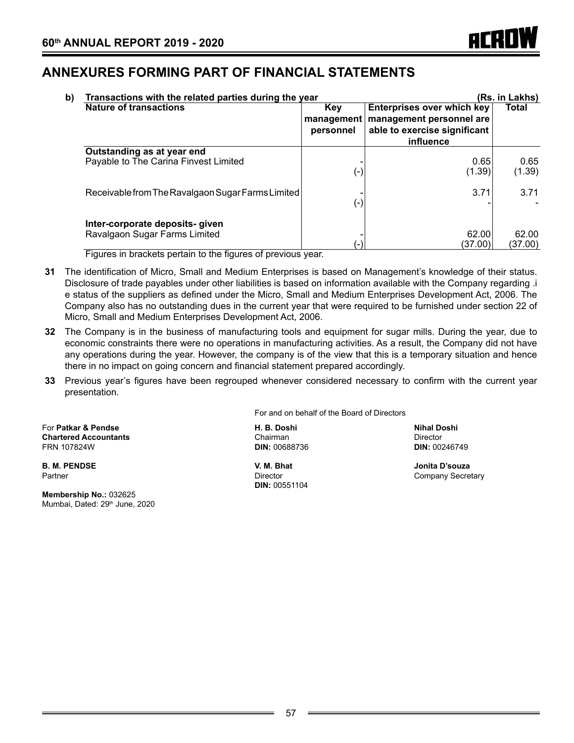| b) | Transactions with the related parties during the year               |                                |                                                                                                            | (Rs. in Lakhs)   |
|----|---------------------------------------------------------------------|--------------------------------|------------------------------------------------------------------------------------------------------------|------------------|
|    | <b>Nature of transactions</b>                                       | Key<br>management<br>personnel | <b>Enterprises over which key</b><br>management personnel are<br>able to exercise significant<br>influence | Total            |
|    | Outstanding as at year end<br>Payable to The Carina Finvest Limited | $(-)$                          | 0.65<br>(1.39)                                                                                             | 0.65<br>(1.39)   |
|    | Receivable from The Ravalgaon Sugar Farms Limited                   | (-)                            | 3.71                                                                                                       | 3.71             |
|    | Inter-corporate deposits- given<br>Ravalgaon Sugar Farms Limited    | $\overline{\phantom{a}}$       | 62.00<br>(37.00)                                                                                           | 62.00<br>(37.00) |

Figures in brackets pertain to the figures of previous year.

- **31** The identification of Micro, Small and Medium Enterprises is based on Management's knowledge of their status. Disclosure of trade payables under other liabilities is based on information available with the Company regarding .i e status of the suppliers as defined under the Micro, Small and Medium Enterprises Development Act, 2006. The Company also has no outstanding dues in the current year that were required to be furnished under section 22 of Micro, Small and Medium Enterprises Development Act, 2006.
- **32** The Company is in the business of manufacturing tools and equipment for sugar mills. During the year, due to economic constraints there were no operations in manufacturing activities. As a result, the Company did not have any operations during the year. However, the company is of the view that this is a temporary situation and hence there in no impact on going concern and financial statement prepared accordingly.
- **33** Previous year's figures have been regrouped whenever considered necessary to confirm with the current year presentation.

For **Patkar & Pendse H. B. Doshi Nihal Doshi Chartered Accountants**<br> **Chairman Chairman Director**<br> **Chartered Accountants**<br> **DIN:** 00246749<br>
DIN: 00246749 FRN 107824W **DIN:** 00688736 **DIN:** 00246749

**B. M. PENDSE V. M. Bhat Jonita D'souza**

**Membership No.:** 032625 Mumbai, Dated: 29<sup>th</sup> June, 2020 For and on behalf of the Board of Directors

**DIN:** 00551104

Company Secretary